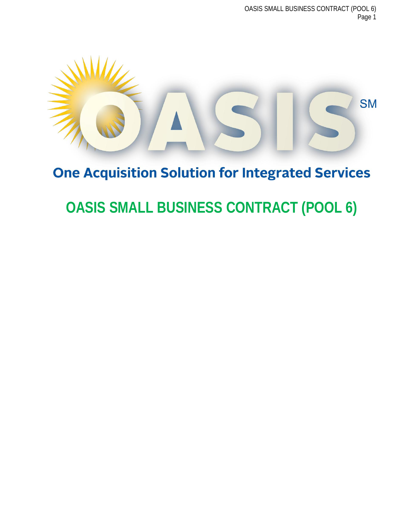

# **One Acquisition Solution for Integrated Services**

# **OASIS SMALL BUSINESS CONTRACT (POOL 6)**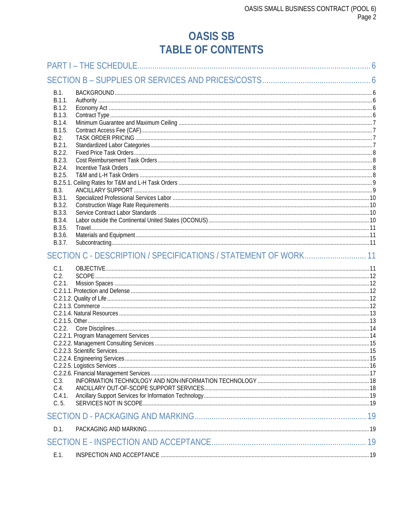# **OASIS SB TABLE OF CONTENTS**

| B.1.<br>B.1.1.<br>B.1.2.<br>B.1.3.<br>B.1.4.<br>B.1.5.<br>B.2.<br>B.2.1.<br>B.2.2.<br>B.2.3.<br>B.2.4.<br>B.2.5.<br>B.3.<br>B.3.1.<br>B.3.2.<br>B.3.3.<br>B.3.4.<br>B.3.5.<br>B.3.6.<br>B.3.7. |                                                                 |     |
|------------------------------------------------------------------------------------------------------------------------------------------------------------------------------------------------|-----------------------------------------------------------------|-----|
| $C.1$ .<br>C.2.<br>C.2.1.<br>C.2.2.<br>C.3.<br>C.4.<br>C.4.1.<br>C.5.                                                                                                                          | SECTION C - DESCRIPTION / SPECIFICATIONS / STATEMENT OF WORK 11 | .15 |
|                                                                                                                                                                                                |                                                                 |     |
| D.1.                                                                                                                                                                                           |                                                                 |     |
|                                                                                                                                                                                                |                                                                 | 19  |
| F <sub>1</sub>                                                                                                                                                                                 | INSPECTION AND ACCEPTANCE                                       | 10  |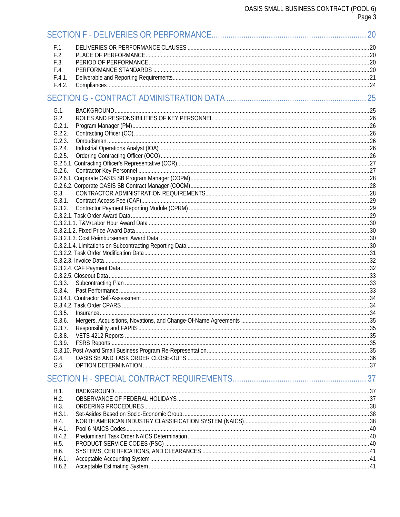# OASIS SMALL BUSINESS CONTRACT (POOL 6)<br>Page 3

| F.1.    |  |
|---------|--|
| F.2.    |  |
| F.3.    |  |
| F.4.    |  |
| F.4.1.  |  |
| F.4.2.  |  |
|         |  |
| $G.1$ . |  |
| G.2.    |  |
| G.2.1.  |  |
| G.2.2.  |  |
| G.2.3.  |  |
| G.2.4.  |  |
| G.2.5.  |  |
|         |  |
| G.2.6.  |  |
|         |  |
|         |  |
| G.3.    |  |
|         |  |
| G.3.2.  |  |
|         |  |
|         |  |
|         |  |
|         |  |
|         |  |
|         |  |
|         |  |
|         |  |
| G.3.3.  |  |
|         |  |
|         |  |
|         |  |
| G.3.5.  |  |
| G.3.6.  |  |
| G.3.7.  |  |
| G.3.8.  |  |
| G.3.9.  |  |
|         |  |
| G.4.    |  |
| G.5.    |  |
|         |  |
| H.1.    |  |
| H.2.    |  |
| H.3.    |  |
| H.3.1.  |  |
| H.4.    |  |
| H.4.1.  |  |
| H.4.2.  |  |
| H.5.    |  |
| H.6.    |  |
| H.6.1.  |  |
| H.6.2.  |  |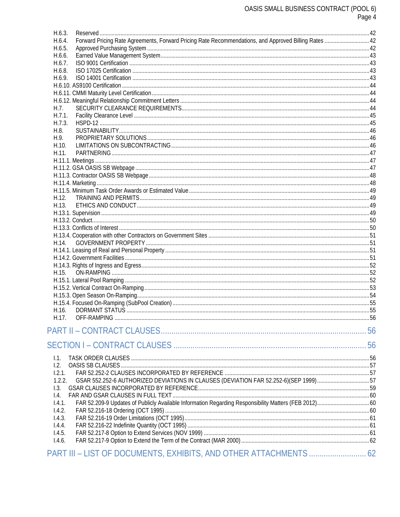| H.6.3. |                                                                                                       |  |
|--------|-------------------------------------------------------------------------------------------------------|--|
| H.6.4. | Forward Pricing Rate Agreements, Forward Pricing Rate Recommendations, and Approved Billing Rates  42 |  |
|        |                                                                                                       |  |
| H.6.5. |                                                                                                       |  |
| H.6.6. |                                                                                                       |  |
| H.6.7. |                                                                                                       |  |
| H.6.8. |                                                                                                       |  |
| H.6.9. |                                                                                                       |  |
|        |                                                                                                       |  |
|        |                                                                                                       |  |
|        |                                                                                                       |  |
| H.7.   |                                                                                                       |  |
| H.7.1. |                                                                                                       |  |
|        |                                                                                                       |  |
| H.7.3. |                                                                                                       |  |
| H.8.   |                                                                                                       |  |
| H.9.   |                                                                                                       |  |
| H.10.  |                                                                                                       |  |
| H.11.  |                                                                                                       |  |
|        |                                                                                                       |  |
|        |                                                                                                       |  |
|        |                                                                                                       |  |
|        |                                                                                                       |  |
|        |                                                                                                       |  |
|        |                                                                                                       |  |
| H.12.  |                                                                                                       |  |
| H.13.  |                                                                                                       |  |
|        |                                                                                                       |  |
|        |                                                                                                       |  |
|        |                                                                                                       |  |
|        |                                                                                                       |  |
| H.14.  |                                                                                                       |  |
|        |                                                                                                       |  |
|        |                                                                                                       |  |
|        |                                                                                                       |  |
|        |                                                                                                       |  |
| H.15.  |                                                                                                       |  |
|        |                                                                                                       |  |
|        |                                                                                                       |  |
|        |                                                                                                       |  |
|        |                                                                                                       |  |
| H.16.  |                                                                                                       |  |
|        | OFF-RAMPING                                                                                           |  |
| H.17.  |                                                                                                       |  |
|        |                                                                                                       |  |
|        |                                                                                                       |  |
|        |                                                                                                       |  |
|        |                                                                                                       |  |
| 1.1.   |                                                                                                       |  |
|        |                                                                                                       |  |
| 1.2.   |                                                                                                       |  |
| 1.2.1. |                                                                                                       |  |
| 1.2.2. | GSAR 552.252-6 AUTHORIZED DEVIATIONS IN CLAUSES (DEVIATION FAR 52.252-6)(SEP 1999) 57                 |  |
| 1.3.   |                                                                                                       |  |
| 1.4.   |                                                                                                       |  |
| 1.4.1. |                                                                                                       |  |
| 1.4.2. |                                                                                                       |  |
| 1.4.3. |                                                                                                       |  |
| 1.4.4. |                                                                                                       |  |
|        |                                                                                                       |  |
| 1.4.5. |                                                                                                       |  |
| 1.4.6. |                                                                                                       |  |
|        |                                                                                                       |  |
|        | PART III - LIST OF DOCUMENTS, EXHIBITS, AND OTHER ATTACHMENTS  62                                     |  |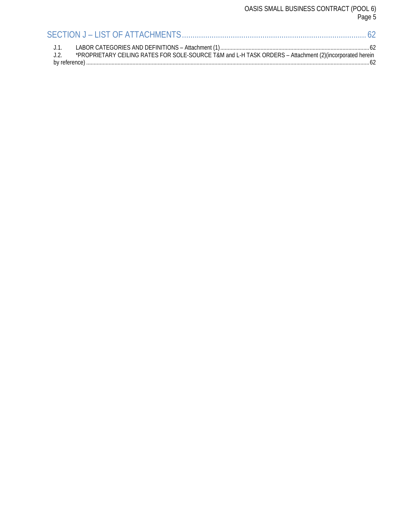<span id="page-4-0"></span>

| $\sqrt{11}$ |                                                                                                          |  |
|-------------|----------------------------------------------------------------------------------------------------------|--|
| $\sqrt{2}$  | *PROPRIETARY CEILING RATES FOR SOLE-SOURCE T&M and L-H TASK ORDERS - Attachment (2) (incorporated herein |  |
|             |                                                                                                          |  |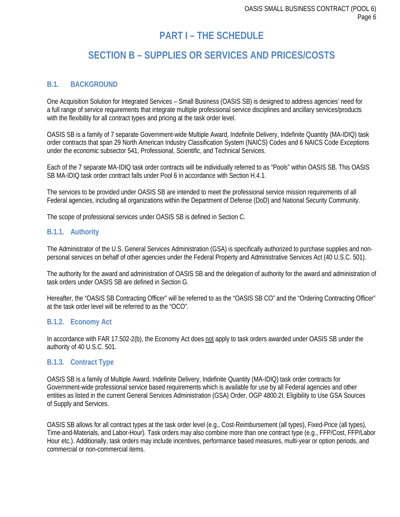# **PART I – THE SCHEDULE**

# **SECTION B – SUPPLIES OR SERVICES AND PRICES/COSTS**

### <span id="page-5-1"></span><span id="page-5-0"></span>**B.1. BACKGROUND**

One Acquisition Solution for Integrated Services – Small Business (OASIS SB) is designed to address agencies' need for a full range of service requirements that integrate multiple professional service disciplines and ancillary services/products with the flexibility for all contract types and pricing at the task order level.

OASIS SB is a family of 7 separate Government-wide Multiple Award, Indefinite Delivery, Indefinite Quantity (MA-IDIQ) task order contracts that span 29 North American Industry Classification System (NAICS) Codes and 6 NAICS Code Exceptions under the economic subsector 541, Professional, Scientific, and Technical Services.

Each of the 7 separate MA-IDIQ task order contracts will be individually referred to as "Pools" within OASIS SB. This OASIS SB MA-IDIQ task order contract falls under Pool 6 in accordance with Section H.4.1.

The services to be provided under OASIS SB are intended to meet the professional service mission requirements of all Federal agencies, including all organizations within the Department of Defense (DoD) and National Security Community.

The scope of professional services under OASIS SB is defined in Section C.

#### <span id="page-5-2"></span>**B.1.1. Authority**

The Administrator of the U.S. General Services Administration (GSA) is specifically authorized to purchase supplies and nonpersonal services on behalf of other agencies under the Federal Property and Administrative Services Act (40 U.S.C. 501).

The authority for the award and administration of OASIS SB and the delegation of authority for the award and administration of task orders under OASIS SB are defined in Section G.

Hereafter, the "OASIS SB Contracting Officer" will be referred to as the "OASIS SB CO" and the "Ordering Contracting Officer" at the task order level will be referred to as the "OCO".

#### <span id="page-5-3"></span>**B.1.2. Economy Act**

In accordance with FAR 17.502-2(b), the Economy Act does not apply to task orders awarded under OASIS SB under the authority of 40 U.S.C. 501.

#### <span id="page-5-4"></span>**B.1.3. Contract Type**

OASIS SB is a family of Multiple Award, Indefinite Delivery, Indefinite Quantity (MA-IDIQ) task order contracts for Government-wide professional service based requirements which is available for use by all Federal agencies and other entities as listed in the current General Services Administration (GSA) Order, OGP 4800.2I, Eligibility to Use GSA Sources of Supply and Services.

OASIS SB allows for all contract types at the task order level (e.g., Cost-Reimbursement (all types), Fixed-Price (all types), Time-and-Materials, and Labor-Hour). Task orders may also combine more than one contract type (e.g., FFP/Cost, FFP/Labor Hour etc.). Additionally, task orders may include incentives, performance based measures, multi-year or option periods, and commercial or non-commercial items.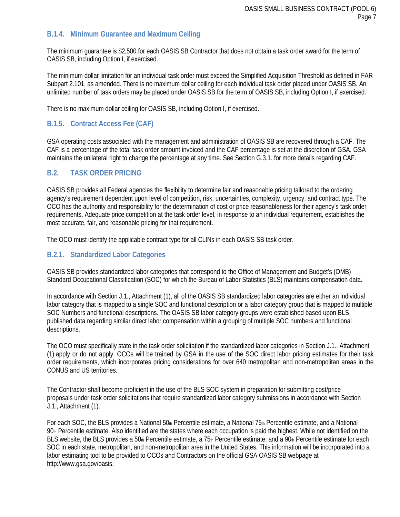#### <span id="page-6-0"></span>**B.1.4. Minimum Guarantee and Maximum Ceiling**

The minimum guarantee is \$2,500 for each OASIS SB Contractor that does not obtain a task order award for the term of OASIS SB, including Option I, if exercised.

The minimum dollar limitation for an individual task order must exceed the Simplified Acquisition Threshold as defined in FAR Subpart 2.101, as amended. There is no maximum dollar ceiling for each individual task order placed under OASIS SB. An unlimited number of task orders may be placed under OASIS SB for the term of OASIS SB, including Option I, if exercised.

There is no maximum dollar ceiling for OASIS SB, including Option I, if exercised.

#### <span id="page-6-1"></span>**B.1.5. Contract Access Fee (CAF)**

GSA operating costs associated with the management and administration of OASIS SB are recovered through a CAF. The CAF is a percentage of the total task order amount invoiced and the CAF percentage is set at the discretion of GSA. GSA maintains the unilateral right to change the percentage at any time. See Section G.3.1. for more details regarding CAF.

#### <span id="page-6-2"></span>**B.2. TASK ORDER PRICING**

OASIS SB provides all Federal agencies the flexibility to determine fair and reasonable pricing tailored to the ordering agency's requirement dependent upon level of competition, risk, uncertainties, complexity, urgency, and contract type. The OCO has the authority and responsibility for the determination of cost or price reasonableness for their agency's task order requirements. Adequate price competition at the task order level, in response to an individual requirement, establishes the most accurate, fair, and reasonable pricing for that requirement.

The OCO must identify the applicable contract type for all CLINs in each OASIS SB task order.

#### <span id="page-6-3"></span>**B.2.1. Standardized Labor Categories**

OASIS SB provides standardized labor categories that correspond to the Office of Management and Budget's (OMB) Standard Occupational Classification (SOC) for which the Bureau of Labor Statistics (BLS) maintains compensation data.

In accordance with Section J.1., Attachment (1), all of the OASIS SB standardized labor categories are either an individual labor category that is mapped to a single SOC and functional description or a labor category group that is mapped to multiple SOC Numbers and functional descriptions. The OASIS SB labor category groups were established based upon BLS published data regarding similar direct labor compensation within a grouping of multiple SOC numbers and functional descriptions.

The OCO must specifically state in the task order solicitation if the standardized labor categories in Section J.1., Attachment (1) apply or do not apply. OCOs will be trained by GSA in the use of the SOC direct labor pricing estimates for their task order requirements, which incorporates pricing considerations for over 640 metropolitan and non-metropolitan areas in the CONUS and US territories.

The Contractor shall become proficient in the use of the BLS SOC system in preparation for submitting cost/price proposals under task order solicitations that require standardized labor category submissions in accordance with Section J.1., Attachment (1).

For each SOC, the BLS provides a National 50th Percentile estimate, a National  $75<sub>th</sub>$  Percentile estimate, and a National 90th Percentile estimate. Also identified are the states where each occupation is paid the highest. While not identified on the BLS website, the BLS provides a 50th Percentile estimate, a  $75<sub>th</sub>$  Percentile estimate, and a  $90<sub>th</sub>$  Percentile estimate for each SOC in each state, metropolitan, and non-metropolitan area in the United States. This information will be incorporated into a labor estimating tool to be provided to OCOs and Contractors on the official GSA OASIS SB webpage at http://www.gsa.gov/oasis.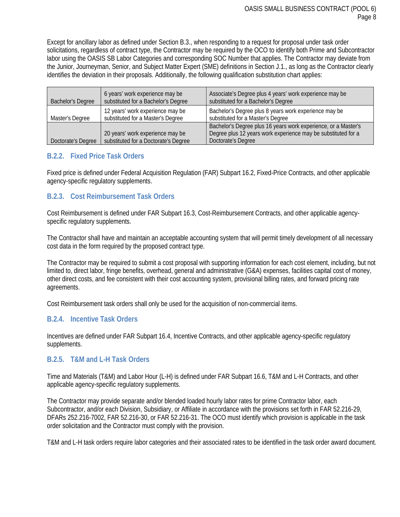Except for ancillary labor as defined under Section B.3., when responding to a request for proposal under task order solicitations, regardless of contract type, the Contractor may be required by the OCO to identify both Prime and Subcontractor labor using the OASIS SB Labor Categories and corresponding SOC Number that applies. The Contractor may deviate from the Junior, Journeyman, Senior, and Subject Matter Expert (SME) definitions in Section J.1., as long as the Contractor clearly identifies the deviation in their proposals. Additionally, the following qualification substitution chart applies:

| <b>Bachelor's Degree</b> | 6 years' work experience may be<br>substituted for a Bachelor's Degree   | Associate's Degree plus 4 years' work experience may be<br>substituted for a Bachelor's Degree                                                        |
|--------------------------|--------------------------------------------------------------------------|-------------------------------------------------------------------------------------------------------------------------------------------------------|
| Master's Degree          | 12 years' work experience may be<br>substituted for a Master's Degree    | Bachelor's Degree plus 8 years work experience may be<br>substituted for a Master's Degree                                                            |
| Doctorate's Degree       | 20 years' work experience may be<br>substituted for a Doctorate's Degree | Bachelor's Degree plus 16 years work experience, or a Master's<br>Degree plus 12 years work experience may be substituted for a<br>Doctorate's Degree |

# <span id="page-7-0"></span>**B.2.2. Fixed Price Task Orders**

Fixed price is defined under Federal Acquisition Regulation (FAR) Subpart 16.2, Fixed-Price Contracts, and other applicable agency-specific regulatory supplements.

#### <span id="page-7-1"></span>**B.2.3. Cost Reimbursement Task Orders**

Cost Reimbursement is defined under FAR Subpart 16.3, Cost-Reimbursement Contracts, and other applicable agencyspecific regulatory supplements.

The Contractor shall have and maintain an acceptable accounting system that will permit timely development of all necessary cost data in the form required by the proposed contract type.

The Contractor may be required to submit a cost proposal with supporting information for each cost element, including, but not limited to, direct labor, fringe benefits, overhead, general and administrative (G&A) expenses, facilities capital cost of money, other direct costs, and fee consistent with their cost accounting system, provisional billing rates, and forward pricing rate agreements.

Cost Reimbursement task orders shall only be used for the acquisition of non-commercial items.

#### <span id="page-7-2"></span>**B.2.4. Incentive Task Orders**

Incentives are defined under FAR Subpart 16.4, Incentive Contracts, and other applicable agency-specific regulatory supplements.

#### <span id="page-7-3"></span>**B.2.5. T&M and L-H Task Orders**

Time and Materials (T&M) and Labor Hour (L-H) is defined under FAR Subpart 16.6, T&M and L-H Contracts, and other applicable agency-specific regulatory supplements.

The Contractor may provide separate and/or blended loaded hourly labor rates for prime Contractor labor, each Subcontractor, and/or each Division, Subsidiary, or Affiliate in accordance with the provisions set forth in FAR 52.216-29, DFARs 252.216-7002, FAR 52.216-30, or FAR 52.216-31. The OCO must identify which provision is applicable in the task order solicitation and the Contractor must comply with the provision.

T&M and L-H task orders require labor categories and their associated rates to be identified in the task order award document.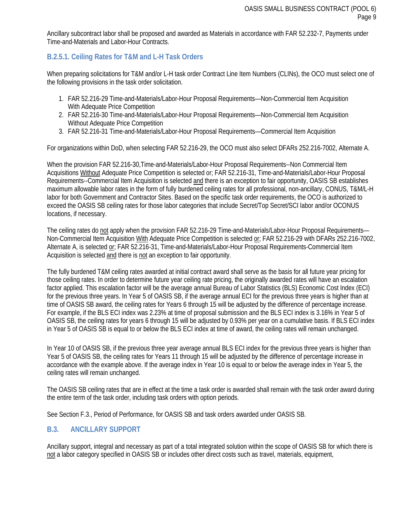Ancillary subcontract labor shall be proposed and awarded as Materials in accordance with FAR 52.232-7, Payments under Time-and-Materials and Labor-Hour Contracts.

### <span id="page-8-0"></span>**B.2.5.1. Ceiling Rates for T&M and L-H Task Orders**

When preparing solicitations for T&M and/or L-H task order Contract Line Item Numbers (CLINs), the OCO must select one of the following provisions in the task order solicitation.

- 1. FAR 52.216-29 Time-and-Materials/Labor-Hour Proposal Requirements—Non-Commercial Item Acquisition With Adequate Price Competition
- 2. FAR 52.216-30 Time-and-Materials/Labor-Hour Proposal Requirements—Non-Commercial Item Acquisition Without Adequate Price Competition
- 3. FAR 52.216-31 Time-and-Materials/Labor-Hour Proposal Requirements—Commercial Item Acquisition

For organizations within DoD, when selecting FAR 52.216-29, the OCO must also select DFARs 252.216-7002, Alternate A.

When the provision FAR 52.216-30,Time-and-Materials/Labor-Hour Proposal Requirements--Non Commercial Item Acquisitions Without Adequate Price Competition is selected or; FAR 52.216-31, Time-and-Materials/Labor-Hour Proposal Requirements--Commercial Item Acquisition is selected and there is an exception to fair opportunity, OASIS SB establishes maximum allowable labor rates in the form of fully burdened ceiling rates for all professional, non-ancillary, CONUS, T&M/L-H labor for both Government and Contractor Sites. Based on the specific task order requirements, the OCO is authorized to exceed the OASIS SB ceiling rates for those labor categories that include Secret/Top Secret/SCI labor and/or OCONUS locations, if necessary.

The ceiling rates do not apply when the provision FAR 52.216-29 Time-and-Materials/Labor-Hour Proposal Requirements— Non-Commercial Item Acquisition With Adequate Price Competition is selected or; FAR 52.216-29 with DFARs 252.216-7002, Alternate A, is selected or; FAR 52.216-31, Time-and-Materials/Labor-Hour Proposal Requirements-Commercial Item Acquisition is selected and there is not an exception to fair opportunity.

The fully burdened T&M ceiling rates awarded at initial contract award shall serve as the basis for all future year pricing for those ceiling rates. In order to determine future year ceiling rate pricing, the originally awarded rates will have an escalation factor applied. This escalation factor will be the average annual Bureau of Labor Statistics (BLS) Economic Cost Index (ECI) for the previous three years. In Year 5 of OASIS SB, if the average annual ECI for the previous three years is higher than at time of OASIS SB award, the ceiling rates for Years 6 through 15 will be adjusted by the difference of percentage increase. For example, if the BLS ECI index was 2.23% at time of proposal submission and the BLS ECI index is 3.16% in Year 5 of OASIS SB, the ceiling rates for years 6 through 15 will be adjusted by 0.93% per year on a cumulative basis. If BLS ECI index in Year 5 of OASIS SB is equal to or below the BLS ECI index at time of award, the ceiling rates will remain unchanged.

In Year 10 of OASIS SB, if the previous three year average annual BLS ECI index for the previous three years is higher than Year 5 of OASIS SB, the ceiling rates for Years 11 through 15 will be adjusted by the difference of percentage increase in accordance with the example above. If the average index in Year 10 is equal to or below the average index in Year 5, the ceiling rates will remain unchanged.

The OASIS SB ceiling rates that are in effect at the time a task order is awarded shall remain with the task order award during the entire term of the task order, including task orders with option periods.

See Section F.3., Period of Performance, for OASIS SB and task orders awarded under OASIS SB.

#### <span id="page-8-1"></span>**B.3. ANCILLARY SUPPORT**

Ancillary support, integral and necessary as part of a total integrated solution within the scope of OASIS SB for which there is not a labor category specified in OASIS SB or includes other direct costs such as travel, materials, equipment,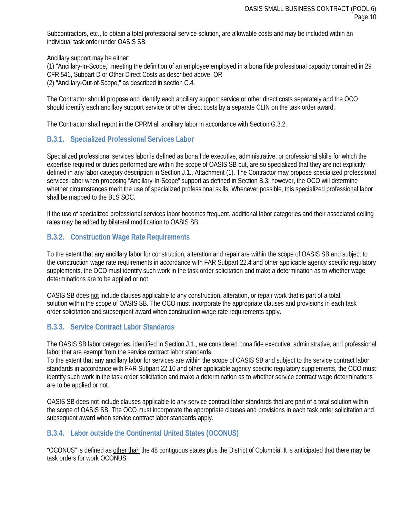Subcontractors, etc., to obtain a total professional service solution, are allowable costs and may be included within an individual task order under OASIS SB.

Ancillary support may be either:

(1) "Ancillary-In-Scope," meeting the definition of an employee employed in a bona fide professional capacity contained in 29 CFR 541, Subpart D or Other Direct Costs as described above, OR (2) "Ancillary-Out-of-Scope," as described in section C.4.

The Contractor should propose and identify each ancillary support service or other direct costs separately and the OCO should identify each ancillary support service or other direct costs by a separate CLIN on the task order award.

<span id="page-9-0"></span>The Contractor shall report in the CPRM all ancillary labor in accordance with Section G.3.2.

#### **B.3.1. Specialized Professional Services Labor**

Specialized professional services labor is defined as bona fide executive, administrative, or professional skills for which the expertise required or duties performed are within the scope of OASIS SB but, are so specialized that they are not explicitly defined in any labor category description in Section J.1., Attachment (1). The Contractor may propose specialized professional services labor when proposing "Ancillary-In-Scope" support as defined in Section B.3; however, the OCO will determine whether circumstances merit the use of specialized professional skills. Whenever possible, this specialized professional labor shall be mapped to the BLS SOC.

If the use of specialized professional services labor becomes frequent, additional labor categories and their associated ceiling rates may be added by bilateral modification to OASIS SB.

#### <span id="page-9-1"></span>**B.3.2. Construction Wage Rate Requirements**

To the extent that any ancillary labor for construction, alteration and repair are within the scope of OASIS SB and subject to the construction wage rate requirements in accordance with FAR Subpart 22.4 and other applicable agency specific regulatory supplements, the OCO must identify such work in the task order solicitation and make a determination as to whether wage determinations are to be applied or not.

OASIS SB does not include clauses applicable to any construction, alteration, or repair work that is part of a total solution within the scope of OASIS SB. The OCO must incorporate the appropriate clauses and provisions in each task order solicitation and subsequent award when construction wage rate requirements apply.

#### <span id="page-9-2"></span>**B.3.3. Service Contract Labor Standards**

The OASIS SB labor categories, identified in Section J.1., are considered bona fide executive, administrative, and professional labor that are exempt from the service contract labor standards.

To the extent that any ancillary labor for services are within the scope of OASIS SB and subject to the service contract labor standards in accordance with FAR Subpart 22.10 and other applicable agency specific regulatory supplements, the OCO must identify such work in the task order solicitation and make a determination as to whether service contract wage determinations are to be applied or not.

OASIS SB does not include clauses applicable to any service contract labor standards that are part of a total solution within the scope of OASIS SB. The OCO must incorporate the appropriate clauses and provisions in each task order solicitation and subsequent award when service contract labor standards apply.

#### <span id="page-9-3"></span>**B.3.4. Labor outside the Continental United States (OCONUS)**

"OCONUS" is defined as other than the 48 contiguous states plus the District of Columbia. It is anticipated that there may be task orders for work OCONUS.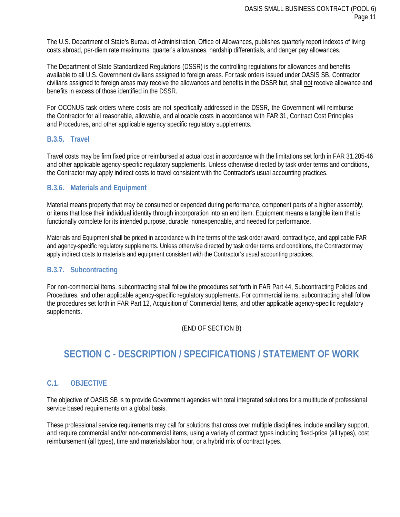The U.S. Department of State's Bureau of Administration, Office of Allowances, publishes quarterly report indexes of living costs abroad, per-diem rate maximums, quarter's allowances, hardship differentials, and danger pay allowances.

The Department of State Standardized Regulations (DSSR) is the controlling regulations for allowances and benefits available to all U.S. Government civilians assigned to foreign areas. For task orders issued under OASIS SB, Contractor civilians assigned to foreign areas may receive the allowances and benefits in the DSSR but, shall not receive allowance and benefits in excess of those identified in the DSSR.

For OCONUS task orders where costs are not specifically addressed in the DSSR, the Government will reimburse the Contractor for all reasonable, allowable, and allocable costs in accordance with FAR 31, Contract Cost Principles and Procedures, and other applicable agency specific regulatory supplements.

#### <span id="page-10-0"></span>**B.3.5. Travel**

Travel costs may be firm fixed price or reimbursed at actual cost in accordance with the limitations set forth in FAR 31.205-46 and other applicable agency-specific regulatory supplements. Unless otherwise directed by task order terms and conditions, the Contractor may apply indirect costs to travel consistent with the Contractor's usual accounting practices.

#### <span id="page-10-1"></span>**B.3.6. Materials and Equipment**

Material means property that may be consumed or expended during performance, component parts of a higher assembly, or items that lose their individual identity through incorporation into an end item. Equipment means a tangible item that is functionally complete for its intended purpose, durable, nonexpendable, and needed for performance.

Materials and Equipment shall be priced in accordance with the terms of the task order award, contract type, and applicable FAR and agency-specific regulatory supplements. Unless otherwise directed by task order terms and conditions, the Contractor may apply indirect costs to materials and equipment consistent with the Contractor's usual accounting practices.

#### <span id="page-10-2"></span>**B.3.7. Subcontracting**

For non-commercial items, subcontracting shall follow the procedures set forth in FAR Part 44, Subcontracting Policies and Procedures, and other applicable agency-specific regulatory supplements. For commercial items, subcontracting shall follow the procedures set forth in FAR Part 12, Acquisition of Commercial Items, and other applicable agency-specific regulatory supplements.

# (END OF SECTION B)

# <span id="page-10-3"></span>**SECTION C - DESCRIPTION / SPECIFICATIONS / STATEMENT OF WORK**

# <span id="page-10-4"></span>**C.1. OBJECTIVE**

The objective of OASIS SB is to provide Government agencies with total integrated solutions for a multitude of professional service based requirements on a global basis.

These professional service requirements may call for solutions that cross over multiple disciplines, include ancillary support, and require commercial and/or non-commercial items, using a variety of contract types including fixed-price (all types), cost reimbursement (all types), time and materials/labor hour, or a hybrid mix of contract types.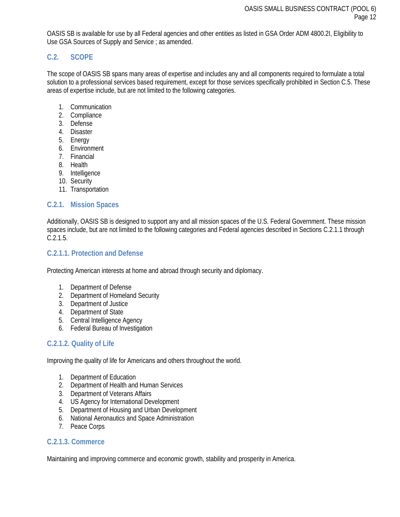OASIS SB is available for use by all Federal agencies and other entities as listed in GSA Order ADM 4800.2I, Eligibility to Use GSA Sources of Supply and Service ; as amended.

#### <span id="page-11-0"></span>**C.2. SCOPE**

The scope of OASIS SB spans many areas of expertise and includes any and all components required to formulate a total solution to a professional services based requirement, except for those services specifically prohibited in Section C.5. These areas of expertise include, but are not limited to the following categories.

- 1. Communication
- 2. Compliance
- 3. Defense
- 4. Disaster
- 5. Energy
- 6. Environment
- 7. Financial
- 8. Health
- 9. Intelligence
- 10. Security
- 11. Transportation

#### <span id="page-11-1"></span>**C.2.1. Mission Spaces**

Additionally, OASIS SB is designed to support any and all mission spaces of the U.S. Federal Government. These mission spaces include, but are not limited to the following categories and Federal agencies described in Sections C.2.1.1 through C.2.1.5.

#### <span id="page-11-2"></span>**C.2.1.1. Protection and Defense**

Protecting American interests at home and abroad through security and diplomacy.

- 1. Department of Defense
- 2. Department of Homeland Security
- 3. Department of Justice
- 4. Department of State
- 5. Central Intelligence Agency
- 6. Federal Bureau of Investigation

#### <span id="page-11-3"></span>**C.2.1.2. Quality of Life**

Improving the quality of life for Americans and others throughout the world.

- 1. Department of Education
- 2. Department of Health and Human Services
- 3. Department of Veterans Affairs
- 4. US Agency for International Development
- 5. Department of Housing and Urban Development
- 6. National Aeronautics and Space Administration
- 7. Peace Corps

#### <span id="page-11-4"></span>**C.2.1.3. Commerce**

Maintaining and improving commerce and economic growth, stability and prosperity in America.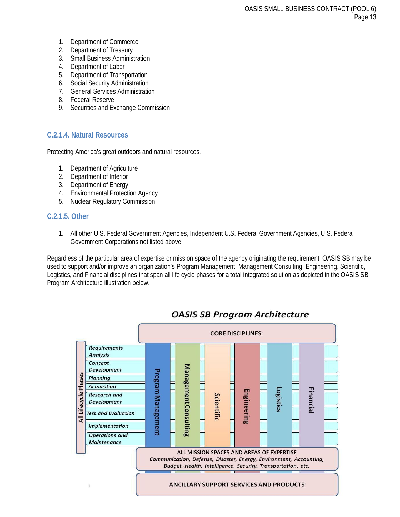- 1. Department of Commerce
- 2. Department of Treasury
- 3. Small Business Administration
- 4. Department of Labor
- 5. Department of Transportation
- 6. Social Security Administration
- 7. General Services Administration
- 8. Federal Reserve
- 9. Securities and Exchange Commission

#### <span id="page-12-0"></span>**C.2.1.4. Natural Resources**

Protecting America's great outdoors and natural resources.

- 1. Department of Agriculture
- 2. Department of Interior
- 3. Department of Energy
- 4. Environmental Protection Agency
- 5. Nuclear Regulatory Commission

#### <span id="page-12-1"></span>**C.2.1.5. Other**

1. All other U.S. Federal Government Agencies, Independent U.S. Federal Government Agencies, U.S. Federal Government Corporations not listed above.

Regardless of the particular area of expertise or mission space of the agency originating the requirement, OASIS SB may be used to support and/or improve an organization's Program Management, Management Consulting, Engineering, Scientific, Logistics, and Financial disciplines that span all life cycle phases for a total integrated solution as depicted in the OASIS SB Program Architecture illustration below.



# **OASIS SB Program Architecture**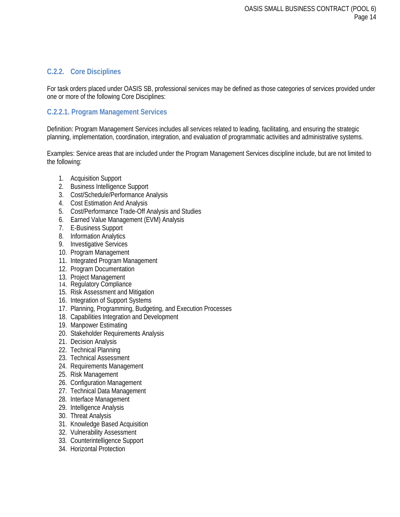### <span id="page-13-0"></span>**C.2.2. Core Disciplines**

For task orders placed under OASIS SB, professional services may be defined as those categories of services provided under one or more of the following Core Disciplines:

### <span id="page-13-1"></span>**C.2.2.1. Program Management Services**

Definition: Program Management Services includes all services related to leading, facilitating, and ensuring the strategic planning, implementation, coordination, integration, and evaluation of programmatic activities and administrative systems.

Examples: Service areas that are included under the Program Management Services discipline include, but are not limited to the following:

- 1. Acquisition Support
- 2. Business Intelligence Support
- 3. Cost/Schedule/Performance Analysis
- 4. Cost Estimation And Analysis
- 5. Cost/Performance Trade-Off Analysis and Studies
- 6. Earned Value Management (EVM) Analysis
- 7. E-Business Support
- 8. Information Analytics
- 9. Investigative Services
- 10. Program Management
- 11. Integrated Program Management
- 12. Program Documentation
- 13. Project Management
- 14. Regulatory Compliance
- 15. Risk Assessment and Mitigation
- 16. Integration of Support Systems
- 17. Planning, Programming, Budgeting, and Execution Processes
- 18. Capabilities Integration and Development
- 19. Manpower Estimating
- 20. Stakeholder Requirements Analysis
- 21. Decision Analysis
- 22. Technical Planning
- 23. Technical Assessment
- 24. Requirements Management
- 25. Risk Management
- 26. Configuration Management
- 27. Technical Data Management
- 28. Interface Management
- 29. Intelligence Analysis
- 30. Threat Analysis
- 31. Knowledge Based Acquisition
- 32. Vulnerability Assessment
- 33. Counterintelligence Support
- 34. Horizontal Protection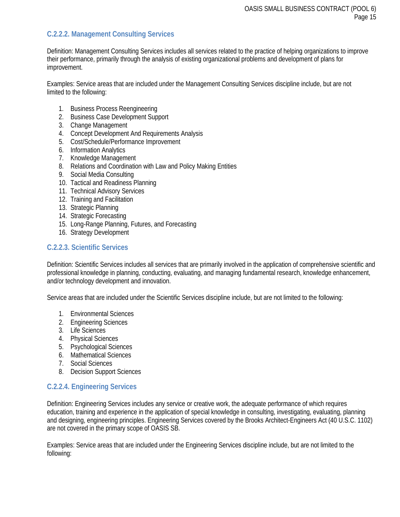### <span id="page-14-0"></span>**C.2.2.2. Management Consulting Services**

Definition: Management Consulting Services includes all services related to the practice of helping organizations to improve their performance, primarily through the analysis of existing organizational problems and development of plans for improvement.

Examples: Service areas that are included under the Management Consulting Services discipline include, but are not limited to the following:

- 1. Business Process Reengineering
- 2. Business Case Development Support
- 3. Change Management
- 4. Concept Development And Requirements Analysis
- 5. Cost/Schedule/Performance Improvement
- 6. Information Analytics
- 7. Knowledge Management
- 8. Relations and Coordination with Law and Policy Making Entities
- 9. Social Media Consulting
- 10. Tactical and Readiness Planning
- 11. Technical Advisory Services
- 12. Training and Facilitation
- 13. Strategic Planning
- 14. Strategic Forecasting
- 15. Long-Range Planning, Futures, and Forecasting
- 16. Strategy Development

#### <span id="page-14-1"></span>**C.2.2.3. Scientific Services**

Definition: Scientific Services includes all services that are primarily involved in the application of comprehensive scientific and professional knowledge in planning, conducting, evaluating, and managing fundamental research, knowledge enhancement, and/or technology development and innovation.

Service areas that are included under the Scientific Services discipline include, but are not limited to the following:

- 1. Environmental Sciences
- 2. Engineering Sciences
- 3. Life Sciences
- 4. Physical Sciences
- 5. Psychological Sciences
- 6. Mathematical Sciences
- 7. Social Sciences
- 8. Decision Support Sciences

#### <span id="page-14-2"></span>**C.2.2.4. Engineering Services**

Definition: Engineering Services includes any service or creative work, the adequate performance of which requires education, training and experience in the application of special knowledge in consulting, investigating, evaluating, planning and designing, engineering principles. Engineering Services covered by the Brooks Architect-Engineers Act (40 U.S.C. 1102) are not covered in the primary scope of OASIS SB.

Examples: Service areas that are included under the Engineering Services discipline include, but are not limited to the following: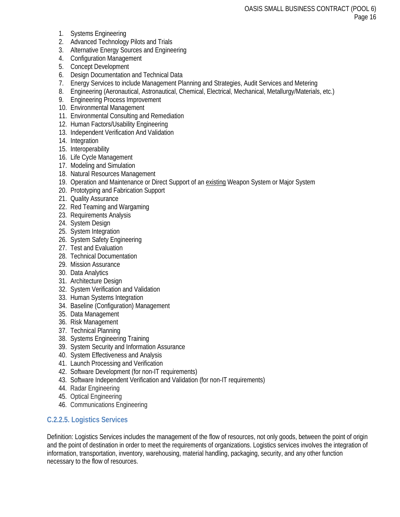- 1. Systems Engineering
- 2. Advanced Technology Pilots and Trials
- 3. Alternative Energy Sources and Engineering
- 4. Configuration Management
- 5. Concept Development
- 6. Design Documentation and Technical Data
- 7. Energy Services to include Management Planning and Strategies, Audit Services and Metering
- 8. Engineering (Aeronautical, Astronautical, Chemical, Electrical, Mechanical, Metallurgy/Materials, etc.)
- 9. Engineering Process Improvement
- 10. Environmental Management
- 11. Environmental Consulting and Remediation
- 12. Human Factors/Usability Engineering
- 13. Independent Verification And Validation
- 14. Integration
- 15. Interoperability
- 16. Life Cycle Management
- 17. Modeling and Simulation
- 18. Natural Resources Management
- 19. Operation and Maintenance or Direct Support of an existing Weapon System or Major System
- 20. Prototyping and Fabrication Support
- 21. Quality Assurance
- 22. Red Teaming and Wargaming
- 23. Requirements Analysis
- 24. System Design
- 25. System Integration
- 26. System Safety Engineering
- 27. Test and Evaluation
- 28. Technical Documentation
- 29. Mission Assurance
- 30. Data Analytics
- 31. Architecture Design
- 32. System Verification and Validation
- 33. Human Systems Integration
- 34. Baseline (Configuration) Management
- 35. Data Management
- 36. Risk Management
- 37. Technical Planning
- 38. Systems Engineering Training
- 39. System Security and Information Assurance
- 40. System Effectiveness and Analysis
- 41. Launch Processing and Verification
- 42. Software Development (for non-IT requirements)
- 43. Software Independent Verification and Validation (for non-IT requirements)
- 44. Radar Engineering
- 45. Optical Engineering
- 46. Communications Engineering

#### <span id="page-15-0"></span>**C.2.2.5. Logistics Services**

Definition: Logistics Services includes the management of the flow of resources, not only goods, between the point of origin and the point of destination in order to meet the requirements of organizations. Logistics services involves the integration of information[, transportation, inventory,](http://en.wikipedia.org/wiki/Transportation) [warehousing, material handling,](http://en.wikipedia.org/wiki/Warehousing) [packaging, security, a](http://en.wikipedia.org/wiki/Packaging)nd any other function necessary to the flow of resources.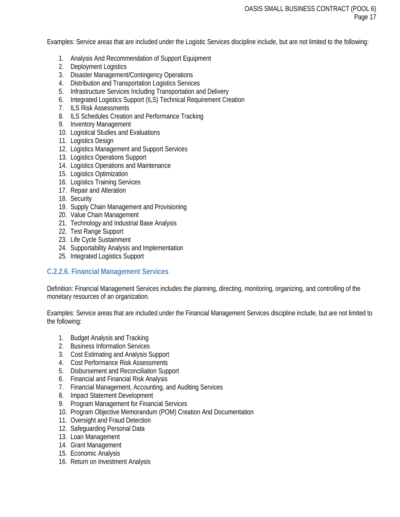Examples: Service areas that are included under the Logistic Services discipline include, but are not limited to the following:

- 1. Analysis And Recommendation of Support Equipment
- 2. Deployment Logistics
- 3. Disaster Management/Contingency Operations
- 4. Distribution and Transportation Logistics Services
- 5. Infrastructure Services Including Transportation and Delivery
- 6. Integrated Logistics Support (ILS) Technical Requirement Creation
- 7. ILS Risk Assessments
- 8. ILS Schedules Creation and Performance Tracking
- 9. Inventory Management
- 10. Logistical Studies and Evaluations
- 11. Logistics Design
- 12. Logistics Management and Support Services
- 13. Logistics Operations Support
- 14. Logistics Operations and Maintenance
- 15. Logistics Optimization
- 16. Logistics Training Services
- 17. Repair and Alteration
- 18. Security
- 19. Supply Chain Management and Provisioning
- 20. Value Chain Management
- 21. Technology and Industrial Base Analysis
- 22. Test Range Support
- 23. Life Cycle Sustainment
- 24. Supportability Analysis and Implementation
- 25. Integrated Logistics Support

#### <span id="page-16-0"></span>**C.2.2.6. Financial Management Services**

Definition: Financial Management Services includes the [planning, directing,](http://www.businessdictionary.com/definition/planning.html) [monitoring, organizing, a](http://www.businessdictionary.com/definition/monitoring.html)n[d controlling o](http://www.businessdictionary.com/definition/controlling.html)f the [monetary resources o](http://www.businessdictionary.com/definition/monetary.html)f an [organization.](http://www.businessdictionary.com/definition/organization.html)

Examples: Service areas that are included under the Financial Management Services discipline include, but are not limited to the following:

- 1. Budget Analysis and Tracking
- 2. Business Information Services
- 3. Cost Estimating and Analysis Support
- 4. Cost Performance Risk Assessments
- 5. Disbursement and Reconciliation Support
- 6. Financial and Financial Risk Analysis
- 7. Financial Management, Accounting, and Auditing Services
- 8. Impact Statement Development
- 9. Program Management for Financial Services
- 10. Program Objective Memorandum (POM) Creation And Documentation
- 11. Oversight and Fraud Detection
- 12. Safeguarding Personal Data
- 13. Loan Management
- 14. Grant Management
- 15. Economic Analysis
- 16. Return on Investment Analysis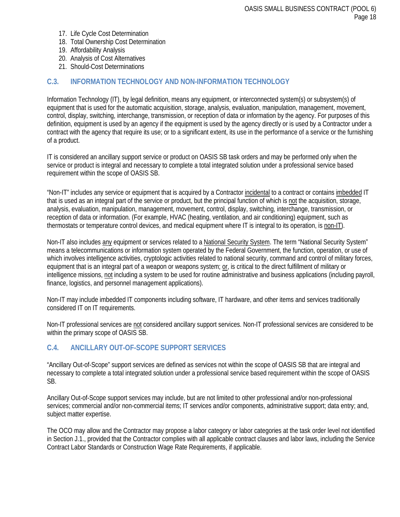- 17. Life Cycle Cost Determination
- 18. Total Ownership Cost Determination
- 19. Affordability Analysis
- 20. Analysis of Cost Alternatives
- 21. Should-Cost Determinations

#### <span id="page-17-0"></span>**C.3. INFORMATION TECHNOLOGY AND NON-INFORMATION TECHNOLOGY**

Information Technology (IT), by legal definition, means any equipment, or interconnected system(s) or subsystem(s) of equipment that is used for the automatic acquisition, storage, analysis, evaluation, manipulation, management, movement, control, display, switching, interchange, transmission, or reception of data or information by the agency. For purposes of this definition, equipment is used by an agency if the equipment is used by the agency directly or is used by a Contractor under a contract with the agency that require its use; or to a significant extent, its use in the performance of a service or the furnishing of a product.

IT is considered an ancillary support service or product on OASIS SB task orders and may be performed only when the service or product is integral and necessary to complete a total integrated solution under a professional service based requirement within the scope of OASIS SB.

"Non-IT" includes any service or equipment that is acquired by a Contractor incidental to a contract or contains imbedded IT that is used as an integral part of the service or product, but the principal function of which is not the acquisition, storage, analysis, evaluation, manipulation, management, movement, control, display, switching, interchange, transmission, or reception of data or information. (For example, HVAC (heating, ventilation, and air conditioning) equipment, such as thermostats or temperature control devices, and medical equipment where IT is integral to its operation, is non-IT).

Non-IT also includes any equipment or services related to a National Security System. The term "National Security System" means a telecommunications or information system operated by the Federal Government, the function, operation, or use of which involves intelligence activities, cryptologic activities related to national security, command and control of military forces, equipment that is an integral part of a weapon or weapons system; or, is critical to the direct fulfillment of military or intelligence missions, not including a system to be used for routine administrative and business applications (including payroll, finance, logistics, and personnel management applications).

Non-IT may include imbedded IT components including software, IT hardware, and other items and services traditionally considered IT on IT requirements.

Non-IT professional services are not considered ancillary support services. Non-IT professional services are considered to be within the primary scope of OASIS SB.

# <span id="page-17-1"></span>**C.4. ANCILLARY OUT-OF-SCOPE SUPPORT SERVICES**

"Ancillary Out-of-Scope" support services are defined as services not within the scope of OASIS SB that are integral and necessary to complete a total integrated solution under a professional service based requirement within the scope of OASIS SB.

Ancillary Out-of-Scope support services may include, but are not limited to other professional and/or non-professional services; commercial and/or non-commercial items; IT services and/or components, administrative support; data entry; and, subject matter expertise.

The OCO may allow and the Contractor may propose a labor category or labor categories at the task order level not identified in Section J.1., provided that the Contractor complies with all applicable contract clauses and labor laws, including the Service Contract Labor Standards or Construction Wage Rate Requirements, if applicable.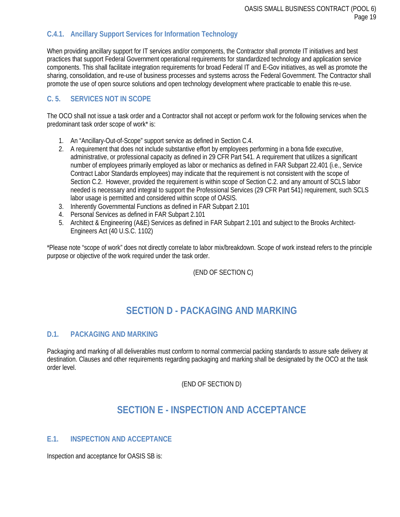# <span id="page-18-0"></span>**C.4.1. Ancillary Support Services for Information Technology**

When providing ancillary support for IT services and/or components, the Contractor shall promote IT initiatives and best practices that support Federal Government operational requirements for standardized technology and application service components. This shall facilitate integration requirements for broad Federal IT and E-Gov initiatives, as well as promote the sharing, consolidation, and re-use of business processes and systems across the Federal Government. The Contractor shall promote the use of open source solutions and open technology development where practicable to enable this re-use.

#### <span id="page-18-1"></span>**C. 5. SERVICES NOT IN SCOPE**

The OCO shall not issue a task order and a Contractor shall not accept or perform work for the following services when the predominant task order scope of work\* is:

- 1. An "Ancillary-Out-of-Scope" support service as defined in Section C.4.
- 2. A requirement that does not include substantive effort by employees performing in a bona fide executive, administrative, or professional capacity as defined in 29 CFR Part 541. A requirement that utilizes a significant number of employees primarily employed as labor or mechanics as defined in FAR Subpart 22.401 (i.e., Service Contract Labor Standards employees) may indicate that the requirement is not consistent with the scope of Section C.2. However, provided the requirement is within scope of Section C.2. and any amount of SCLS labor needed is necessary and integral to support the Professional Services (29 CFR Part 541) requirement, such SCLS labor usage is permitted and considered within scope of OASIS.
- 3. Inherently Governmental Functions as defined in FAR Subpart 2.101
- 4. Personal Services as defined in FAR Subpart 2.101
- 5. Architect & Engineering (A&E) Services as defined in FAR Subpart 2.101 and subject to the Brooks Architect-Engineers Act (40 U.S.C. 1102)

\*Please note "scope of work" does not directly correlate to labor mix/breakdown. Scope of work instead refers to the principle purpose or objective of the work required under the task order.

(END OF SECTION C)

# **SECTION D - PACKAGING AND MARKING**

#### <span id="page-18-3"></span><span id="page-18-2"></span>**D.1. PACKAGING AND MARKING**

<span id="page-18-4"></span>Packaging and marking of all deliverables must conform to normal commercial packing standards to assure safe delivery at destination. Clauses and other requirements regarding packaging and marking shall be designated by the OCO at the task order level.

(END OF SECTION D)

# **SECTION E - INSPECTION AND ACCEPTANCE**

#### <span id="page-18-5"></span>**E.1. INSPECTION AND ACCEPTANCE**

Inspection and acceptance for OASIS SB is: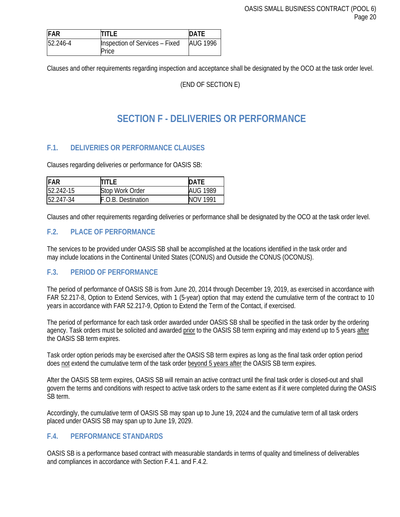| FAR      | <b>TITLE</b>                            | <b>DATE</b>     |
|----------|-----------------------------------------|-----------------|
| 52.246-4 | Inspection of Services - Fixed<br>Price | <b>AUG 1996</b> |

<span id="page-19-0"></span>Clauses and other requirements regarding inspection and acceptance shall be designated by the OCO at the task order level.

(END OF SECTION E)

# **SECTION F - DELIVERIES OR PERFORMANCE**

#### <span id="page-19-1"></span>**F.1. DELIVERIES OR PERFORMANCE CLAUSES**

Clauses regarding deliveries or performance for OASIS SB:

| <b>FAR</b> | TITI F                    | DATE         |
|------------|---------------------------|--------------|
| 52.242-15  | Stop Work Order           | AUG 1989     |
| 52.247-34  | <b>F.O.B. Destination</b> | 1991<br>NOV. |

<span id="page-19-2"></span>Clauses and other requirements regarding deliveries or performance shall be designated by the OCO at the task order level.

#### **F.2. PLACE OF PERFORMANCE**

The services to be provided under OASIS SB shall be accomplished at the locations identified in the task order and may include locations in the Continental United States (CONUS) and Outside the CONUS (OCONUS).

#### <span id="page-19-3"></span>**F.3. PERIOD OF PERFORMANCE**

The period of performance of OASIS SB is from June 20, 2014 through December 19, 2019, as exercised in accordance with FAR 52.217-8, Option to Extend Services, with 1 (5-year) option that may extend the cumulative term of the contract to 10 years in accordance with FAR 52.217-9, Option to Extend the Term of the Contact, if exercised.

The period of performance for each task order awarded under OASIS SB shall be specified in the task order by the ordering agency. Task orders must be solicited and awarded prior to the OASIS SB term expiring and may extend up to 5 years after the OASIS SB term expires.

Task order option periods may be exercised after the OASIS SB term expires as long as the final task order option period does not extend the cumulative term of the task order beyond 5 years after the OASIS SB term expires.

After the OASIS SB term expires, OASIS SB will remain an active contract until the final task order is closed-out and shall govern the terms and conditions with respect to active task orders to the same extent as if it were completed during the OASIS SB term.

Accordingly, the cumulative term of OASIS SB may span up to June 19, 2024 and the cumulative term of all task orders placed under OASIS SB may span up to June 19, 2029.

#### <span id="page-19-4"></span>**F.4. PERFORMANCE STANDARDS**

OASIS SB is a performance based contract with measurable standards in terms of quality and timeliness of deliverables and compliances in accordance with Section F.4.1. and F.4.2.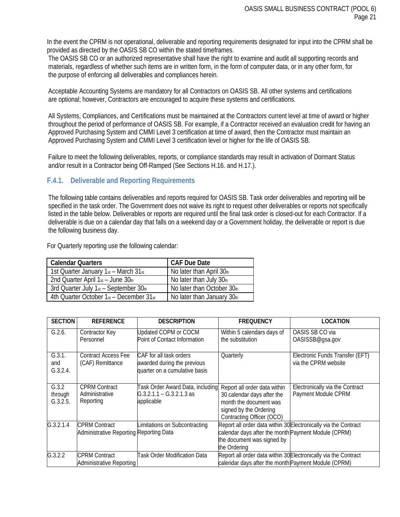In the event the CPRM is not operational, deliverable and reporting requirements designated for input into the CPRM shall be provided as directed by the OASIS SB CO within the stated timeframes.

The OASIS SB CO or an authorized representative shall have the right to examine and audit all supporting records and materials, regardless of whether such items are in written form, in the form of computer data, or in any other form, for the purpose of enforcing all deliverables and compliances herein.

Acceptable Accounting Systems are mandatory for all Contractors on OASIS SB. All other systems and certifications are optional; however, Contractors are encouraged to acquire these systems and certifications.

All Systems, Compliances, and Certifications must be maintained at the Contractors current level at time of award or higher throughout the period of performance of OASIS SB. For example, if a Contractor received an evaluation credit for having an Approved Purchasing System and CMMI Level 3 certification at time of award, then the Contractor must maintain an Approved Purchasing System and CMMI Level 3 certification level or higher for the life of OASIS SB.

Failure to meet the following deliverables, reports, or compliance standards may result in activation of Dormant Status and/or result in a Contractor being Off-Ramped (See Sections H.16. and H.17.).

#### <span id="page-20-0"></span>**F.4.1. Deliverable and Reporting Requirements**

The following table contains deliverables and reports required for OASIS SB. Task order deliverables and reporting will be specified in the task order. The Government does not waive its right to request other deliverables or reports not specifically listed in the table below. Deliverables or reports are required until the final task order is closed-out for each Contractor. If a deliverable is due on a calendar day that falls on a weekend day or a Government holiday, the deliverable or report is due the following business day.

For Quarterly reporting use the following calendar:

| <b>Calendar Quarters</b>                          | <b>CAF Due Date</b>        |  |
|---------------------------------------------------|----------------------------|--|
| 1st Quarter January $1_{st}$ – March $31_{st}$    | No later than April 30th   |  |
| 2nd Quarter April $1st - June 30th$               | No later than July $30th$  |  |
| 3rd Quarter July $1_{st}$ – September $30_{th}$   | No later than October 30th |  |
| 4th Quarter October $1_{st}$ – December $31_{st}$ | No later than January 30th |  |

| <b>SECTION</b>               | <b>REFERENCE</b>                                                | <b>DESCRIPTION</b>                                                                                        | <b>FREQUENCY</b>                                                                                                                                                     | LOCATION                                                |
|------------------------------|-----------------------------------------------------------------|-----------------------------------------------------------------------------------------------------------|----------------------------------------------------------------------------------------------------------------------------------------------------------------------|---------------------------------------------------------|
| G.2.6.                       | Contractor Key<br>Personnel                                     | Updated COPM or COCM<br>Point of Contact Information                                                      | Within 5 calendars days of<br>the substitution                                                                                                                       | OASIS SB CO via<br>OASISSB@gsa.gov                      |
| G.3.1.<br>and<br>G.3.2.4.    | <b>Contract Access Fee</b><br>(CAF) Remittance                  | CAF for all task orders<br>awarded during the previous<br>quarter on a cumulative basis                   | Quarterly                                                                                                                                                            | Electronic Funds Transfer (EFT)<br>via the CPRM website |
| G.3.2<br>through<br>G.3.2.5. | <b>CPRM Contract</b><br>Administrative<br>Reporting             | Task Order Award Data, including Report all order data within<br>$G.3.2.1.1 - G.3.2.1.3$ as<br>applicable | 30 calendar days after the<br>month the document was<br>signed by the Ordering<br>Contracting Officer (OCO)                                                          | Electronically via the Contract<br>Payment Module CPRM  |
| G.3.2.1.4                    | <b>CPRM Contract</b><br>Administrative Reporting Reporting Data | Limitations on Subcontracting                                                                             | Report all order data within 30 Electronically via the Contract<br>calendar days after the month Payment Module (CPRM)<br>the document was signed by<br>the Ordering |                                                         |
| G.3.2.2                      | <b>CPRM Contract</b><br>Administrative Reporting                | <b>Task Order Modification Data</b>                                                                       | Report all order data within 30 Electronically via the Contract<br>calendar days after the month Payment Module (CPRM)                                               |                                                         |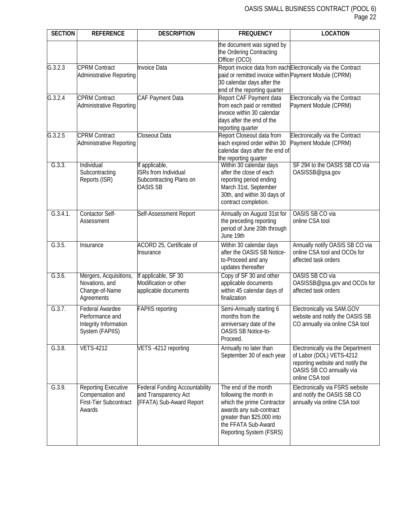#### OASIS SMALL BUSINESS CONTRACT (POOL 6) Page 22

| <b>SECTION</b>       | <b>REFERENCE</b>                                                                   | <b>DESCRIPTION</b>                                                                        | <b>FREQUENCY</b>                                                                                                                                                                        | <b>LOCATION</b>                                                                                                                                  |
|----------------------|------------------------------------------------------------------------------------|-------------------------------------------------------------------------------------------|-----------------------------------------------------------------------------------------------------------------------------------------------------------------------------------------|--------------------------------------------------------------------------------------------------------------------------------------------------|
|                      |                                                                                    |                                                                                           | the document was signed by<br>the Ordering Contracting<br>Officer (OCO)                                                                                                                 |                                                                                                                                                  |
| G.3.2.3              | <b>CPRM Contract</b><br><b>Administrative Reporting</b>                            | <b>Invoice Data</b>                                                                       | paid or remitted invoice within Payment Module (CPRM)<br>30 calendar days after the<br>end of the reporting quarter                                                                     | Report invoice data from each Electronically via the Contract                                                                                    |
| $\overline{G.3.2}.4$ | <b>CPRM Contract</b><br><b>Administrative Reporting</b>                            | <b>CAF Payment Data</b>                                                                   | Report CAF Payment data<br>from each paid or remitted<br>invoice within 30 calendar<br>days after the end of the<br>reporting quarter                                                   | Electronically via the Contract<br>Payment Module (CPRM)                                                                                         |
| G.3.2.5              | <b>CPRM Contract</b><br><b>Administrative Reporting</b>                            | Closeout Data                                                                             | Report Closeout data from<br>each expired order within 30<br>calendar days after the end of<br>the reporting quarter                                                                    | Electronically via the Contract<br>Payment Module (CPRM)                                                                                         |
| G.3.3.               | Individual<br>Subcontracting<br>Reports (ISR)                                      | f applicable,<br><b>SRs</b> from Individual<br>Subcontracting Plans on<br><b>OASIS SB</b> | Within 30 calendar days<br>after the close of each<br>reporting period ending<br>March 31st, September<br>30th, and within 30 days of<br>contract completion.                           | SF 294 to the OASIS SB CO via<br>OASISSB@gsa.gov                                                                                                 |
| G.3.4.1.             | <b>Contactor Self-</b><br>Assessment                                               | Self-Assessment Report                                                                    | Annually on August 31st for<br>the preceding reporting<br>period of June 20th through<br>June 19th                                                                                      | OASIS SB CO via<br>online CSA tool                                                                                                               |
| G.3.5.               | Insurance                                                                          | <b>ACORD 25, Certificate of</b><br>Insurance                                              | Within 30 calendar days<br>after the OASIS SB Notice-<br>to-Proceed and any<br>updates thereafter                                                                                       | Annually notify OASIS SB CO via<br>online CSA tool and OCOs for<br>affected task orders                                                          |
| G.3.6.               | Mergers, Acquisitions,<br>Novations, and<br>Change-of-Name<br>Agreements           | If applicable, SF 30<br>Modification or other<br>applicable documents                     | Copy of SF 30 and other<br>applicable documents<br>within 45 calendar days of<br>finalization                                                                                           | OASIS SB CO via<br>OASISSB@gsa.gov and OCOs for<br>affected task orders                                                                          |
| G.3.7.               | Federal Awardee<br>Performance and<br>Integrity Information<br>System (FAPIIS)     | <b>FAPIIS</b> reporting                                                                   | Semi-Annually starting 6<br>months from the<br>anniversary date of the<br><b>OASIS SB Notice-to-</b><br>Proceed.                                                                        | Electronically via SAM.GOV<br>website and notify the OASIS SB<br>CO annually via online CSA tool                                                 |
| G.3.8.               | <b>VETS-4212</b>                                                                   | VETS-4212 reporting                                                                       | Annually no later than<br>September 30 of each year                                                                                                                                     | Electronically via the Department<br>of Labor (DOL) VETS-4212<br>reporting website and notify the<br>OASIS SB CO annually via<br>online CSA tool |
| G.3.9.               | <b>Reporting Executive</b><br>Compensation and<br>First-Tier Subcontract<br>Awards | Federal Funding Accountability<br>and Transparency Act<br>(FFATA) Sub-Award Report        | The end of the month<br>following the month in<br>which the prime Contractor<br>awards any sub-contract<br>greater than \$25,000 into<br>the FFATA Sub-Award<br>Reporting System (FSRS) | Electronically via FSRS website<br>and notify the OASIS SB CO<br>annually via online CSA tool                                                    |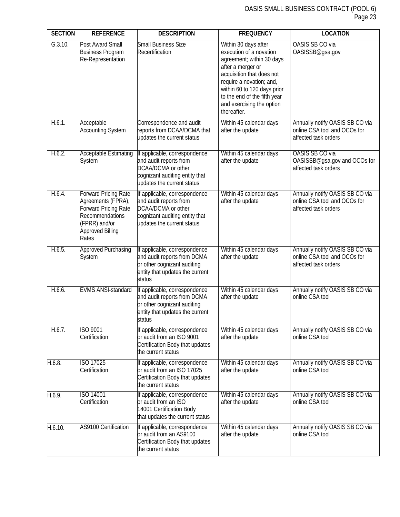| <b>SECTION</b> | <b>REFERENCE</b>                                                                                                                                  | <b>DESCRIPTION</b>                                                                                                                            | <b>FREQUENCY</b>                                                                                                                                                                                                                                                      | <b>LOCATION</b>                                                                         |
|----------------|---------------------------------------------------------------------------------------------------------------------------------------------------|-----------------------------------------------------------------------------------------------------------------------------------------------|-----------------------------------------------------------------------------------------------------------------------------------------------------------------------------------------------------------------------------------------------------------------------|-----------------------------------------------------------------------------------------|
| G.3.10.        | <b>Post Award Small</b><br><b>Business Program</b><br>Re-Representation                                                                           | <b>Small Business Size</b><br>Recertification                                                                                                 | Within 30 days after<br>execution of a novation<br>agreement; within 30 days<br>after a merger or<br>acquisition that does not<br>require a novation; and,<br>within 60 to 120 days prior<br>to the end of the fifth year<br>and exercising the option<br>thereafter. | OASIS SB CO via<br>OASISSB@gsa.gov                                                      |
| H.6.1.         | Acceptable<br><b>Accounting System</b>                                                                                                            | Correspondence and audit<br>reports from DCAA/DCMA that<br>updates the current status                                                         | Within 45 calendar days<br>after the update                                                                                                                                                                                                                           | Annually notify OASIS SB CO via<br>online CSA tool and OCOs for<br>affected task orders |
| H.6.2.         | <b>Acceptable Estimating</b><br>System                                                                                                            | If applicable, correspondence<br>and audit reports from<br>DCAA/DCMA or other<br>cognizant auditing entity that<br>updates the current status | Within 45 calendar days<br>after the update                                                                                                                                                                                                                           | OASIS SB CO via<br>OASISSB@gsa.gov and OCOs for<br>affected task orders                 |
| H.6.4.         | <b>Forward Pricing Rate</b><br>Agreements (FPRA),<br>Forward Pricing Rate<br>Recommendations<br>(FPRR) and/or<br><b>Approved Billing</b><br>Rates | If applicable, correspondence<br>and audit reports from<br>DCAA/DCMA or other<br>cognizant auditing entity that<br>updates the current status | Within 45 calendar days<br>after the update                                                                                                                                                                                                                           | Annually notify OASIS SB CO via<br>online CSA tool and OCOs for<br>affected task orders |
| H.6.5.         | <b>Approved Purchasing</b><br>System                                                                                                              | If applicable, correspondence<br>and audit reports from DCMA<br>or other cognizant auditing<br>entity that updates the current<br>status      | Within 45 calendar days<br>after the update                                                                                                                                                                                                                           | Annually notify OASIS SB CO via<br>online CSA tool and OCOs for<br>affected task orders |
| H.6.6.         | <b>EVMS ANSI-standard</b>                                                                                                                         | If applicable, correspondence<br>and audit reports from DCMA<br>or other cognizant auditing<br>entity that updates the current<br>status      | Within 45 calendar days<br>after the update                                                                                                                                                                                                                           | Annually notify OASIS SB CO via<br>online CSA tool                                      |
| H.6.7.         | ISO 9001<br>Certification                                                                                                                         | If applicable, correspondence<br>or audit from an ISO 9001<br>Certification Body that updates<br>the current status                           | Within 45 calendar days<br>after the update                                                                                                                                                                                                                           | Annually notify OASIS SB CO via<br>online CSA tool                                      |
| H.6.8.         | ISO 17025<br>Certification                                                                                                                        | If applicable, correspondence<br>or audit from an ISO 17025<br>Certification Body that updates<br>the current status                          | Within 45 calendar days<br>after the update                                                                                                                                                                                                                           | Annually notify OASIS SB CO via<br>online CSA tool                                      |
| H.6.9.         | ISO 14001<br>Certification                                                                                                                        | If applicable, correspondence<br>or audit from an ISO<br>14001 Certification Body<br>that updates the current status                          | Within 45 calendar days<br>after the update                                                                                                                                                                                                                           | Annually notify OASIS SB CO via<br>online CSA tool                                      |
| H.6.10.        | <b>AS9100 Certification</b>                                                                                                                       | If applicable, correspondence<br>or audit from an AS9100<br>Certification Body that updates<br>the current status                             | Within 45 calendar days<br>after the update                                                                                                                                                                                                                           | Annually notify OASIS SB CO via<br>online CSA tool                                      |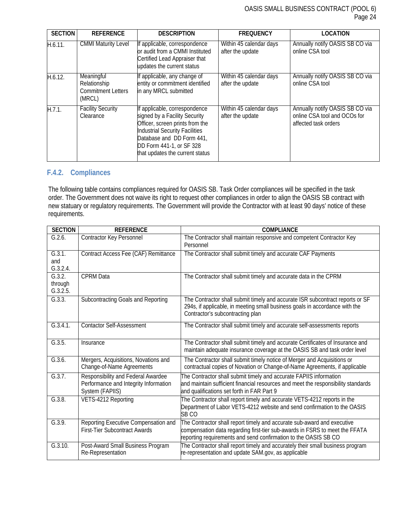| <b>SECTION</b> | <b>REFERENCE</b>                                                  | <b>DESCRIPTION</b>                                                                                                                                                                                                                     | <b>FREQUENCY</b>                            | LOCATION                                                                                |
|----------------|-------------------------------------------------------------------|----------------------------------------------------------------------------------------------------------------------------------------------------------------------------------------------------------------------------------------|---------------------------------------------|-----------------------------------------------------------------------------------------|
| H.6.11.        | <b>CMMI Maturity Level</b>                                        | If applicable, correspondence<br>or audit from a CMMI Instituted<br>Certified Lead Appraiser that<br>updates the current status                                                                                                        | Within 45 calendar days<br>after the update | Annually notify OASIS SB CO via<br>online CSA tool                                      |
| H.6.12.        | Meaningful<br>Relationship<br><b>Commitment Letters</b><br>(MRCL) | If applicable, any change of<br>entity or commitment identified<br>in any MRCL submitted                                                                                                                                               | Within 45 calendar days<br>after the update | Annually notify OASIS SB CO via<br>online CSA tool                                      |
| H.7.1.         | <b>Facility Security</b><br>Clearance                             | If applicable, correspondence<br>signed by a Facility Security<br>Officer, screen prints from the<br><b>Industrial Security Facilities</b><br>Database and DD Form 441,<br>DD Form 441-1, or SF 328<br>that updates the current status | Within 45 calendar days<br>after the update | Annually notify OASIS SB CO via<br>online CSA tool and OCOs for<br>affected task orders |

#### <span id="page-23-0"></span>**F.4.2. Compliances**

The following table contains compliances required for OASIS SB. Task Order compliances will be specified in the task order. The Government does not waive its right to request other compliances in order to align the OASIS SB contract with new statuary or regulatory requirements. The Government will provide the Contractor with at least 90 days' notice of these requirements.

| <b>SECTION</b>                | <b>REFERENCE</b>                                                                               | <b>COMPLIANCE</b>                                                                                                                                                                                                         |
|-------------------------------|------------------------------------------------------------------------------------------------|---------------------------------------------------------------------------------------------------------------------------------------------------------------------------------------------------------------------------|
| G.2.6.                        | <b>Contractor Key Personnel</b>                                                                | The Contractor shall maintain responsive and competent Contractor Key<br>Personnel                                                                                                                                        |
| G.3.1.<br>and<br>G.3.2.4.     | Contract Access Fee (CAF) Remittance                                                           | The Contractor shall submit timely and accurate CAF Payments                                                                                                                                                              |
| G.3.2.<br>through<br>G.3.2.5. | <b>CPRM Data</b>                                                                               | The Contractor shall submit timely and accurate data in the CPRM                                                                                                                                                          |
| G.3.3.                        | Subcontracting Goals and Reporting                                                             | The Contractor shall submit timely and accurate ISR subcontract reports or SF<br>294s, if applicable, in meeting small business goals in accordance with the<br>Contractor's subcontracting plan                          |
| G.3.4.1.                      | <b>Contactor Self-Assessment</b>                                                               | The Contractor shall submit timely and accurate self-assessments reports                                                                                                                                                  |
| G.3.5.                        | Insurance                                                                                      | The Contractor shall submit timely and accurate Certificates of Insurance and<br>maintain adequate insurance coverage at the OASIS SB and task order level                                                                |
| G.3.6.                        | Mergers, Acquisitions, Novations and<br>Change-of-Name Agreements                              | The Contractor shall submit timely notice of Merger and Acquisitions or<br>contractual copies of Novation or Change-of-Name Agreements, if applicable                                                                     |
| G.3.7.                        | Responsibility and Federal Awardee<br>Performance and Integrity Information<br>System (FAPIIS) | The Contractor shall submit timely and accurate FAPIIS information<br>and maintain sufficient financial resources and meet the responsibility standards<br>and qualifications set forth in FAR Part 9                     |
| G.3.8.                        | VETS-4212 Reporting                                                                            | The Contractor shall report timely and accurate VETS-4212 reports in the<br>Department of Labor VETS-4212 website and send confirmation to the OASIS<br>SB CO                                                             |
| G.3.9.                        | Reporting Executive Compensation and<br><b>First-Tier Subcontract Awards</b>                   | The Contractor shall report timely and accurate sub-award and executive<br>compensation data regarding first-tier sub-awards in FSRS to meet the FFATA<br>reporting requirements and send confirmation to the OASIS SB CO |
| G.3.10.                       | Post-Award Small Business Program<br>Re-Representation                                         | The Contractor shall report timely and accurately their small business program<br>re-representation and update SAM.gov, as applicable                                                                                     |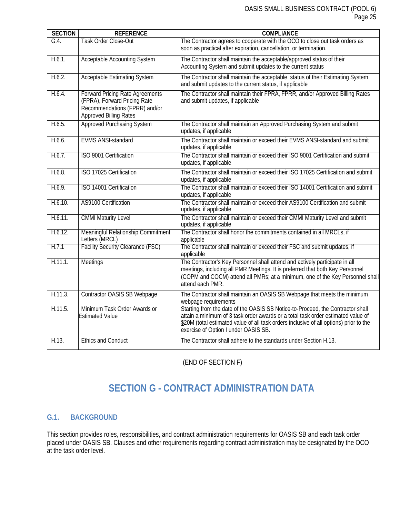| <b>SECTION</b>     | <b>REFERENCE</b>                                                                                                                         | <b>COMPLIANCE</b>                                                                                                                                                                                                                                                                                    |
|--------------------|------------------------------------------------------------------------------------------------------------------------------------------|------------------------------------------------------------------------------------------------------------------------------------------------------------------------------------------------------------------------------------------------------------------------------------------------------|
| $\overline{G.4}$ . | Task Order Close-Out                                                                                                                     | The Contractor agrees to cooperate with the OCO to close out task orders as<br>soon as practical after expiration, cancellation, or termination.                                                                                                                                                     |
| H.6.1.             | <b>Acceptable Accounting System</b>                                                                                                      | The Contractor shall maintain the acceptable/approved status of their<br>Accounting System and submit updates to the current status                                                                                                                                                                  |
| H.6.2.             | <b>Acceptable Estimating System</b>                                                                                                      | The Contractor shall maintain the acceptable status of their Estimating System<br>and submit updates to the current status, if applicable                                                                                                                                                            |
| H.6.4.             | <b>Forward Pricing Rate Agreements</b><br>(FPRA), Forward Pricing Rate<br>Recommendations (FPRR) and/or<br><b>Approved Billing Rates</b> | The Contractor shall maintain their FPRA, FPRR, and/or Approved Billing Rates<br>and submit updates, if applicable                                                                                                                                                                                   |
| H.6.5.             | <b>Approved Purchasing System</b>                                                                                                        | The Contractor shall maintain an Approved Purchasing System and submit<br>updates, if applicable                                                                                                                                                                                                     |
| H.6.6.             | <b>EVMS ANSI-standard</b>                                                                                                                | The Contractor shall maintain or exceed their EVMS ANSI-standard and submit<br>updates, if applicable                                                                                                                                                                                                |
| H.6.7.             | ISO 9001 Certification                                                                                                                   | The Contractor shall maintain or exceed their ISO 9001 Certification and submit<br>updates, if applicable                                                                                                                                                                                            |
| H.6.8.             | ISO 17025 Certification                                                                                                                  | The Contractor shall maintain or exceed their ISO 17025 Certification and submit<br>updates, if applicable                                                                                                                                                                                           |
| H.6.9.             | ISO 14001 Certification                                                                                                                  | The Contractor shall maintain or exceed their ISO 14001 Certification and submit<br>updates, if applicable                                                                                                                                                                                           |
| H.6.10.            | <b>AS9100 Certification</b>                                                                                                              | The Contractor shall maintain or exceed their AS9100 Certification and submit<br>updates, if applicable                                                                                                                                                                                              |
| H.6.11.            | <b>CMMI Maturity Level</b>                                                                                                               | The Contractor shall maintain or exceed their CMMI Maturity Level and submit<br>updates, if applicable                                                                                                                                                                                               |
| H.6.12.            | Meaningful Relationship Commitment<br>Letters (MRCL)                                                                                     | The Contractor shall honor the commitments contained in all MRCLs, if<br>applicable                                                                                                                                                                                                                  |
| H.7.1              | <b>Facility Security Clearance (FSC)</b>                                                                                                 | The Contractor shall maintain or exceed their FSC and submit updates, if<br>applicable                                                                                                                                                                                                               |
| H.11.1.            | <b>Meetings</b>                                                                                                                          | The Contractor's Key Personnel shall attend and actively participate in all<br>meetings, including all PMR Meetings. It is preferred that both Key Personnel<br>(COPM and COCM) attend all PMRs; at a minimum, one of the Key Personnel shall<br>attend each PMR.                                    |
| H.11.3.            | <b>Contractor OASIS SB Webpage</b>                                                                                                       | The Contractor shall maintain an OASIS SB Webpage that meets the minimum<br>webpage requirements                                                                                                                                                                                                     |
| H.11.5.            | Minimum Task Order Awards or<br><b>Estimated Value</b>                                                                                   | Starting from the date of the OASIS SB Notice-to-Proceed, the Contractor shall<br>attain a minimum of 3 task order awards or a total task order estimated value of<br>\$20M (total estimated value of all task orders inclusive of all options) prior to the<br>exercise of Option I under OASIS SB. |
| H.13.              | <b>Ethics and Conduct</b>                                                                                                                | The Contractor shall adhere to the standards under Section H.13.                                                                                                                                                                                                                                     |

#### (END OF SECTION F)

# **SECTION G - CONTRACT ADMINISTRATION DATA**

### <span id="page-24-1"></span><span id="page-24-0"></span>**G.1. BACKGROUND**

This section provides roles, responsibilities, and contract administration requirements for OASIS SB and each task order placed under OASIS SB. Clauses and other requirements regarding contract administration may be designated by the OCO at the task order level.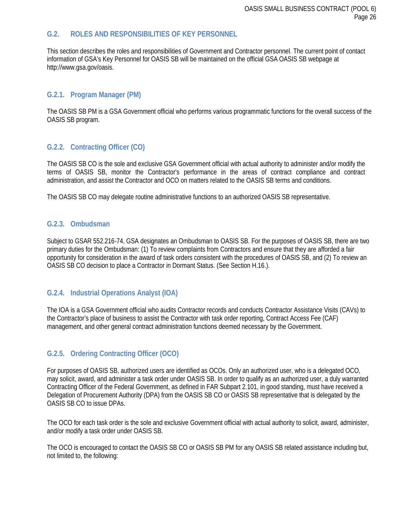#### <span id="page-25-0"></span>**G.2. ROLES AND RESPONSIBILITIES OF KEY PERSONNEL**

This section describes the roles and responsibilities of Government and Contractor personnel. The current point of contact information of GSA's Key Personnel for OASIS SB will be maintained on the official GSA OASIS SB webpage at http://www.gsa.gov/oasis.

#### <span id="page-25-1"></span>**G.2.1. Program Manager (PM)**

The OASIS SB PM is a GSA Government official who performs various programmatic functions for the overall success of the OASIS SB program.

#### <span id="page-25-2"></span>**G.2.2. Contracting Officer (CO)**

The OASIS SB CO is the sole and exclusive GSA Government official with actual authority to administer and/or modify the terms of OASIS SB, monitor the Contractor's performance in the areas of contract compliance and contract administration, and assist the Contractor and OCO on matters related to the OASIS SB terms and conditions.

The OASIS SB CO may delegate routine administrative functions to an authorized OASIS SB representative.

#### <span id="page-25-3"></span>**G.2.3. Ombudsman**

Subject to GSAR 552.216-74, GSA designates an Ombudsman to OASIS SB. For the purposes of OASIS SB, there are two primary duties for the Ombudsman: (1) To review complaints from Contractors and ensure that they are afforded a fair opportunity for consideration in the award of task orders consistent with the procedures of OASIS SB, and (2) To review an OASIS SB CO decision to place a Contractor in Dormant Status. (See Section H.16.).

#### <span id="page-25-4"></span>**G.2.4. Industrial Operations Analyst (IOA)**

The IOA is a GSA Government official who audits Contractor records and conducts Contractor Assistance Visits (CAVs) to the Contractor's place of business to assist the Contractor with task order reporting, Contract Access Fee (CAF) management, and other general contract administration functions deemed necessary by the Government.

#### <span id="page-25-5"></span>**G.2.5. Ordering Contracting Officer (OCO)**

For purposes of OASIS SB, authorized users are identified as OCOs. Only an authorized user, who is a delegated OCO, may solicit, award, and administer a task order under OASIS SB. In order to qualify as an authorized user, a duly warranted Contracting Officer of the Federal Government, as defined in FAR Subpart 2.101, in good standing, must have received a Delegation of Procurement Authority (DPA) from the OASIS SB CO or OASIS SB representative that is delegated by the OASIS SB CO to issue DPAs.

The OCO for each task order is the sole and exclusive Government official with actual authority to solicit, award, administer, and/or modify a task order under OASIS SB.

The OCO is encouraged to contact the OASIS SB CO or OASIS SB PM for any OASIS SB related assistance including but, not limited to, the following: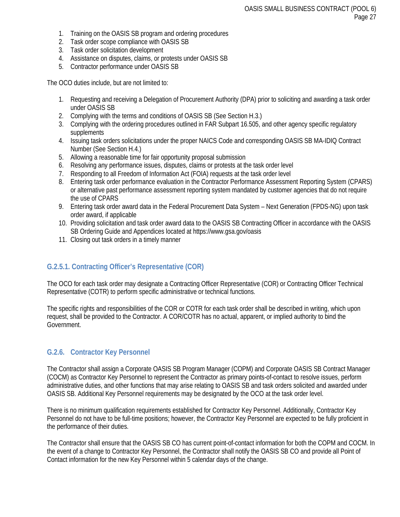- 1. Training on the OASIS SB program and ordering procedures
- 2. Task order scope compliance with OASIS SB
- 3. Task order solicitation development
- 4. Assistance on disputes, claims, or protests under OASIS SB
- 5. Contractor performance under OASIS SB

The OCO duties include, but are not limited to:

- 1. Requesting and receiving a Delegation of Procurement Authority (DPA) prior to soliciting and awarding a task order under OASIS SB
- 2. Complying with the terms and conditions of OASIS SB (See Section H.3.)
- 3. Complying with the ordering procedures outlined in FAR Subpart 16.505, and other agency specific regulatory supplements
- 4. Issuing task orders solicitations under the proper NAICS Code and corresponding OASIS SB MA-IDIQ Contract Number (See Section H.4.)
- 5. Allowing a reasonable time for fair opportunity proposal submission
- 6. Resolving any performance issues, disputes, claims or protests at the task order level
- 7. Responding to all Freedom of Information Act (FOIA) requests at the task order level
- 8. Entering task order performance evaluation in the Contractor Performance Assessment Reporting System (CPARS) or alternative past performance assessment reporting system mandated by customer agencies that do not require the use of CPARS
- 9. Entering task order award data in the Federal Procurement Data System Next Generation (FPDS-NG) upon task order award, if applicable
- 10. Providing solicitation and task order award data to the OASIS SB Contracting Officer in accordance with the OASIS SB Ordering Guide and Appendices located at https://www.gsa.gov/oasis
- 11. Closing out task orders in a timely manner

# <span id="page-26-0"></span>**G.2.5.1. Contracting Officer's Representative (COR)**

The OCO for each task order may designate a Contracting Officer Representative (COR) or Contracting Officer Technical Representative (COTR) to perform specific administrative or technical functions.

The specific rights and responsibilities of the COR or COTR for each task order shall be described in writing, which upon request, shall be provided to the Contractor. A COR/COTR has no actual, apparent, or implied authority to bind the Government.

#### <span id="page-26-1"></span>**G.2.6. Contractor Key Personnel**

The Contractor shall assign a Corporate OASIS SB Program Manager (COPM) and Corporate OASIS SB Contract Manager (COCM) as Contractor Key Personnel to represent the Contractor as primary points-of-contact to resolve issues, perform administrative duties, and other functions that may arise relating to OASIS SB and task orders solicited and awarded under OASIS SB. Additional Key Personnel requirements may be designated by the OCO at the task order level.

There is no minimum qualification requirements established for Contractor Key Personnel. Additionally, Contractor Key Personnel do not have to be full-time positions; however, the Contractor Key Personnel are expected to be fully proficient in the performance of their duties.

The Contractor shall ensure that the OASIS SB CO has current point-of-contact information for both the COPM and COCM. In the event of a change to Contractor Key Personnel, the Contractor shall notify the OASIS SB CO and provide all Point of Contact information for the new Key Personnel within 5 calendar days of the change.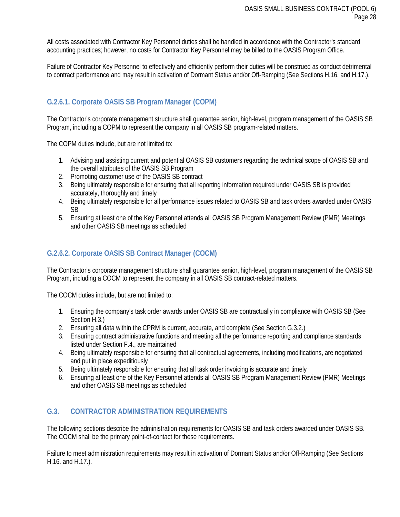All costs associated with Contractor Key Personnel duties shall be handled in accordance with the Contractor's standard accounting practices; however, no costs for Contractor Key Personnel may be billed to the OASIS Program Office.

Failure of Contractor Key Personnel to effectively and efficiently perform their duties will be construed as conduct detrimental to contract performance and may result in activation of Dormant Status and/or Off-Ramping (See Sections H.16. and H.17.).

# <span id="page-27-0"></span>**G.2.6.1. Corporate OASIS SB Program Manager (COPM)**

The Contractor's corporate management structure shall guarantee senior, high-level, program management of the OASIS SB Program, including a COPM to represent the company in all OASIS SB program-related matters.

The COPM duties include, but are not limited to:

- 1. Advising and assisting current and potential OASIS SB customers regarding the technical scope of OASIS SB and the overall attributes of the OASIS SB Program
- 2. Promoting customer use of the OASIS SB contract
- 3. Being ultimately responsible for ensuring that all reporting information required under OASIS SB is provided accurately, thoroughly and timely
- 4. Being ultimately responsible for all performance issues related to OASIS SB and task orders awarded under OASIS SB
- 5. Ensuring at least one of the Key Personnel attends all OASIS SB Program Management Review (PMR) Meetings and other OASIS SB meetings as scheduled

# <span id="page-27-1"></span>**G.2.6.2. Corporate OASIS SB Contract Manager (COCM)**

The Contractor's corporate management structure shall guarantee senior, high-level, program management of the OASIS SB Program, including a COCM to represent the company in all OASIS SB contract-related matters.

The COCM duties include, but are not limited to:

- 1. Ensuring the company's task order awards under OASIS SB are contractually in compliance with OASIS SB (See Section H.3.)
- 2. Ensuring all data within the CPRM is current, accurate, and complete (See Section G.3.2.)
- 3. Ensuring contract administrative functions and meeting all the performance reporting and compliance standards listed under Section F.4., are maintained
- 4. Being ultimately responsible for ensuring that all contractual agreements, including modifications, are negotiated and put in place expeditiously
- 5. Being ultimately responsible for ensuring that all task order invoicing is accurate and timely
- 6. Ensuring at least one of the Key Personnel attends all OASIS SB Program Management Review (PMR) Meetings and other OASIS SB meetings as scheduled

#### <span id="page-27-2"></span>**G.3. CONTRACTOR ADMINISTRATION REQUIREMENTS**

The following sections describe the administration requirements for OASIS SB and task orders awarded under OASIS SB. The COCM shall be the primary point-of-contact for these requirements.

Failure to meet administration requirements may result in activation of Dormant Status and/or Off-Ramping (See Sections H.16. and H.17.).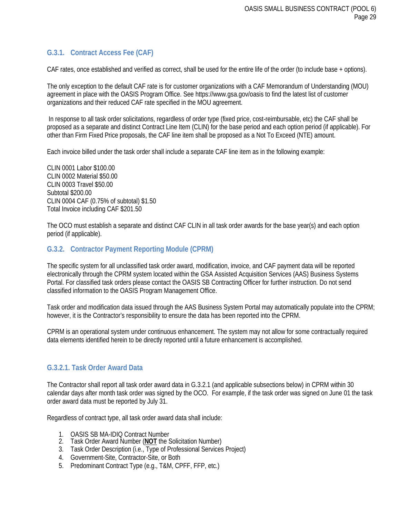#### <span id="page-28-0"></span>**G.3.1. Contract Access Fee (CAF)**

CAF rates, once established and verified as correct, shall be used for the entire life of the order (to include base + options).

The only exception to the default CAF rate is for customer organizations with a CAF Memorandum of Understanding (MOU) agreement in place with the OASIS Program Office. See https://www.gsa.gov/oasis to find the latest list of customer organizations and their reduced CAF rate specified in the MOU agreement.

In response to all task order solicitations, regardless of order type (fixed price, cost-reimbursable, etc) the CAF shall be proposed as a separate and distinct Contract Line Item (CLIN) for the base period and each option period (if applicable). For other than Firm Fixed Price proposals, the CAF line item shall be proposed as a Not To Exceed (NTE) amount.

Each invoice billed under the task order shall include a separate CAF line item as in the following example:

CLIN 0001 Labor \$100.00 CLIN 0002 Material \$50.00 CLIN 0003 Travel \$50.00 Subtotal \$200.00 CLIN 0004 CAF (0.75% of subtotal) \$1.50 Total Invoice including CAF \$201.50

The OCO must establish a separate and distinct CAF CLIN in all task order awards for the base year(s) and each option period (if applicable).

#### <span id="page-28-1"></span>**G.3.2. Contractor Payment Reporting Module (CPRM)**

The specific system for all unclassified task order award, modification, invoice, and CAF payment data will be reported electronically through the CPRM system located within the GSA Assisted Acquisition Services (AAS) Business Systems Portal. For classified task orders please contact the OASIS SB Contracting Officer for further instruction. Do not send classified information to the OASIS Program Management Office.

Task order and modification data issued through the AAS Business System Portal may automatically populate into the CPRM; however, it is the Contractor's responsibility to ensure the data has been reported into the CPRM.

CPRM is an operational system under continuous enhancement. The system may not allow for some contractually required data elements identified herein to be directly reported until a future enhancement is accomplished.

#### <span id="page-28-2"></span>**G.3.2.1. Task Order Award Data**

The Contractor shall report all task order award data in G.3.2.1 (and applicable subsections below) in CPRM within 30 calendar days after month task order was signed by the OCO. For example, if the task order was signed on June 01 the task order award data must be reported by July 31.

Regardless of contract type, all task order award data shall include:

- 1. OASIS SB MA-IDIQ Contract Number
- 2. Task Order Award Number (**NOT** the Solicitation Number)
- 3. Task Order Description (i.e., Type of Professional Services Project)
- 4. Government-Site, Contractor-Site, or Both
- 5. Predominant Contract Type (e.g., T&M, CPFF, FFP, etc.)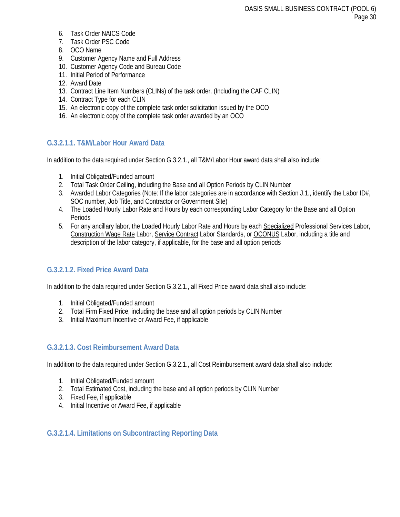- 6. Task Order NAICS Code
- 7. Task Order PSC Code
- 8. OCO Name
- 9. Customer Agency Name and Full Address
- 10. Customer Agency Code and Bureau Code
- 11. Initial Period of Performance
- 12. Award Date
- 13. Contract Line Item Numbers (CLINs) of the task order. (Including the CAF CLIN)
- 14. Contract Type for each CLIN
- 15. An electronic copy of the complete task order solicitation issued by the OCO
- 16. An electronic copy of the complete task order awarded by an OCO

#### <span id="page-29-0"></span>**G.3.2.1.1. T&M/Labor Hour Award Data**

In addition to the data required under Section G.3.2.1., all T&M/Labor Hour award data shall also include:

- 1. Initial Obligated/Funded amount
- 2. Total Task Order Ceiling, including the Base and all Option Periods by CLIN Number
- 3. Awarded Labor Categories (Note: If the labor categories are in accordance with Section J.1., identify the Labor ID#, SOC number, Job Title, and Contractor or Government Site)
- 4. The Loaded Hourly Labor Rate and Hours by each corresponding Labor Category for the Base and all Option Periods
- 5. For any ancillary labor, the Loaded Hourly Labor Rate and Hours by each Specialized Professional Services Labor, Construction Wage Rate Labor, Service Contract Labor Standards, or OCONUS Labor, including a title and description of the labor category, if applicable, for the base and all option periods

#### <span id="page-29-1"></span>**G.3.2.1.2. Fixed Price Award Data**

In addition to the data required under Section G.3.2.1., all Fixed Price award data shall also include:

- 1. Initial Obligated/Funded amount
- 2. Total Firm Fixed Price, including the base and all option periods by CLIN Number
- 3. Initial Maximum Incentive or Award Fee, if applicable

#### <span id="page-29-2"></span>**G.3.2.1.3. Cost Reimbursement Award Data**

In addition to the data required under Section G.3.2.1., all Cost Reimbursement award data shall also include:

- 1. Initial Obligated/Funded amount
- 2. Total Estimated Cost, including the base and all option periods by CLIN Number
- 3. Fixed Fee, if applicable
- 4. Initial Incentive or Award Fee, if applicable

#### <span id="page-29-3"></span>**G.3.2.1.4. Limitations on Subcontracting Reporting Data**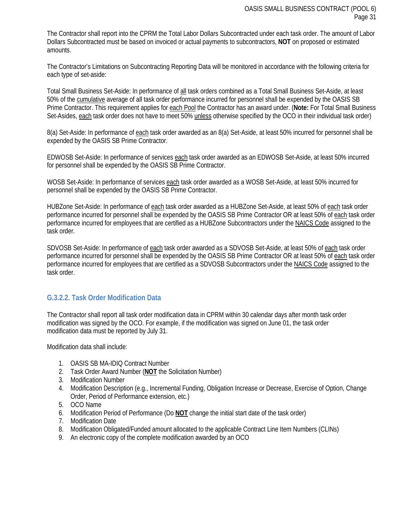The Contractor shall report into the CPRM the Total Labor Dollars Subcontracted under each task order. The amount of Labor Dollars Subcontracted must be based on invoiced or actual payments to subcontractors, **NOT** on proposed or estimated amounts.

The Contractor's Limitations on Subcontracting Reporting Data will be monitored in accordance with the following criteria for each type of set-aside:

Total Small Business Set-Aside: In performance of all task orders combined as a Total Small Business Set-Aside, at least 50% of the cumulative average of all task order performance incurred for personnel shall be expended by the OASIS SB Prime Contractor. This requirement applies for each Pool the Contractor has an award under. (**Note:** For Total Small Business Set-Asides, each task order does not have to meet 50% unless otherwise specified by the OCO in their individual task order)

8(a) Set-Aside: In performance of each task order awarded as an 8(a) Set-Aside, at least 50% incurred for personnel shall be expended by the OASIS SB Prime Contractor.

EDWOSB Set-Aside: In performance of services each task order awarded as an EDWOSB Set-Aside, at least 50% incurred for personnel shall be expended by the OASIS SB Prime Contractor.

WOSB Set-Aside: In performance of services each task order awarded as a WOSB Set-Aside, at least 50% incurred for personnel shall be expended by the OASIS SB Prime Contractor.

HUBZone Set-Aside: In performance of each task order awarded as a HUBZone Set-Aside, at least 50% of each task order performance incurred for personnel shall be expended by the OASIS SB Prime Contractor OR at least 50% of each task order performance incurred for employees that are certified as a HUBZone Subcontractors under the NAICS Code assigned to the task order.

SDVOSB Set-Aside: In performance of each task order awarded as a SDVOSB Set-Aside, at least 50% of each task order performance incurred for personnel shall be expended by the OASIS SB Prime Contractor OR at least 50% of each task order performance incurred for employees that are certified as a SDVOSB Subcontractors under the NAICS Code assigned to the task order.

#### <span id="page-30-0"></span>**G.3.2.2. Task Order Modification Data**

The Contractor shall report all task order modification data in CPRM within 30 calendar days after month task order modification was signed by the OCO. For example, if the modification was signed on June 01, the task order modification data must be reported by July 31.

Modification data shall include:

- 1. OASIS SB MA-IDIQ Contract Number
- 2. Task Order Award Number (**NOT** the Solicitation Number)
- 3. Modification Number
- 4. Modification Description (e.g., Incremental Funding, Obligation Increase or Decrease, Exercise of Option, Change Order, Period of Performance extension, etc.)
- 5. OCO Name
- 6. Modification Period of Performance (Do **NOT** change the initial start date of the task order)
- 7. Modification Date
- 8. Modification Obligated/Funded amount allocated to the applicable Contract Line Item Numbers (CLINs)
- 9. An electronic copy of the complete modification awarded by an OCO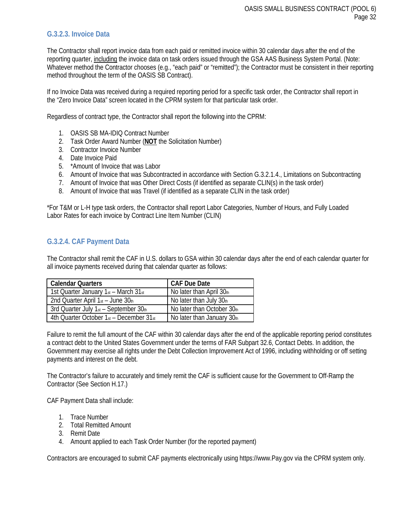#### <span id="page-31-0"></span>**G.3.2.3. Invoice Data**

The Contractor shall report invoice data from each paid or remitted invoice within 30 calendar days after the end of the reporting quarter, including the invoice data on task orders issued through the GSA AAS Business System Portal. (Note: Whatever method the Contractor chooses (e.g., "each paid" or "remitted"); the Contractor must be consistent in their reporting method throughout the term of the OASIS SB Contract).

If no Invoice Data was received during a required reporting period for a specific task order, the Contractor shall report in the "Zero Invoice Data" screen located in the CPRM system for that particular task order.

Regardless of contract type, the Contractor shall report the following into the CPRM:

- 1. OASIS SB MA-IDIQ Contract Number
- 2. Task Order Award Number (**NOT** the Solicitation Number)
- 3. Contractor Invoice Number
- 4. Date Invoice Paid
- 5. \*Amount of Invoice that was Labor
- 6. Amount of Invoice that was Subcontracted in accordance with Section G.3.2.1.4., Limitations on Subcontracting
- 7. Amount of Invoice that was Other Direct Costs (if identified as separate CLIN(s) in the task order)
- 8. Amount of Invoice that was Travel (if identified as a separate CLIN in the task order)

\*For T&M or L-H type task orders, the Contractor shall report Labor Categories, Number of Hours, and Fully Loaded Labor Rates for each invoice by Contract Line Item Number (CLIN)

#### <span id="page-31-1"></span>**G.3.2.4. CAF Payment Data**

The Contractor shall remit the CAF in U.S. dollars to GSA within 30 calendar days after the end of each calendar quarter for all invoice payments received during that calendar quarter as follows:

| <b>Calendar Quarters</b>                          | <b>CAF Due Date</b>        |  |
|---------------------------------------------------|----------------------------|--|
| 1st Quarter January 1st - March 31st              | No later than April 30th   |  |
| 2nd Quarter April $1st - June 30th$               | No later than July 30th    |  |
| 3rd Quarter July $1_{st}$ – September $30_{th}$   | No later than October 30th |  |
| 4th Quarter October $1_{st}$ – December $31_{st}$ | No later than January 30th |  |

Failure to remit the full amount of the CAF within 30 calendar days after the end of the applicable reporting period constitutes a contract debt to the United States Government under the terms of FAR Subpart 32.6, Contact Debts. In addition, the Government may exercise all rights under the Debt Collection Improvement Act of 1996, including withholding or off setting payments and interest on the debt.

The Contractor's failure to accurately and timely remit the CAF is sufficient cause for the Government to Off-Ramp the Contractor (See Section H.17.)

CAF Payment Data shall include:

- 1. Trace Number
- 2. Total Remitted Amount
- 3. Remit Date
- 4. Amount applied to each Task Order Number (for the reported payment)

Contractors are encouraged to submit CAF payments electronically using https://www.Pay.gov via the CPRM system only.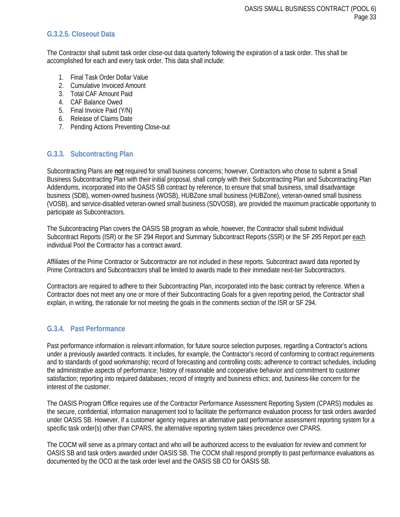### <span id="page-32-0"></span>**G.3.2.5. Closeout Data**

The Contractor shall submit task order close-out data quarterly following the expiration of a task order. This shall be accomplished for each and every task order. This data shall include:

- 1. Final Task Order Dollar Value
- 2. Cumulative Invoiced Amount
- 3. Total CAF Amount Paid
- 4. CAF Balance Owed
- 5. Final Invoice Paid (Y/N)
- 6. Release of Claims Date
- 7. Pending Actions Preventing Close-out

#### <span id="page-32-1"></span>**G.3.3. Subcontracting Plan**

Subcontracting Plans are **not** required for small business concerns; however, Contractors who chose to submit a Small Business Subcontracting Plan with their initial proposal, shall comply with their Subcontracting Plan and Subcontracting Plan Addendums, incorporated into the OASIS SB contract by reference, to ensure that small business, small disadvantage business (SDB), women-owned business (WOSB), HUBZone small business (HUBZone), veteran-owned small business (VOSB), and service-disabled veteran-owned small business (SDVOSB), are provided the maximum practicable opportunity to participate as Subcontractors.

The Subcontracting Plan covers the OASIS SB program as whole, however, the Contractor shall submit Individual Subcontract Reports (ISR) or the SF 294 Report and Summary Subcontract Reports (SSR) or the SF 295 Report per each individual Pool the Contractor has a contract award.

Affiliates of the Prime Contractor or Subcontractor are not included in these reports. Subcontract award data reported by Prime Contractors and Subcontractors shall be limited to awards made to their immediate next-tier Subcontractors.

Contractors are required to adhere to their Subcontracting Plan, incorporated into the basic contract by reference. When a Contractor does not meet any one or more of their Subcontracting Goals for a given reporting period, the Contractor shall explain, in writing, the rationale for not meeting the goals in the comments section of the ISR or SF 294.

#### <span id="page-32-2"></span>**G.3.4. Past Performance**

Past performance information is relevant information, for future source selection purposes, regarding a Contractor's actions under a previously awarded contracts. It includes, for example, the Contractor's record of conforming to contract requirements and to standards of good workmanship; record of forecasting and controlling costs; adherence to contract schedules, including the administrative aspects of performance; history of reasonable and cooperative behavior and commitment to customer satisfaction; reporting into required databases; record of integrity and business ethics; and, business-like concern for the interest of the customer.

The OASIS Program Office requires use of the Contractor Performance Assessment Reporting System (CPARS) modules as the secure, confidential, information management tool to facilitate the performance evaluation process for task orders awarded under OASIS SB. However, if a customer agency requires an alternative past performance assessment reporting system for a specific task order(s) other than CPARS, the alternative reporting system takes precedence over CPARS.

The COCM will serve as a primary contact and who will be authorized access to the evaluation for review and comment for OASIS SB and task orders awarded under OASIS SB. The COCM shall respond promptly to past performance evaluations as documented by the OCO at the task order level and the OASIS SB CO for OASIS SB.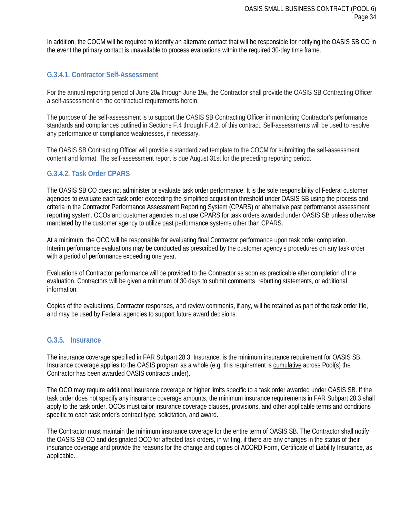In addition, the COCM will be required to identify an alternate contact that will be responsible for notifying the OASIS SB CO in the event the primary contact is unavailable to process evaluations within the required 30-day time frame.

#### <span id="page-33-0"></span>**G.3.4.1. Contractor Self-Assessment**

For the annual reporting period of June  $20<sub>th</sub>$  through June  $19<sub>th</sub>$ , the Contractor shall provide the OASIS SB Contracting Officer a self-assessment on the contractual requirements herein.

The purpose of the self-assessment is to support the OASIS SB Contracting Officer in monitoring Contractor's performance standards and compliances outlined in Sections F.4 through F.4.2. of this contract. Self-assessments will be used to resolve any performance or compliance weaknesses, if necessary.

<span id="page-33-1"></span>The OASIS SB Contracting Officer will provide a standardized template to the COCM for submitting the self-assessment content and format. The self-assessment report is due August 31st for the preceding reporting period.

#### **G.3.4.2. Task Order CPARS**

The OASIS SB CO does not administer or evaluate task order performance. It is the sole responsibility of Federal customer agencies to evaluate each task order exceeding the simplified acquisition threshold under OASIS SB using the process and criteria in the Contractor Performance Assessment Reporting System (CPARS) or alternative past performance assessment reporting system. OCOs and customer agencies must use CPARS for task orders awarded under OASIS SB unless otherwise mandated by the customer agency to utilize past performance systems other than CPARS.

At a minimum, the OCO will be responsible for evaluating final Contractor performance upon task order completion. Interim performance evaluations may be conducted as prescribed by the customer agency's procedures on any task order with a period of performance exceeding one year.

Evaluations of Contractor performance will be provided to the Contractor as soon as practicable after completion of the evaluation. Contractors will be given a minimum of 30 days to submit comments, rebutting statements, or additional information.

Copies of the evaluations, Contractor responses, and review comments, if any, will be retained as part of the task order file, and may be used by Federal agencies to support future award decisions.

#### <span id="page-33-2"></span>**G.3.5. Insurance**

The insurance coverage specified in FAR Subpart 28.3, Insurance, is the minimum insurance requirement for OASIS SB. Insurance coverage applies to the OASIS program as a whole (e.g. this requirement is cumulative across Pool(s) the Contractor has been awarded OASIS contracts under).

The OCO may require additional insurance coverage or higher limits specific to a task order awarded under OASIS SB. If the task order does not specify any insurance coverage amounts, the minimum insurance requirements in FAR Subpart 28.3 shall apply to the task order. OCOs must tailor insurance coverage clauses, provisions, and other applicable terms and conditions specific to each task order's contract type, solicitation, and award.

The Contractor must maintain the minimum insurance coverage for the entire term of OASIS SB. The Contractor shall notify the OASIS SB CO and designated OCO for affected task orders, in writing, if there are any changes in the status of their insurance coverage and provide the reasons for the change and copies of ACORD Form, Certificate of Liability Insurance, as applicable.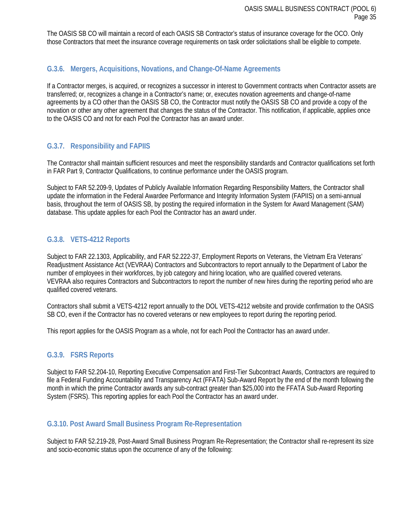The OASIS SB CO will maintain a record of each OASIS SB Contractor's status of insurance coverage for the OCO. Only those Contractors that meet the insurance coverage requirements on task order solicitations shall be eligible to compete.

### <span id="page-34-0"></span>**G.3.6. Mergers, Acquisitions, Novations, and Change-Of-Name Agreements**

If a Contractor merges, is acquired, or recognizes a successor in interest to Government contracts when Contractor assets are transferred; or, recognizes a change in a Contractor's name; or, executes novation agreements and change-of-name agreements by a CO other than the OASIS SB CO, the Contractor must notify the OASIS SB CO and provide a copy of the novation or other any other agreement that changes the status of the Contractor. This notification, if applicable, applies once to the OASIS CO and not for each Pool the Contractor has an award under.

### <span id="page-34-1"></span>**G.3.7. Responsibility and FAPIIS**

The Contractor shall maintain sufficient resources and meet the responsibility standards and Contractor qualifications set forth in FAR Part 9, Contractor Qualifications, to continue performance under the OASIS program.

Subject to FAR 52.209-9, Updates of Publicly Available Information Regarding Responsibility Matters, the Contractor shall update the information in the Federal Awardee Performance and Integrity Information System (FAPIIS) on a semi-annual basis, throughout the term of OASIS SB, by posting the required information in the System for Award Management (SAM) database. This update applies for each Pool the Contractor has an award under.

# <span id="page-34-2"></span>**G.3.8. VETS-4212 Reports**

Subject to FAR 22.1303, Applicability, and FAR 52.222-37, Employment Reports on Veterans, the Vietnam Era Veterans' Readjustment Assistance Act (VEVRAA) Contractors and Subcontractors to report annually to the Department of Labor the number of employees in their workforces, by job category and hiring location, who are qualified covered veterans. VEVRAA also requires Contractors and Subcontractors to report the number of new hires during the reporting period who are qualified covered veterans.

Contractors shall submit a VETS-4212 report annually to the DOL VETS-4212 website and provide confirmation to the OASIS SB CO, even if the Contractor has no covered veterans or new employees to report during the reporting period.

This report applies for the OASIS Program as a whole, not for each Pool the Contractor has an award under.

#### <span id="page-34-3"></span>**G.3.9. FSRS Reports**

Subject to FAR 52.204-10, Reporting Executive Compensation and First-Tier Subcontract Awards, Contractors are required to file a Federal Funding Accountability and Transparency Act (FFATA) Sub-Award Report by the end of the month following the month in which the prime Contractor awards any sub-contract greater than \$25,000 into the FFATA Sub-Award Reporting System (FSRS). This reporting applies for each Pool the Contractor has an award under.

#### <span id="page-34-4"></span>**G.3.10. Post Award Small Business Program Re-Representation**

Subject to FAR 52.219-28, Post-Award Small Business Program Re-Representation; the Contractor shall re-represent its size and socio-economic status upon the occurrence of any of the following: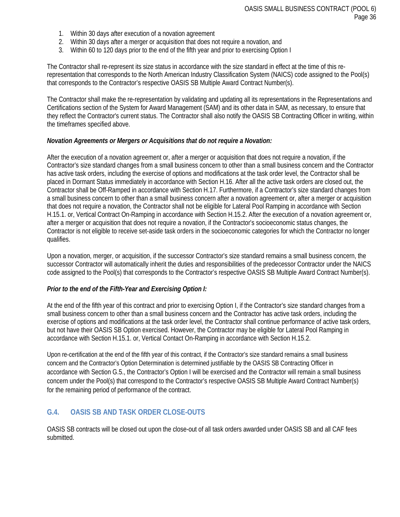- 1. Within 30 days after execution of a novation agreement
- 2. Within 30 days after a merger or acquisition that does not require a novation, and
- 3. Within 60 to 120 days prior to the end of the fifth year and prior to exercising Option I

The Contractor shall re-represent its size status in accordance with the size standard in effect at the time of this rerepresentation that corresponds to the North American Industry Classification System (NAICS) code assigned to the Pool(s) that corresponds to the Contractor's respective OASIS SB Multiple Award Contract Number(s).

The Contractor shall make the re-representation by validating and updating all its representations in the Representations and Certifications section of the System for Award Management (SAM) and its other data in SAM, as necessary, to ensure that they reflect the Contractor's current status. The Contractor shall also notify the OASIS SB Contracting Officer in writing, within the timeframes specified above.

#### *Novation Agreements or Mergers or Acquisitions that do not require a Novation:*

After the execution of a novation agreement or, after a merger or acquisition that does not require a novation, if the Contractor's size standard changes from a small business concern to other than a small business concern and the Contractor has active task orders, including the exercise of options and modifications at the task order level, the Contractor shall be placed in Dormant Status immediately in accordance with Section H.16. After all the active task orders are closed out, the Contractor shall be Off-Ramped in accordance with Section H.17. Furthermore, if a Contractor's size standard changes from a small business concern to other than a small business concern after a novation agreement or, after a merger or acquisition that does not require a novation, the Contractor shall not be eligible for Lateral Pool Ramping in accordance with Section H.15.1. or, Vertical Contract On-Ramping in accordance with Section H.15.2. After the execution of a novation agreement or, after a merger or acquisition that does not require a novation, if the Contractor's socioeconomic status changes, the Contractor is not eligible to receive set-aside task orders in the socioeconomic categories for which the Contractor no longer qualifies.

Upon a novation, merger, or acquisition, if the successor Contractor's size standard remains a small business concern, the successor Contractor will automatically inherit the duties and responsibilities of the predecessor Contractor under the NAICS code assigned to the Pool(s) that corresponds to the Contractor's respective OASIS SB Multiple Award Contract Number(s).

#### *Prior to the end of the Fifth-Year and Exercising Option I:*

At the end of the fifth year of this contract and prior to exercising Option I, if the Contractor's size standard changes from a small business concern to other than a small business concern and the Contractor has active task orders, including the exercise of options and modifications at the task order level, the Contractor shall continue performance of active task orders, but not have their OASIS SB Option exercised. However, the Contractor may be eligible for Lateral Pool Ramping in accordance with Section H.15.1. or, Vertical Contact On-Ramping in accordance with Section H.15.2.

Upon re-certification at the end of the fifth year of this contract, if the Contractor's size standard remains a small business concern and the Contractor's Option Determination is determined justifiable by the OASIS SB Contracting Officer in accordance with Section G.5., the Contractor's Option I will be exercised and the Contractor will remain a small business concern under the Pool(s) that correspond to the Contractor's respective OASIS SB Multiple Award Contract Number(s) for the remaining period of performance of the contract.

# <span id="page-35-0"></span>**G.4. OASIS SB AND TASK ORDER CLOSE-OUTS**

OASIS SB contracts will be closed out upon the close-out of all task orders awarded under OASIS SB and all CAF fees submitted.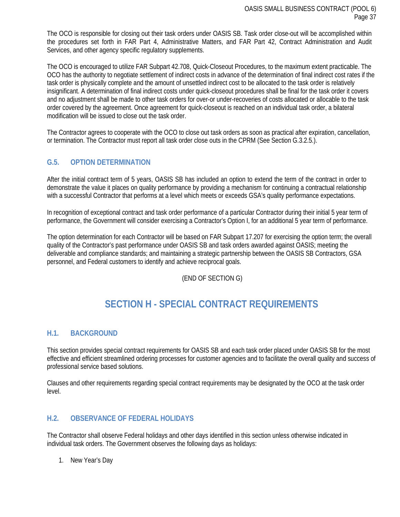The OCO is responsible for closing out their task orders under OASIS SB. Task order close-out will be accomplished within the procedures set forth in FAR Part 4, Administrative Matters, and FAR Part 42, Contract Administration and Audit Services, and other agency specific regulatory supplements.

The OCO is encouraged to utilize FAR Subpart 42.708, Quick-Closeout Procedures, to the maximum extent practicable. The OCO has the authority to negotiate settlement of indirect costs in advance of the determination of final indirect cost rates if the task order is physically complete and the amount of unsettled indirect cost to be allocated to the task order is relatively insignificant. A determination of final indirect costs under quick-closeout procedures shall be final for the task order it covers and no adjustment shall be made to other task orders for over-or under-recoveries of costs allocated or allocable to the task order covered by the agreement. Once agreement for quick-closeout is reached on an individual task order, a bilateral modification will be issued to close out the task order.

The Contractor agrees to cooperate with the OCO to close out task orders as soon as practical after expiration, cancellation, or termination. The Contractor must report all task order close outs in the CPRM (See Section G.3.2.5.).

### <span id="page-36-0"></span>**G.5. OPTION DETERMINATION**

After the initial contract term of 5 years, OASIS SB has included an option to extend the term of the contract in order to demonstrate the value it places on quality performance by providing a mechanism for continuing a contractual relationship with a successful Contractor that performs at a level which meets or exceeds GSA's quality performance expectations.

In recognition of exceptional contract and task order performance of a particular Contractor during their initial 5 year term of performance, the Government will consider exercising a Contractor's Option I, for an additional 5 year term of performance.

The option determination for each Contractor will be based on FAR Subpart 17.207 for exercising the option term; the overall quality of the Contractor's past performance under OASIS SB and task orders awarded against OASIS; meeting the deliverable and compliance standards; and maintaining a strategic partnership between the OASIS SB Contractors, GSA personnel, and Federal customers to identify and achieve reciprocal goals.

#### (END OF SECTION G)

# **SECTION H - SPECIAL CONTRACT REQUIREMENTS**

#### <span id="page-36-2"></span><span id="page-36-1"></span>**H.1. BACKGROUND**

This section provides special contract requirements for OASIS SB and each task order placed under OASIS SB for the most effective and efficient streamlined ordering processes for customer agencies and to facilitate the overall quality and success of professional service based solutions.

Clauses and other requirements regarding special contract requirements may be designated by the OCO at the task order level.

#### <span id="page-36-3"></span>**H.2. OBSERVANCE OF FEDERAL HOLIDAYS**

The Contractor shall observe Federal holidays and other days identified in this section unless otherwise indicated in individual task orders. The Government observes the following days as holidays:

1. New Year's Day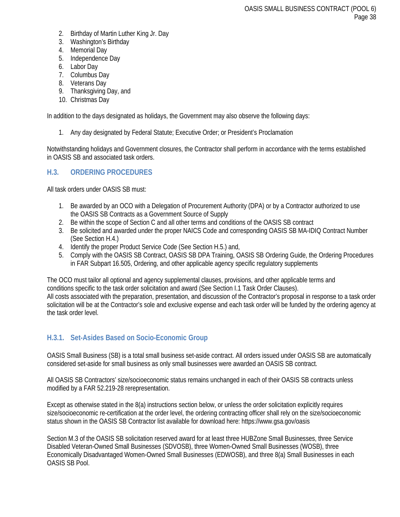- 2. Birthday of Martin Luther King Jr. Day
- 3. Washington's Birthday
- 4. Memorial Day
- 5. Independence Day
- 6. Labor Day
- 7. Columbus Day
- 8. Veterans Day
- 9. Thanksgiving Day, and
- 10. Christmas Day

In addition to the days designated as holidays, the Government may also observe the following days:

<span id="page-37-0"></span>1. Any day designated by Federal Statute; Executive Order; or President's Proclamation

Notwithstanding holidays and Government closures, the Contractor shall perform in accordance with the terms established in OASIS SB and associated task orders.

#### **H.3. ORDERING PROCEDURES**

All task orders under OASIS SB must:

- 1. Be awarded by an OCO with a Delegation of Procurement Authority (DPA) or by a Contractor authorized to use the OASIS SB Contracts as a Government Source of Supply
- 2. Be within the scope of Section C and all other terms and conditions of the OASIS SB contract
- 3. Be solicited and awarded under the proper NAICS Code and corresponding OASIS SB MA-IDIQ Contract Number (See Section H.4.)
- 4. Identify the proper Product Service Code (See Section H.5.) and,
- 5. Comply with the OASIS SB Contract, OASIS SB DPA Training, OASIS SB Ordering Guide, the Ordering Procedures in FAR Subpart 16.505, Ordering, and other applicable agency specific regulatory supplements

The OCO must tailor all optional and agency supplemental clauses, provisions, and other applicable terms and conditions specific to the task order solicitation and award (See Section I.1 Task Order Clauses).

All costs associated with the preparation, presentation, and discussion of the Contractor's proposal in response to a task order solicitation will be at the Contractor's sole and exclusive expense and each task order will be funded by the ordering agency at the task order level.

#### <span id="page-37-1"></span>**H.3.1. Set-Asides Based on Socio-Economic Group**

<span id="page-37-2"></span>OASIS Small Business (SB) is a total small business set-aside contract. All orders issued under OASIS SB are automatically considered set-aside for small business as only small businesses were awarded an OASIS SB contract.

All OASIS SB Contractors' size/socioeconomic status remains unchanged in each of their OASIS SB contracts unless modified by a FAR 52.219-28 rerepresentation.

Except as otherwise stated in the 8(a) instructions section below, or unless the order solicitation explicitly requires size/socioeconomic re-certification at the order level, the ordering contracting officer shall rely on the size/socioeconomic status shown in the OASIS SB Contractor list available for download here: https://www.gsa.gov/oasis

Section M.3 of the OASIS SB solicitation reserved award for at least three HUBZone Small Businesses, three Service Disabled Veteran-Owned Small Businesses (SDVOSB), three Women-Owned Small Businesses (WOSB), three Economically Disadvantaged Women-Owned Small Businesses (EDWOSB), and three 8(a) Small Businesses in each OASIS SB Pool.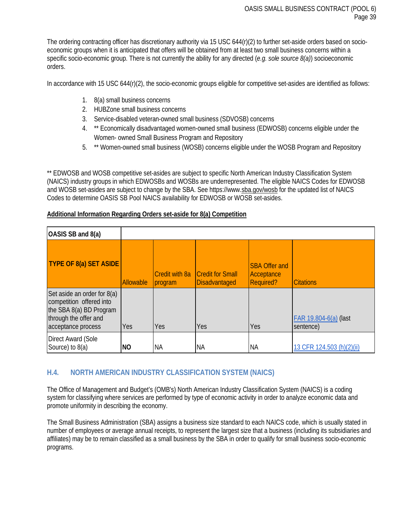The ordering contracting officer has discretionary authority via 15 USC 644(r)(2) to further set-aside orders based on socioeconomic groups when it is anticipated that offers will be obtained from at least two small business concerns within a specific socio-economic group. There is not currently the ability for any directed (*e.g. sole source 8(a)*) socioeconomic orders.

In accordance with 15 USC 644(r)(2), the socio-economic groups eligible for competitive set-asides are identified as follows:

- 1. 8(a) small business concerns
- 2. HUBZone small business concerns
- 3. Service-disabled veteran-owned small business (SDVOSB) concerns
- 4. \*\* Economically disadvantaged women-owned small business (EDWOSB) concerns eligible under the Women- owned Small Business Program and Repository
- 5. \*\* Women-owned small business (WOSB) concerns eligible under the WOSB Program and Repository

\*\* EDWOSB and WOSB competitive set-asides are subject to specific North American Industry Classification System (NAICS) industry groups in which EDWOSBs and WOSBs are underrepresented. The eligible NAICS Codes for EDWOSB and WOSB set-asides are subject to change by the SBA. See https://www[.sba.gov/wosb](http://sba.gov/wosb) for the updated list of NAICS Codes to determine OASIS SB Pool NAICS availability for EDWOSB or WOSB set-asides.

#### **OASIS SB and 8(a) TYPE OF 8(a) SET ASIDE Allowable** Credit with 8a program Credit for Small **Disadvantaged** SBA Offer and **Acceptance** Required? Citations Set aside an order for 8(a) competition offered into the SBA 8(a) BD Program through the offer and acceptance process Yes Yes Yes Yes [FAR 19.804-6\(a\)](https://www.acquisition.gov/sites/default/files/current/far/html/Subpart%2019_8.html#wp1092878) (last sentence)

#### **Additional Information Regarding Orders set-aside for 8(a) Competition**

#### **H.4. NORTH AMERICAN INDUSTRY CLASSIFICATION SYSTEM (NAICS)**

Direct Award (Sole

The Office of Management and Budget's (OMB's) North American Industry Classification System (NAICS) is a coding system for classifying where services are performed by type of economic activity in order to analyze economic data and promote uniformity in describing the economy.

Source) to 8(a) **NO** NA NA NA NA [13 CFR 124.503 \(h\)\(2\)\(ii\)](https://www.ecfr.gov/cgi-bin/text-idx?SID=2928820495a29f09d30c640edbce0790&mc=true&node=se13.1.124_1503&rgn=div8)

The Small Business Administration (SBA) assigns a business size standard to each NAICS code, which is usually stated in number of employees or average annual receipts, to represent the largest size that a business (including its subsidiaries and affiliates) may be to remain classified as a small business by the SBA in order to qualify for small business socio-economic programs.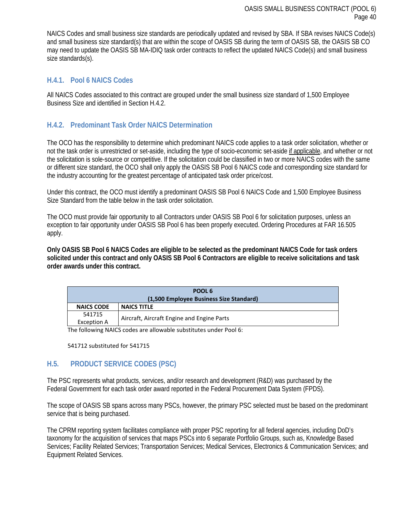NAICS Codes and small business size standards are periodically updated and revised by SBA. If SBA revises NAICS Code(s) and small business size standard(s) that are within the scope of OASIS SB during the term of OASIS SB, the OASIS SB CO may need to update the OASIS SB MA-IDIQ task order contracts to reflect the updated NAICS Code(s) and small business size standards(s).

#### <span id="page-39-0"></span>**H.4.1. Pool 6 NAICS Codes**

All NAICS Codes associated to this contract are grouped under the small business size standard of 1,500 Employee Business Size and identified in Section H.4.2.

#### <span id="page-39-1"></span>**H.4.2. Predominant Task Order NAICS Determination**

The OCO has the responsibility to determine which predominant NAICS code applies to a task order solicitation, whether or not the task order is unrestricted or set-aside, including the type of socio-economic set-aside if applicable, and whether or not the solicitation is sole-source or competitive. If the solicitation could be classified in two or more NAICS codes with the same or different size standard, the OCO shall only apply the OASIS SB Pool 6 NAICS code and corresponding size standard for the industry accounting for the greatest percentage of anticipated task order price/cost.

Under this contract, the OCO must identify a predominant OASIS SB Pool 6 NAICS Code and 1,500 Employee Business Size Standard from the table below in the task order solicitation.

The OCO must provide fair opportunity to all Contractors under OASIS SB Pool 6 for solicitation purposes, unless an exception to fair opportunity under OASIS SB Pool 6 has been properly executed. Ordering Procedures at FAR 16.505 apply.

**Only OASIS SB Pool 6 NAICS Codes are eligible to be selected as the predominant NAICS Code for task orders solicited under this contract and only OASIS SB Pool 6 Contractors are eligible to receive solicitations and task order awards under this contract.**

| POOL 6<br>(1,500 Employee Business Size Standard) |                                            |  |
|---------------------------------------------------|--------------------------------------------|--|
| <b>NAICS CODE</b>                                 | <b>NAICS TITLE</b>                         |  |
| 541715                                            |                                            |  |
| <b>Exception A</b>                                | Aircraft, Aircraft Engine and Engine Parts |  |

The following NAICS codes are allowable substitutes under Pool 6:

541712 substituted for 541715

#### <span id="page-39-2"></span>**H.5. PRODUCT SERVICE CODES (PSC)**

The PSC represents what products, services, and/or research and development (R&D) was purchased by the Federal Government for each task order award reported in the Federal Procurement Data System (FPDS).

The scope of OASIS SB spans across many PSCs, however, the primary PSC selected must be based on the predominant service that is being purchased.

The CPRM reporting system facilitates compliance with proper PSC reporting for all federal agencies, including DoD's taxonomy for the acquisition of services that maps PSCs into 6 separate Portfolio Groups, such as, Knowledge Based Services; Facility Related Services; Transportation Services; Medical Services, Electronics & Communication Services; and Equipment Related Services.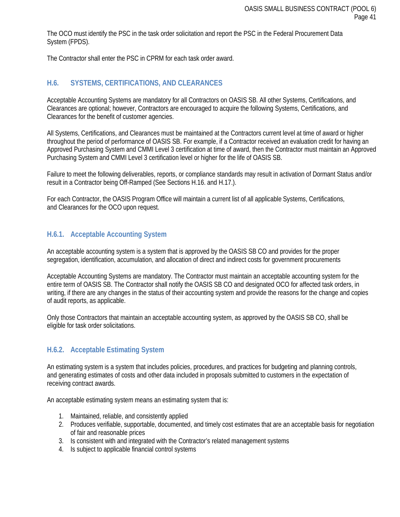The OCO must identify the PSC in the task order solicitation and report the PSC in the Federal Procurement Data System (FPDS).

The Contractor shall enter the PSC in CPRM for each task order award.

### <span id="page-40-0"></span>**H.6. SYSTEMS, CERTIFICATIONS, AND CLEARANCES**

Acceptable Accounting Systems are mandatory for all Contractors on OASIS SB. All other Systems, Certifications, and Clearances are optional; however, Contractors are encouraged to acquire the following Systems, Certifications, and Clearances for the benefit of customer agencies.

All Systems, Certifications, and Clearances must be maintained at the Contractors current level at time of award or higher throughout the period of performance of OASIS SB. For example, if a Contractor received an evaluation credit for having an Approved Purchasing System and CMMI Level 3 certification at time of award, then the Contractor must maintain an Approved Purchasing System and CMMI Level 3 certification level or higher for the life of OASIS SB.

Failure to meet the following deliverables, reports, or compliance standards may result in activation of Dormant Status and/or result in a Contractor being Off-Ramped (See Sections H.16. and H.17.).

For each Contractor, the OASIS Program Office will maintain a current list of all applicable Systems, Certifications, and Clearances for the OCO upon request.

### <span id="page-40-1"></span>**H.6.1. Acceptable Accounting System**

An acceptable accounting system is a system that is approved by the OASIS SB CO and provides for the proper segregation, identification, accumulation, and allocation of direct and indirect costs for government procurements

Acceptable Accounting Systems are mandatory. The Contractor must maintain an acceptable accounting system for the entire term of OASIS SB. The Contractor shall notify the OASIS SB CO and designated OCO for affected task orders, in writing, if there are any changes in the status of their accounting system and provide the reasons for the change and copies of audit reports, as applicable.

Only those Contractors that maintain an acceptable accounting system, as approved by the OASIS SB CO, shall be eligible for task order solicitations.

#### <span id="page-40-2"></span>**H.6.2. Acceptable Estimating System**

An estimating system is a system that includes policies, procedures, and practices for budgeting and planning controls, and generating estimates of costs and other data included in proposals submitted to customers in the expectation of receiving contract awards.

An acceptable estimating system means an estimating system that is:

- 1. Maintained, reliable, and consistently applied
- 2. Produces verifiable, supportable, documented, and timely cost estimates that are an acceptable basis for negotiation of fair and reasonable prices
- 3. Is consistent with and integrated with the Contractor's related management systems
- 4. Is subject to applicable financial control systems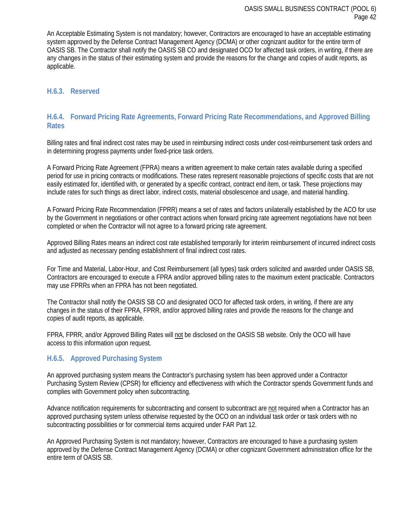An Acceptable Estimating System is not mandatory; however, Contractors are encouraged to have an acceptable estimating system approved by the Defense Contract Management Agency (DCMA) or other cognizant auditor for the entire term of OASIS SB. The Contractor shall notify the OASIS SB CO and designated OCO for affected task orders, in writing, if there are any changes in the status of their estimating system and provide the reasons for the change and copies of audit reports, as applicable.

#### <span id="page-41-0"></span>**H.6.3. Reserved**

#### <span id="page-41-1"></span>**H.6.4. Forward Pricing Rate Agreements, Forward Pricing Rate Recommendations, and Approved Billing Rates**

Billing rates and final indirect cost rates may be used in reimbursing indirect costs under cost-reimbursement task orders and in determining progress payments under fixed-price task orders.

A Forward Pricing Rate Agreement (FPRA) means a written agreement to make certain rates available during a specified period for use in pricing contracts or modifications. These rates represent reasonable projections of specific costs that are not easily estimated for, identified with, or generated by a specific contract, contract end item, or task. These projections may include rates for such things as direct labor, indirect costs, material obsolescence and usage, and material handling.

A Forward Pricing Rate Recommendation (FPRR) means a set of rates and factors unilaterally established by the ACO for use by the Government in negotiations or other contract actions when forward pricing rate agreement negotiations have not been completed or when the Contractor will not agree to a forward pricing rate agreement.

Approved Billing Rates means an indirect cost rate established temporarily for interim reimbursement of incurred indirect costs and adjusted as necessary pending establishment of final indirect cost rates.

For Time and Material, Labor-Hour, and Cost Reimbursement (all types) task orders solicited and awarded under OASIS SB, Contractors are encouraged to execute a FPRA and/or approved billing rates to the maximum extent practicable. Contractors may use FPRRs when an FPRA has not been negotiated.

The Contractor shall notify the OASIS SB CO and designated OCO for affected task orders, in writing, if there are any changes in the status of their FPRA, FPRR, and/or approved billing rates and provide the reasons for the change and copies of audit reports, as applicable.

FPRA, FPRR, and/or Approved Billing Rates will not be disclosed on the OASIS SB website. Only the OCO will have access to this information upon request.

#### <span id="page-41-2"></span>**H.6.5. Approved Purchasing System**

An approved purchasing system means the Contractor's purchasing system has been approved under a Contractor Purchasing System Review (CPSR) for efficiency and effectiveness with which the Contractor spends Government funds and complies with Government policy when subcontracting.

Advance notification requirements for subcontracting and consent to subcontract are not required when a Contractor has an approved purchasing system unless otherwise requested by the OCO on an individual task order or task orders with no subcontracting possibilities or for commercial items acquired under FAR Part 12.

An Approved Purchasing System is not mandatory; however, Contractors are encouraged to have a purchasing system approved by the Defense Contract Management Agency (DCMA) or other cognizant Government administration office for the entire term of OASIS SB.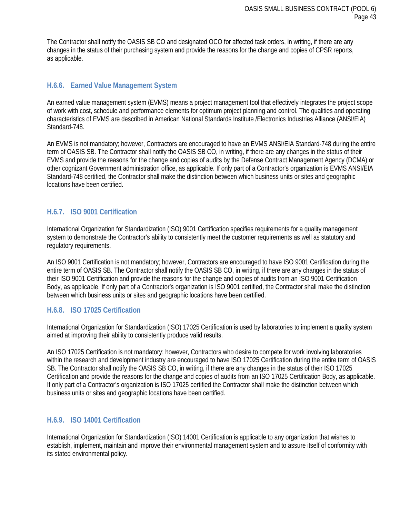The Contractor shall notify the OASIS SB CO and designated OCO for affected task orders, in writing, if there are any changes in the status of their purchasing system and provide the reasons for the change and copies of CPSR reports, as applicable.

#### <span id="page-42-0"></span>**H.6.6. Earned Value Management System**

An earned value management system (EVMS) means a project management tool that effectively integrates the project scope of work with cost, schedule and performance elements for optimum project planning and control. The qualities and operating characteristics of EVMS are described in American National Standards Institute /Electronics Industries Alliance (ANSI/EIA) Standard-748.

An EVMS is not mandatory; however, Contractors are encouraged to have an EVMS ANSI/EIA Standard-748 during the entire term of OASIS SB. The Contractor shall notify the OASIS SB CO, in writing, if there are any changes in the status of their EVMS and provide the reasons for the change and copies of audits by the Defense Contract Management Agency (DCMA) or other cognizant Government administration office, as applicable. If only part of a Contractor's organization is EVMS ANSI/EIA Standard-748 certified, the Contractor shall make the distinction between which business units or sites and geographic locations have been certified.

#### <span id="page-42-1"></span>**H.6.7. ISO 9001 Certification**

International Organization for Standardization (ISO) 9001 Certification specifies requirements for a quality management system to demonstrate the Contractor's ability to consistently meet the customer requirements as well as statutory and regulatory requirements.

An ISO 9001 Certification is not mandatory; however, Contractors are encouraged to have ISO 9001 Certification during the entire term of OASIS SB. The Contractor shall notify the OASIS SB CO, in writing, if there are any changes in the status of their ISO 9001 Certification and provide the reasons for the change and copies of audits from an ISO 9001 Certification Body, as applicable. If only part of a Contractor's organization is ISO 9001 certified, the Contractor shall make the distinction between which business units or sites and geographic locations have been certified.

#### <span id="page-42-2"></span>**H.6.8. ISO 17025 Certification**

International Organization for Standardization (ISO) 17025 Certification is used by laboratories to implement a quality system aimed at improving their ability to consistently produce valid results.

An ISO 17025 Certification is not mandatory; however, Contractors who desire to compete for work involving laboratories within the research and development industry are encouraged to have ISO 17025 Certification during the entire term of OASIS SB. The Contractor shall notify the OASIS SB CO, in writing, if there are any changes in the status of their ISO 17025 Certification and provide the reasons for the change and copies of audits from an ISO 17025 Certification Body, as applicable. If only part of a Contractor's organization is ISO 17025 certified the Contractor shall make the distinction between which business units or sites and geographic locations have been certified.

#### <span id="page-42-3"></span>**H.6.9. ISO 14001 Certification**

International Organization for Standardization (ISO) 14001 Certification is applicable to any organization that wishes to establish, implement, maintain and improve their environmental management system and to assure itself of conformity with its stated environmental policy.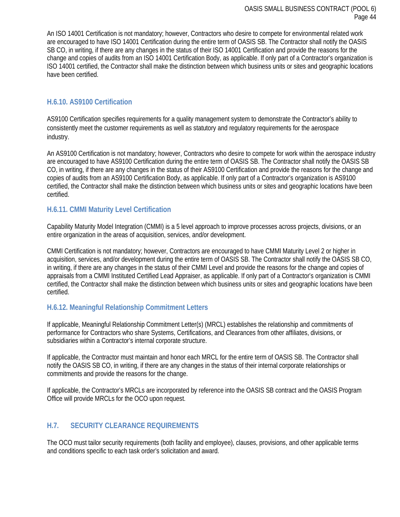An ISO 14001 Certification is not mandatory; however, Contractors who desire to compete for environmental related work are encouraged to have ISO 14001 Certification during the entire term of OASIS SB. The Contractor shall notify the OASIS SB CO, in writing, if there are any changes in the status of their ISO 14001 Certification and provide the reasons for the change and copies of audits from an ISO 14001 Certification Body, as applicable. If only part of a Contractor's organization is ISO 14001 certified, the Contractor shall make the distinction between which business units or sites and geographic locations have been certified.

#### <span id="page-43-0"></span>**H.6.10. AS9100 Certification**

AS9100 Certification specifies requirements for a quality management system to demonstrate the Contractor's ability to consistently meet the customer requirements as well as statutory and regulatory requirements for the aerospace industry.

An AS9100 Certification is not mandatory; however, Contractors who desire to compete for work within the aerospace industry are encouraged to have AS9100 Certification during the entire term of OASIS SB. The Contractor shall notify the OASIS SB CO, in writing, if there are any changes in the status of their AS9100 Certification and provide the reasons for the change and copies of audits from an AS9100 Certification Body, as applicable. If only part of a Contractor's organization is AS9100 certified, the Contractor shall make the distinction between which business units or sites and geographic locations have been certified.

#### <span id="page-43-1"></span>**H.6.11. CMMI Maturity Level Certification**

Capability Maturity Model Integration (CMMI) is a 5 level approach to improve processes across projects, divisions, or an entire organization in the areas of acquisition, services, and/or development.

CMMI Certification is not mandatory; however, Contractors are encouraged to have CMMI Maturity Level 2 or higher in acquisition, services, and/or development during the entire term of OASIS SB. The Contractor shall notify the OASIS SB CO, in writing, if there are any changes in the status of their CMMI Level and provide the reasons for the change and copies of appraisals from a CMMI Instituted Certified Lead Appraiser, as applicable. If only part of a Contractor's organization is CMMI certified, the Contractor shall make the distinction between which business units or sites and geographic locations have been certified.

#### <span id="page-43-2"></span>**H.6.12. Meaningful Relationship Commitment Letters**

If applicable, Meaningful Relationship Commitment Letter(s) (MRCL) establishes the relationship and commitments of performance for Contractors who share Systems, Certifications, and Clearances from other affiliates, divisions, or subsidiaries within a Contractor's internal corporate structure.

If applicable, the Contractor must maintain and honor each MRCL for the entire term of OASIS SB. The Contractor shall notify the OASIS SB CO, in writing, if there are any changes in the status of their internal corporate relationships or commitments and provide the reasons for the change.

If applicable, the Contractor's MRCLs are incorporated by reference into the OASIS SB contract and the OASIS Program Office will provide MRCLs for the OCO upon request.

#### <span id="page-43-3"></span>**H.7. SECURITY CLEARANCE REQUIREMENTS**

The OCO must tailor security requirements (both facility and employee), clauses, provisions, and other applicable terms and conditions specific to each task order's solicitation and award.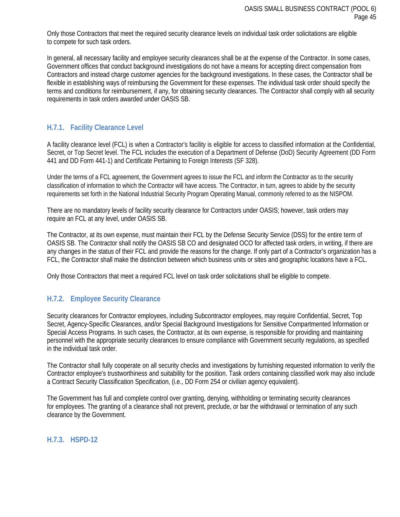Only those Contractors that meet the required security clearance levels on individual task order solicitations are eligible to compete for such task orders.

In general, all necessary facility and employee security clearances shall be at the expense of the Contractor. In some cases, Government offices that conduct background investigations do not have a means for accepting direct compensation from Contractors and instead charge customer agencies for the background investigations. In these cases, the Contractor shall be flexible in establishing ways of reimbursing the Government for these expenses. The individual task order should specify the terms and conditions for reimbursement, if any, for obtaining security clearances. The Contractor shall comply with all security requirements in task orders awarded under OASIS SB.

#### <span id="page-44-0"></span>**H.7.1. Facility Clearance Level**

A facility clearance level (FCL) is when a Contractor's facility is eligible for access to classified information at the Confidential, Secret, or Top Secret level. The FCL includes the execution of a Department of Defense (DoD) Security Agreement (DD Form 441 and DD Form 441-1) and Certificate Pertaining to Foreign Interests (SF 328).

Under the terms of a FCL agreement, the Government agrees to issue the FCL and inform the Contractor as to the security classification of information to which the Contractor will have access. The Contractor, in turn, agrees to abide by the security requirements set forth in the National Industrial Security Program Operating Manual, commonly referred to as the NISPOM.

There are no mandatory levels of facility security clearance for Contractors under OASIS; however, task orders may require an FCL at any level, under OASIS SB.

The Contractor, at its own expense, must maintain their FCL by the Defense Security Service (DSS) for the entire term of OASIS SB. The Contractor shall notify the OASIS SB CO and designated OCO for affected task orders, in writing, if there are any changes in the status of their FCL and provide the reasons for the change. If only part of a Contractor's organization has a FCL, the Contractor shall make the distinction between which business units or sites and geographic locations have a FCL.

Only those Contractors that meet a required FCL level on task order solicitations shall be eligible to compete.

#### **H.7.2. Employee Security Clearance**

Security clearances for Contractor employees, including Subcontractor employees, may require Confidential, Secret, Top Secret, Agency-Specific Clearances, and/or Special Background Investigations for Sensitive Compartmented Information or Special Access Programs. In such cases, the Contractor, at its own expense, is responsible for providing and maintaining personnel with the appropriate security clearances to ensure compliance with Government security regulations, as specified in the individual task order.

The Contractor shall fully cooperate on all security checks and investigations by furnishing requested information to verify the Contractor employee's trustworthiness and suitability for the position. Task orders containing classified work may also include a Contract Security Classification Specification, (i.e., DD Form 254 or civilian agency equivalent).

The Government has full and complete control over granting, denying, withholding or terminating security clearances for employees. The granting of a clearance shall not prevent, preclude, or bar the withdrawal or termination of any such clearance by the Government.

<span id="page-44-1"></span>**H.7.3. HSPD-12**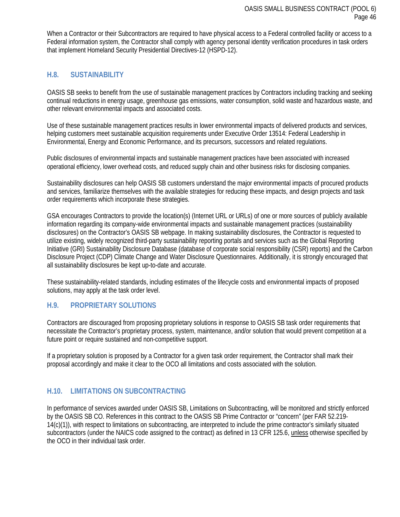When a Contractor or their Subcontractors are required to have physical access to a Federal controlled facility or access to a Federal information system, the Contractor shall comply with agency personal identity verification procedures in task orders that implement Homeland Security Presidential Directives-12 (HSPD-12).

### <span id="page-45-0"></span>**H.8. SUSTAINABILITY**

OASIS SB seeks to benefit from the use of sustainable management practices by Contractors including tracking and seeking continual reductions in energy usage, greenhouse gas emissions, water consumption, solid waste and hazardous waste, and other relevant environmental impacts and associated costs.

Use of these sustainable management practices results in lower environmental impacts of delivered products and services, helping customers meet sustainable acquisition requirements under Executive Order 13514: Federal Leadership in Environmental, Energy and Economic Performance, and its precursors, successors and related regulations.

Public disclosures of environmental impacts and sustainable management practices have been associated with increased operational efficiency, lower overhead costs, and reduced supply chain and other business risks for disclosing companies.

Sustainability disclosures can help OASIS SB customers understand the major environmental impacts of procured products and services, familiarize themselves with the available strategies for reducing these impacts, and design projects and task order requirements which incorporate these strategies.

GSA encourages Contractors to provide the location(s) (Internet URL or URLs) of one or more sources of publicly available information regarding its company-wide environmental impacts and sustainable management practices (sustainability disclosures) on the Contractor's OASIS SB webpage. In making sustainability disclosures, the Contractor is requested to utilize existing, widely recognized third-party sustainability reporting portals and services such as the Global Reporting Initiative (GRI) Sustainability Disclosure Database (database of corporate social responsibility (CSR) reports) and the Carbon Disclosure Project (CDP) Climate Change and Water Disclosure Questionnaires. Additionally, it is strongly encouraged that all sustainability disclosures be kept up-to-date and accurate.

These sustainability-related standards, including estimates of the lifecycle costs and environmental impacts of proposed solutions, may apply at the task order level.

#### <span id="page-45-1"></span>**H.9. PROPRIETARY SOLUTIONS**

Contractors are discouraged from proposing proprietary solutions in response to OASIS SB task order requirements that necessitate the Contractor's proprietary process, system, maintenance, and/or solution that would prevent competition at a future point or require sustained and non-competitive support.

If a proprietary solution is proposed by a Contractor for a given task order requirement, the Contractor shall mark their proposal accordingly and make it clear to the OCO all limitations and costs associated with the solution.

# <span id="page-45-2"></span>**H.10. LIMITATIONS ON SUBCONTRACTING**

In performance of services awarded under OASIS SB, Limitations on Subcontracting, will be monitored and strictly enforced by the OASIS SB CO. References in this contract to the OASIS SB Prime Contractor or "concern" (per FAR 52.219- 14(c)(1)), with respect to limitations on subcontracting, are interpreted to include the prime contractor's similarly situated subcontractors (under the NAICS code assigned to the contract) as defined in 13 CFR 125.6, unless otherwise specified by the OCO in their individual task order.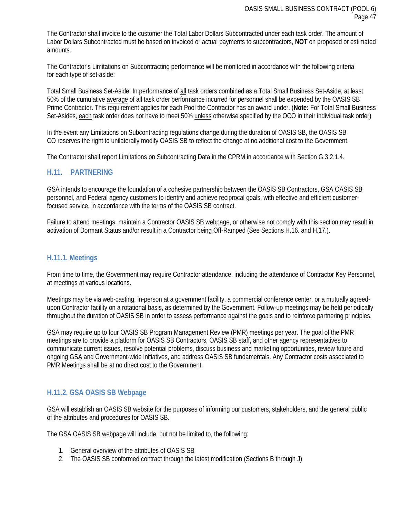The Contractor shall invoice to the customer the Total Labor Dollars Subcontracted under each task order. The amount of Labor Dollars Subcontracted must be based on invoiced or actual payments to subcontractors, **NOT** on proposed or estimated amounts.

The Contractor's Limitations on Subcontracting performance will be monitored in accordance with the following criteria for each type of set-aside:

Total Small Business Set-Aside: In performance of all task orders combined as a Total Small Business Set-Aside, at least 50% of the cumulative average of all task order performance incurred for personnel shall be expended by the OASIS SB Prime Contractor. This requirement applies for each Pool the Contractor has an award under. (**Note:** For Total Small Business Set-Asides, each task order does not have to meet 50% unless otherwise specified by the OCO in their individual task order)

In the event any Limitations on Subcontracting regulations change during the duration of OASIS SB, the OASIS SB CO reserves the right to unilaterally modify OASIS SB to reflect the change at no additional cost to the Government.

The Contractor shall report Limitations on Subcontracting Data in the CPRM in accordance with Section G.3.2.1.4.

#### <span id="page-46-0"></span>**H.11. PARTNERING**

GSA intends to encourage the foundation of a cohesive partnership between the OASIS SB Contractors, GSA OASIS SB personnel, and Federal agency customers to identify and achieve reciprocal goals, with effective and efficient customerfocused service, in accordance with the terms of the OASIS SB contract.

Failure to attend meetings, maintain a Contractor OASIS SB webpage, or otherwise not comply with this section may result in activation of Dormant Status and/or result in a Contractor being Off-Ramped (See Sections H.16. and H.17.).

#### <span id="page-46-1"></span>**H.11.1. Meetings**

From time to time, the Government may require Contractor attendance, including the attendance of Contractor Key Personnel, at meetings at various locations.

Meetings may be via web-casting, in-person at a government facility, a commercial conference center, or a mutually agreedupon Contractor facility on a rotational basis, as determined by the Government. Follow-up meetings may be held periodically throughout the duration of OASIS SB in order to assess performance against the goals and to reinforce partnering principles.

GSA may require up to four OASIS SB Program Management Review (PMR) meetings per year. The goal of the PMR meetings are to provide a platform for OASIS SB Contractors, OASIS SB staff, and other agency representatives to communicate current issues, resolve potential problems, discuss business and marketing opportunities, review future and ongoing GSA and Government-wide initiatives, and address OASIS SB fundamentals. Any Contractor costs associated to PMR Meetings shall be at no direct cost to the Government.

#### <span id="page-46-2"></span>**H.11.2. GSA OASIS SB Webpage**

GSA will establish an OASIS SB website for the purposes of informing our customers, stakeholders, and the general public of the attributes and procedures for OASIS SB.

The GSA OASIS SB webpage will include, but not be limited to, the following:

- 1. General overview of the attributes of OASIS SB
- 2. The OASIS SB conformed contract through the latest modification (Sections B through J)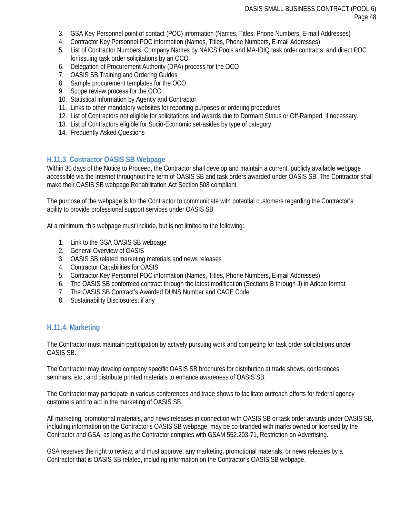- 3. GSA Key Personnel point of contact (POC) information (Names, Titles, Phone Numbers, E-mail Addresses)
- 4. Contractor Key Personnel POC information (Names, Titles, Phone Numbers, E-mail Addresses)
- 5. List of Contractor Numbers, Company Names by NAICS Pools and MA-IDIQ task order contracts, and direct POC for issuing task order solicitations by an OCO
- 6. Delegation of Procurement Authority (DPA) process for the OCO
- 7. OASIS SB Training and Ordering Guides
- 8. Sample procurement templates for the OCO
- 9. Scope review process for the OCO
- 10. Statistical information by Agency and Contractor
- 11. Links to other mandatory websites for reporting purposes or ordering procedures
- 12. List of Contractors not eligible for solicitations and awards due to Dormant Status or Off-Ramped, if necessary.
- 13. List of Contractors eligible for Socio-Economic set-asides by type of category
- 14. Frequently Asked Questions

#### <span id="page-47-0"></span>**H.11.3. Contractor OASIS SB Webpage**

Within 30 days of the Notice to Proceed, the Contractor shall develop and maintain a current, publicly available webpage accessible via the Internet throughout the term of OASIS SB and task orders awarded under OASIS SB. The Contractor shall make their OASIS SB webpage Rehabilitation Act Section 508 compliant.

The purpose of the webpage is for the Contractor to communicate with potential customers regarding the Contractor's ability to provide professional support services under OASIS SB.

At a minimum, this webpage must include, but is not limited to the following:

- 1. Link to the GSA OASIS SB webpage
- 2. General Overview of OASIS
- 3. OASIS SB related marketing materials and news releases
- 4. Contractor Capabilities for OASIS
- 5. Contractor Key Personnel POC information (Names, Titles, Phone Numbers, E-mail Addresses)
- 6. The OASIS SB conformed contract through the latest modification (Sections B through J) in Adobe format
- 7. The OASIS SB Contract's Awarded DUNS Number and CAGE Code
- 8. Sustainability Disclosures, if any

#### <span id="page-47-1"></span>**H.11.4. Marketing**

The Contractor must maintain participation by actively pursuing work and competing for task order solicitations under OASIS SB.

The Contractor may develop company specific OASIS SB brochures for distribution at trade shows, conferences, seminars, etc., and distribute printed materials to enhance awareness of OASIS SB.

The Contractor may participate in various conferences and trade shows to facilitate outreach efforts for federal agency customers and to aid in the marketing of OASIS SB.

All marketing, promotional materials, and news releases in connection with OASIS SB or task order awards under OASIS SB, including information on the Contractor's OASIS SB webpage, may be co-branded with marks owned or licensed by the Contractor and GSA, as long as the Contractor complies with GSAM 552.203-71, Restriction on Advertising.

GSA reserves the right to review, and must approve, any marketing, promotional materials, or news releases by a Contractor that is OASIS SB related, including information on the Contractor's OASIS SB webpage.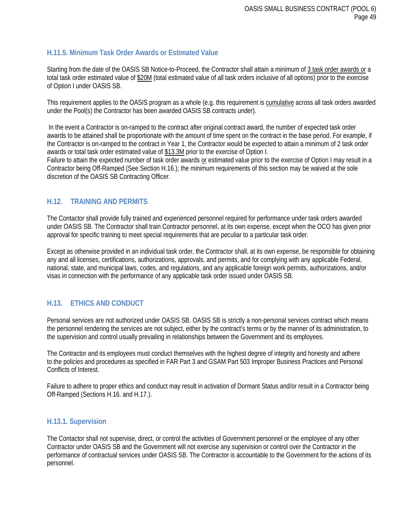#### <span id="page-48-0"></span>**H.11.5. Minimum Task Order Awards or Estimated Value**

Starting from the date of the OASIS SB Notice-to-Proceed, the Contractor shall attain a minimum of 3 task order awards or a total task order estimated value of \$20M (total estimated value of all task orders inclusive of all options) prior to the exercise of Option I under OASIS SB.

This requirement applies to the OASIS program as a whole (e.g. this requirement is cumulative across all task orders awarded under the Pool(s) the Contractor has been awarded OASIS SB contracts under).

In the event a Contractor is on-ramped to the contract after original contract award, the number of expected task order awards to be attained shall be proportionate with the amount of time spent on the contract in the base period. For example, if the Contractor is on-ramped to the contract in Year 1, the Contractor would be expected to attain a minimum of 2 task order awards or total task order estimated value of \$13.3M prior to the exercise of Option I.

Failure to attain the expected number of task order awards or estimated value prior to the exercise of Option I may result in a Contractor being Off-Ramped (See Section H.16.); the minimum requirements of this section may be waived at the sole discretion of the OASIS SB Contracting Officer.

#### <span id="page-48-1"></span>**H.12. TRAINING AND PERMITS**

The Contactor shall provide fully trained and experienced personnel required for performance under task orders awarded under OASIS SB. The Contractor shall train Contractor personnel, at its own expense, except when the OCO has given prior approval for specific training to meet special requirements that are peculiar to a particular task order.

Except as otherwise provided in an individual task order, the Contractor shall, at its own expense, be responsible for obtaining any and all licenses, certifications, authorizations, approvals, and permits, and for complying with any applicable Federal, national, state, and municipal laws, codes, and regulations, and any applicable foreign work permits, authorizations, and/or visas in connection with the performance of any applicable task order issued under OASIS SB.

#### <span id="page-48-2"></span>**H.13. ETHICS AND CONDUCT**

Personal services are not authorized under OASIS SB. OASIS SB is strictly a non-personal services contract which means the personnel rendering the services are not subject, either by the contract's terms or by the manner of its administration, to the supervision and control usually prevailing in relationships between the Government and its employees.

The Contractor and its employees must conduct themselves with the highest degree of integrity and honesty and adhere to the policies and procedures as specified in FAR Part 3 and GSAM Part 503 Improper Business Practices and Personal Conflicts of Interest.

Failure to adhere to proper ethics and conduct may result in activation of Dormant Status and/or result in a Contractor being Off-Ramped (Sections H.16. and H.17.).

#### <span id="page-48-3"></span>**H.13.1. Supervision**

The Contactor shall not supervise, direct, or control the activities of Government personnel or the employee of any other Contractor under OASIS SB and the Government will not exercise any supervision or control over the Contractor in the performance of contractual services under OASIS SB. The Contractor is accountable to the Government for the actions of its personnel.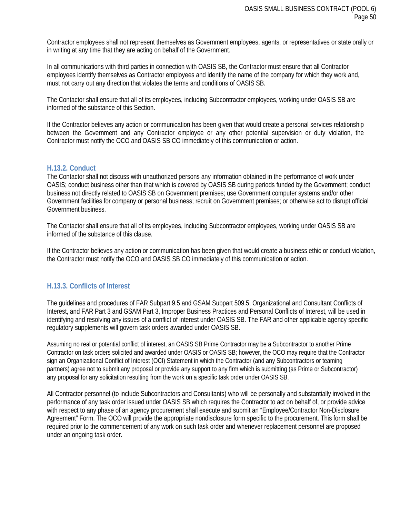Contractor employees shall not represent themselves as Government employees, agents, or representatives or state orally or in writing at any time that they are acting on behalf of the Government.

In all communications with third parties in connection with OASIS SB, the Contractor must ensure that all Contractor employees identify themselves as Contractor employees and identify the name of the company for which they work and, must not carry out any direction that violates the terms and conditions of OASIS SB.

The Contactor shall ensure that all of its employees, including Subcontractor employees, working under OASIS SB are informed of the substance of this Section.

If the Contractor believes any action or communication has been given that would create a personal services relationship between the Government and any Contractor employee or any other potential supervision or duty violation, the Contractor must notify the OCO and OASIS SB CO immediately of this communication or action.

#### <span id="page-49-0"></span>**H.13.2. Conduct**

The Contactor shall not discuss with unauthorized persons any information obtained in the performance of work under OASIS; conduct business other than that which is covered by OASIS SB during periods funded by the Government; conduct business not directly related to OASIS SB on Government premises; use Government computer systems and/or other Government facilities for company or personal business; recruit on Government premises; or otherwise act to disrupt official Government business.

The Contactor shall ensure that all of its employees, including Subcontractor employees, working under OASIS SB are informed of the substance of this clause.

If the Contractor believes any action or communication has been given that would create a business ethic or conduct violation, the Contractor must notify the OCO and OASIS SB CO immediately of this communication or action.

#### <span id="page-49-1"></span>**H.13.3. Conflicts of Interest**

The guidelines and procedures of FAR Subpart 9.5 and GSAM Subpart 509.5, Organizational and Consultant Conflicts of Interest, and FAR Part 3 and GSAM Part 3, Improper Business Practices and Personal Conflicts of Interest, will be used in identifying and resolving any issues of a conflict of interest under OASIS SB. The FAR and other applicable agency specific regulatory supplements will govern task orders awarded under OASIS SB.

Assuming no real or potential conflict of interest, an OASIS SB Prime Contractor may be a Subcontractor to another Prime Contractor on task orders solicited and awarded under OASIS or OASIS SB; however, the OCO may require that the Contractor sign an Organizational Conflict of Interest (OCI) Statement in which the Contractor (and any Subcontractors or teaming partners) agree not to submit any proposal or provide any support to any firm which is submitting (as Prime or Subcontractor) any proposal for any solicitation resulting from the work on a specific task order under OASIS SB.

All Contractor personnel (to include Subcontractors and Consultants) who will be personally and substantially involved in the performance of any task order issued under OASIS SB which requires the Contractor to act on behalf of, or provide advice with respect to any phase of an agency procurement shall execute and submit an "Employee/Contractor Non-Disclosure Agreement" Form. The OCO will provide the appropriate nondisclosure form specific to the procurement. This form shall be required prior to the commencement of any work on such task order and whenever replacement personnel are proposed under an ongoing task order.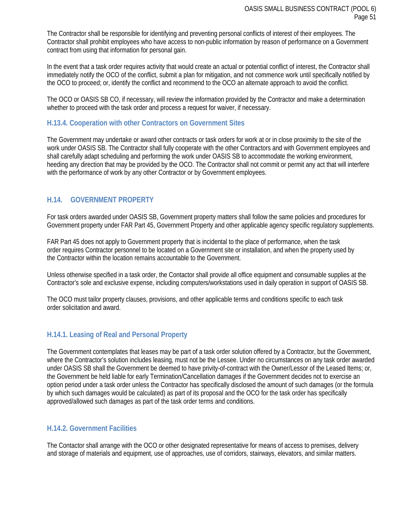The Contractor shall be responsible for identifying and preventing personal conflicts of interest of their employees. The Contractor shall prohibit employees who have access to non-public information by reason of performance on a Government contract from using that information for personal gain.

In the event that a task order requires activity that would create an actual or potential conflict of interest, the Contractor shall immediately notify the OCO of the conflict, submit a plan for mitigation, and not commence work until specifically notified by the OCO to proceed; or, identify the conflict and recommend to the OCO an alternate approach to avoid the conflict.

The OCO or OASIS SB CO, if necessary, will review the information provided by the Contractor and make a determination whether to proceed with the task order and process a request for waiver, if necessary.

#### <span id="page-50-0"></span>**H.13.4. Cooperation with other Contractors on Government Sites**

The Government may undertake or award other contracts or task orders for work at or in close proximity to the site of the work under OASIS SB. The Contractor shall fully cooperate with the other Contractors and with Government employees and shall carefully adapt scheduling and performing the work under OASIS SB to accommodate the working environment, heeding any direction that may be provided by the OCO. The Contractor shall not commit or permit any act that will interfere with the performance of work by any other Contractor or by Government employees.

#### <span id="page-50-1"></span>**H.14. GOVERNMENT PROPERTY**

For task orders awarded under OASIS SB, Government property matters shall follow the same policies and procedures for Government property under FAR Part 45, Government Property and other applicable agency specific regulatory supplements.

FAR Part 45 does not apply to Government property that is incidental to the place of performance, when the task order requires Contractor personnel to be located on a Government site or installation, and when the property used by the Contractor within the location remains accountable to the Government.

Unless otherwise specified in a task order, the Contactor shall provide all office equipment and consumable supplies at the Contractor's sole and exclusive expense, including computers/workstations used in daily operation in support of OASIS SB.

The OCO must tailor property clauses, provisions, and other applicable terms and conditions specific to each task order solicitation and award.

#### <span id="page-50-2"></span>**H.14.1. Leasing of Real and Personal Property**

The Government contemplates that leases may be part of a task order solution offered by a Contractor, but the Government, where the Contractor's solution includes leasing, must not be the Lessee. Under no circumstances on any task order awarded under OASIS SB shall the Government be deemed to have privity-of-contract with the Owner/Lessor of the Leased Items; or, the Government be held liable for early Termination/Cancellation damages if the Government decides not to exercise an option period under a task order unless the Contractor has specifically disclosed the amount of such damages (or the formula by which such damages would be calculated) as part of its proposal and the OCO for the task order has specifically approved/allowed such damages as part of the task order terms and conditions.

#### <span id="page-50-3"></span>**H.14.2. Government Facilities**

The Contactor shall arrange with the OCO or other designated representative for means of access to premises, delivery and storage of materials and equipment, use of approaches, use of corridors, stairways, elevators, and similar matters.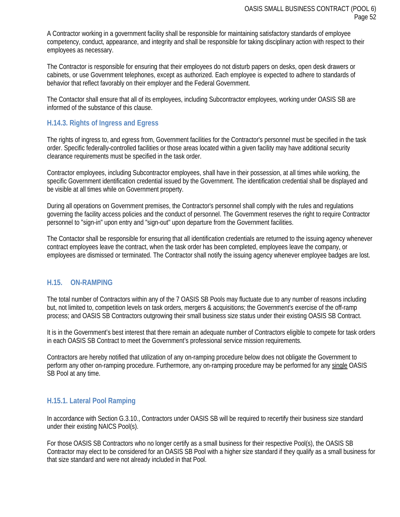A Contractor working in a government facility shall be responsible for maintaining satisfactory standards of employee competency, conduct, appearance, and integrity and shall be responsible for taking disciplinary action with respect to their employees as necessary.

The Contractor is responsible for ensuring that their employees do not disturb papers on desks, open desk drawers or cabinets, or use Government telephones, except as authorized. Each employee is expected to adhere to standards of behavior that reflect favorably on their employer and the Federal Government.

The Contactor shall ensure that all of its employees, including Subcontractor employees, working under OASIS SB are informed of the substance of this clause.

#### <span id="page-51-0"></span>**H.14.3. Rights of Ingress and Egress**

The rights of ingress to, and egress from, Government facilities for the Contractor's personnel must be specified in the task order. Specific federally-controlled facilities or those areas located within a given facility may have additional security clearance requirements must be specified in the task order.

Contractor employees, including Subcontractor employees, shall have in their possession, at all times while working, the specific Government identification credential issued by the Government. The identification credential shall be displayed and be visible at all times while on Government property.

During all operations on Government premises, the Contractor's personnel shall comply with the rules and regulations governing the facility access policies and the conduct of personnel. The Government reserves the right to require Contractor personnel to "sign-in" upon entry and "sign-out" upon departure from the Government facilities.

The Contactor shall be responsible for ensuring that all identification credentials are returned to the issuing agency whenever contract employees leave the contract, when the task order has been completed, employees leave the company, or employees are dismissed or terminated. The Contractor shall notify the issuing agency whenever employee badges are lost.

#### <span id="page-51-1"></span>**H.15. ON-RAMPING**

The total number of Contractors within any of the 7 OASIS SB Pools may fluctuate due to any number of reasons including but, not limited to, competition levels on task orders, mergers & acquisitions; the Government's exercise of the off-ramp process; and OASIS SB Contractors outgrowing their small business size status under their existing OASIS SB Contract.

It is in the Government's best interest that there remain an adequate number of Contractors eligible to compete for task orders in each OASIS SB Contract to meet the Government's professional service mission requirements.

Contractors are hereby notified that utilization of any on-ramping procedure below does not obligate the Government to perform any other on-ramping procedure. Furthermore, any on-ramping procedure may be performed for any single OASIS SB Pool at any time.

#### <span id="page-51-2"></span>**H.15.1. Lateral Pool Ramping**

In accordance with Section G.3.10., Contractors under OASIS SB will be required to recertify their business size standard under their existing NAICS Pool(s).

For those OASIS SB Contractors who no longer certify as a small business for their respective Pool(s), the OASIS SB Contractor may elect to be considered for an OASIS SB Pool with a higher size standard if they qualify as a small business for that size standard and were not already included in that Pool.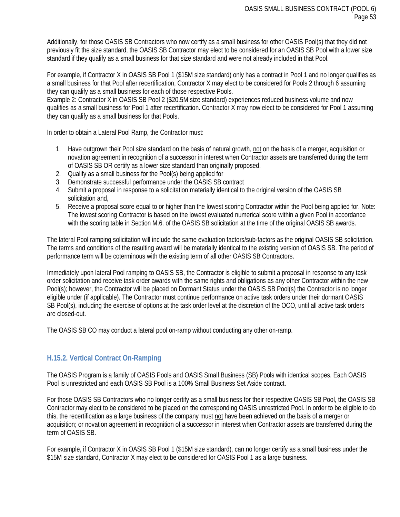Additionally, for those OASIS SB Contractors who now certify as a small business for other OASIS Pool(s) that they did not previously fit the size standard, the OASIS SB Contractor may elect to be considered for an OASIS SB Pool with a lower size standard if they qualify as a small business for that size standard and were not already included in that Pool.

For example, if Contractor X in OASIS SB Pool 1 (\$15M size standard) only has a contract in Pool 1 and no longer qualifies as a small business for that Pool after recertification, Contractor X may elect to be considered for Pools 2 through 6 assuming they can qualify as a small business for each of those respective Pools.

Example 2: Contractor X in OASIS SB Pool 2 (\$20.5M size standard) experiences reduced business volume and now qualifies as a small business for Pool 1 after recertification. Contractor X may now elect to be considered for Pool 1 assuming they can qualify as a small business for that Pools.

In order to obtain a Lateral Pool Ramp, the Contractor must:

- 1. Have outgrown their Pool size standard on the basis of natural growth, not on the basis of a merger, acquisition or novation agreement in recognition of a successor in interest when Contractor assets are transferred during the term of OASIS SB OR certify as a lower size standard than originally proposed.
- 2. Qualify as a small business for the Pool(s) being applied for
- 3. Demonstrate successful performance under the OASIS SB contract
- 4. Submit a proposal in response to a solicitation materially identical to the original version of the OASIS SB solicitation and,
- 5. Receive a proposal score equal to or higher than the lowest scoring Contractor within the Pool being applied for. Note: The lowest scoring Contractor is based on the lowest evaluated numerical score within a given Pool in accordance with the scoring table in Section M.6. of the OASIS SB solicitation at the time of the original OASIS SB awards.

The lateral Pool ramping solicitation will include the same evaluation factors/sub-factors as the original OASIS SB solicitation. The terms and conditions of the resulting award will be materially identical to the existing version of OASIS SB. The period of performance term will be coterminous with the existing term of all other OASIS SB Contractors.

Immediately upon lateral Pool ramping to OASIS SB, the Contractor is eligible to submit a proposal in response to any task order solicitation and receive task order awards with the same rights and obligations as any other Contractor within the new Pool(s); however, the Contractor will be placed on Dormant Status under the OASIS SB Pool(s) the Contractor is no longer eligible under (if applicable). The Contractor must continue performance on active task orders under their dormant OASIS SB Pool(s), including the exercise of options at the task order level at the discretion of the OCO, until all active task orders are closed-out.

The OASIS SB CO may conduct a lateral pool on-ramp without conducting any other on-ramp.

#### <span id="page-52-0"></span>**H.15.2. Vertical Contract On-Ramping**

The OASIS Program is a family of OASIS Pools and OASIS Small Business (SB) Pools with identical scopes. Each OASIS Pool is unrestricted and each OASIS SB Pool is a 100% Small Business Set Aside contract.

For those OASIS SB Contractors who no longer certify as a small business for their respective OASIS SB Pool, the OASIS SB Contractor may elect to be considered to be placed on the corresponding OASIS unrestricted Pool. In order to be eligible to do this, the recertification as a large business of the company must not have been achieved on the basis of a merger or acquisition; or novation agreement in recognition of a successor in interest when Contractor assets are transferred during the term of OASIS SB.

For example, if Contractor X in OASIS SB Pool 1 (\$15M size standard), can no longer certify as a small business under the \$15M size standard, Contractor X may elect to be considered for OASIS Pool 1 as a large business.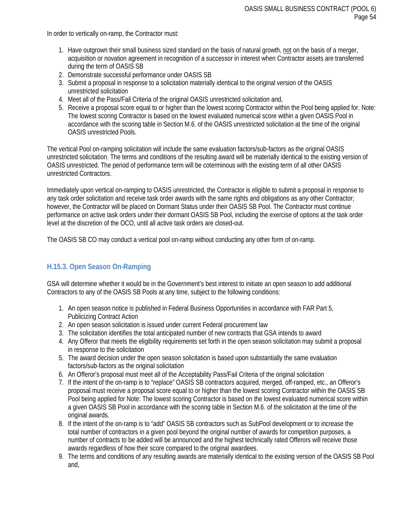In order to vertically on-ramp, the Contractor must:

- 1. Have outgrown their small business sized standard on the basis of natural growth, not on the basis of a merger, acquisition or novation agreement in recognition of a successor in interest when Contractor assets are transferred during the term of OASIS SB
- 2. Demonstrate successful performance under OASIS SB
- 3. Submit a proposal in response to a solicitation materially identical to the original version of the OASIS unrestricted solicitation
- 4. Meet all of the Pass/Fail Criteria of the original OASIS unrestricted solicitation and,
- 5. Receive a proposal score equal to or higher than the lowest scoring Contractor within the Pool being applied for. Note: The lowest scoring Contractor is based on the lowest evaluated numerical score within a given OASIS Pool in accordance with the scoring table in Section M.6. of the OASIS unrestricted solicitation at the time of the original OASIS unrestricted Pools.

The vertical Pool on-ramping solicitation will include the same evaluation factors/sub-factors as the original OASIS unrestricted solicitation. The terms and conditions of the resulting award will be materially identical to the existing version of OASIS unrestricted. The period of performance term will be coterminous with the existing term of all other OASIS unrestricted Contractors.

Immediately upon vertical on-ramping to OASIS unrestricted, the Contractor is eligible to submit a proposal in response to any task order solicitation and receive task order awards with the same rights and obligations as any other Contractor; however, the Contractor will be placed on Dormant Status under their OASIS SB Pool. The Contractor must continue performance on active task orders under their dormant OASIS SB Pool, including the exercise of options at the task order level at the discretion of the OCO, until all active task orders are closed-out.

The OASIS SB CO may conduct a vertical pool on-ramp without conducting any other form of on-ramp.

# <span id="page-53-0"></span>**H.15.3. Open Season On-Ramping**

GSA will determine whether it would be in the Government's best interest to initiate an open season to add additional Contractors to any of the OASIS SB Pools at any time, subject to the following conditions:

- 1. An open season notice is published in Federal Business Opportunities in accordance with FAR Part 5, Publicizing Contract Action
- 2. An open season solicitation is issued under current Federal procurement law
- 3. The solicitation identifies the total anticipated number of new contracts that GSA intends to award
- 4. Any Offeror that meets the eligibility requirements set forth in the open season solicitation may submit a proposal in response to the solicitation
- 5. The award decision under the open season solicitation is based upon substantially the same evaluation factors/sub-factors as the original solicitation
- 6. An Offeror's proposal must meet all of the Acceptability Pass/Fail Criteria of the original solicitation
- 7. If the intent of the on-ramp is to "replace" OASIS SB contractors acquired, merged, off-ramped, etc., an Offeror's proposal must receive a proposal score equal to or higher than the lowest scoring Contractor within the OASIS SB Pool being applied for Note: The lowest scoring Contractor is based on the lowest evaluated numerical score within a given OASIS SB Pool in accordance with the scoring table in Section M.6. of the solicitation at the time of the original awards.
- 8. If the intent of the on-ramp is to "add" OASIS SB contractors such as SubPool development or to increase the total number of contractors in a given pool beyond the original number of awards for competition purposes, a number of contracts to be added will be announced and the highest technically rated Offerors will receive those awards regardless of how their score compared to the original awardees.
- 9. The terms and conditions of any resulting awards are materially identical to the existing version of the OASIS SB Pool and,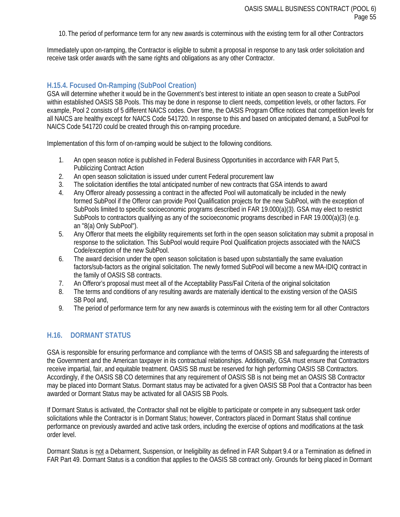10. The period of performance term for any new awards is coterminous with the existing term for all other Contractors

Immediately upon on-ramping, the Contractor is eligible to submit a proposal in response to any task order solicitation and receive task order awards with the same rights and obligations as any other Contractor.

### <span id="page-54-0"></span>**H.15.4. Focused On-Ramping (SubPool Creation)**

GSA will determine whether it would be in the Government's best interest to initiate an open season to create a SubPool within established OASIS SB Pools. This may be done in response to client needs, competition levels, or other factors. For example, Pool 2 consists of 5 different NAICS codes. Over time, the OASIS Program Office notices that competition levels for all NAICS are healthy except for NAICS Code 541720. In response to this and based on anticipated demand, a SubPool for NAICS Code 541720 could be created through this on-ramping procedure.

Implementation of this form of on-ramping would be subject to the following conditions.

- 1. An open season notice is published in Federal Business Opportunities in accordance with FAR Part 5, Publicizing Contract Action
- 2. An open season solicitation is issued under current Federal procurement law
- 3. The solicitation identifies the total anticipated number of new contracts that GSA intends to award
- 4. Any Offeror already possessing a contract in the affected Pool will automatically be included in the newly formed SubPool if the Offeror can provide Pool Qualification projects for the new SubPool, with the exception of SubPools limited to specific socioeconomic programs described in FAR 19.000(a)(3). GSA may elect to restrict SubPools to contractors qualifying as any of the socioeconomic programs described in FAR 19.000(a)(3) (e.g. an "8(a) Only SubPool").
- 5. Any Offeror that meets the eligibility requirements set forth in the open season solicitation may submit a proposal in response to the solicitation. This SubPool would require Pool Qualification projects associated with the NAICS Code/exception of the new SubPool.
- 6. The award decision under the open season solicitation is based upon substantially the same evaluation factors/sub-factors as the original solicitation. The newly formed SubPool will become a new MA-IDIQ contract in the family of OASIS SB contracts.
- 7. An Offeror's proposal must meet all of the Acceptability Pass/Fail Criteria of the original solicitation
- 8. The terms and conditions of any resulting awards are materially identical to the existing version of the OASIS SB Pool and,
- 9. The period of performance term for any new awards is coterminous with the existing term for all other Contractors

# <span id="page-54-1"></span>**H.16. DORMANT STATUS**

GSA is responsible for ensuring performance and compliance with the terms of OASIS SB and safeguarding the interests of the Government and the American taxpayer in its contractual relationships. Additionally, GSA must ensure that Contractors receive impartial, fair, and equitable treatment. OASIS SB must be reserved for high performing OASIS SB Contractors. Accordingly, if the OASIS SB CO determines that any requirement of OASIS SB is not being met an OASIS SB Contractor may be placed into Dormant Status. Dormant status may be activated for a given OASIS SB Pool that a Contractor has been awarded or Dormant Status may be activated for all OASIS SB Pools.

If Dormant Status is activated, the Contractor shall not be eligible to participate or compete in any subsequent task order solicitations while the Contractor is in Dormant Status; however, Contractors placed in Dormant Status shall continue performance on previously awarded and active task orders, including the exercise of options and modifications at the task order level.

Dormant Status is not a Debarment, Suspension, or Ineligibility as defined in FAR Subpart 9.4 or a Termination as defined in FAR Part 49. Dormant Status is a condition that applies to the OASIS SB contract only. Grounds for being placed in Dormant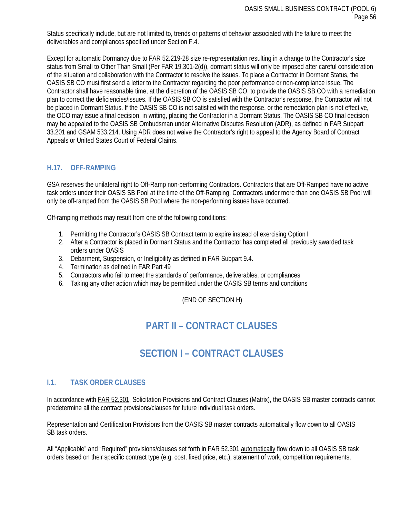Status specifically include, but are not limited to, trends or patterns of behavior associated with the failure to meet the deliverables and compliances specified under Section F.4.

Except for automatic Dormancy due to FAR 52.219-28 size re-representation resulting in a change to the Contractor's size status from Small to Other Than Small (Per FAR 19.301-2(d)), dormant status will only be imposed after careful consideration of the situation and collaboration with the Contractor to resolve the issues. To place a Contractor in Dormant Status, the OASIS SB CO must first send a letter to the Contractor regarding the poor performance or non-compliance issue. The Contractor shall have reasonable time, at the discretion of the OASIS SB CO, to provide the OASIS SB CO with a remediation plan to correct the deficiencies/issues. If the OASIS SB CO is satisfied with the Contractor's response, the Contractor will not be placed in Dormant Status. If the OASIS SB CO is not satisfied with the response, or the remediation plan is not effective, the OCO may issue a final decision, in writing, placing the Contractor in a Dormant Status. The OASIS SB CO final decision may be appealed to the OASIS SB Ombudsman under Alternative Disputes Resolution (ADR), as defined in FAR Subpart 33.201 and GSAM 533.214. Using ADR does not waive the Contractor's right to appeal to the Agency Board of Contract Appeals or United States Court of Federal Claims.

#### <span id="page-55-0"></span>**H.17. OFF-RAMPING**

GSA reserves the unilateral right to Off-Ramp non-performing Contractors. Contractors that are Off-Ramped have no active task orders under their OASIS SB Pool at the time of the Off-Ramping. Contractors under more than one OASIS SB Pool will only be off-ramped from the OASIS SB Pool where the non-performing issues have occurred.

Off-ramping methods may result from one of the following conditions:

- 1. Permitting the Contractor's OASIS SB Contract term to expire instead of exercising Option I
- 2. After a Contractor is placed in Dormant Status and the Contractor has completed all previously awarded task orders under OASIS
- 3. Debarment, Suspension, or Ineligibility as defined in FAR Subpart 9.4.
- 4. Termination as defined in FAR Part 49
- 5. Contractors who fail to meet the standards of performance, deliverables, or compliances
- <span id="page-55-1"></span>6. Taking any other action which may be permitted under the OASIS SB terms and conditions

(END OF SECTION H)

# **PART II – CONTRACT CLAUSES**

# **SECTION I – CONTRACT CLAUSES**

#### <span id="page-55-3"></span><span id="page-55-2"></span>**I.1. TASK ORDER CLAUSES**

In accordance with FAR 52.301, Solicitation Provisions and Contract Clauses (Matrix), the OASIS SB master contracts cannot predetermine all the contract provisions/clauses for future individual task orders.

Representation and Certification Provisions from the OASIS SB master contracts automatically flow down to all OASIS SB task orders.

All "Applicable" and "Required" provisions/clauses set forth in FAR 52.301 automatically flow down to all OASIS SB task orders based on their specific contract type (e.g. cost, fixed price, etc.), statement of work, competition requirements,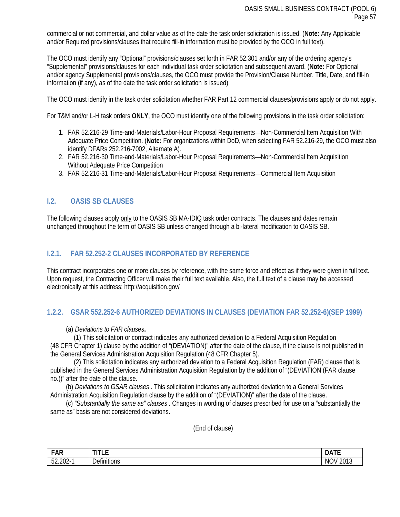commercial or not commercial, and dollar value as of the date the task order solicitation is issued. (**Note:** Any Applicable and/or Required provisions/clauses that require fill-in information must be provided by the OCO in full text).

The OCO must identify any "Optional" provisions/clauses set forth in FAR 52.301 and/or any of the ordering agency's "Supplemental" provisions/clauses for each individual task order solicitation and subsequent award. (**Note:** For Optional and/or agency Supplemental provisions/clauses, the OCO must provide the Provision/Clause Number, Title, Date, and fill-in information (if any), as of the date the task order solicitation is issued)

The OCO must identify in the task order solicitation whether FAR Part 12 commercial clauses/provisions apply or do not apply.

For T&M and/or L-H task orders **ONLY**, the OCO must identify one of the following provisions in the task order solicitation:

- 1. FAR 52.216-29 Time-and-Materials/Labor-Hour Proposal Requirements—Non-Commercial Item Acquisition With Adequate Price Competition. (**Note:** For organizations within DoD, when selecting FAR 52.216-29, the OCO must also identify DFARs 252.216-7002, Alternate A).
- 2. FAR 52.216-30 Time-and-Materials/Labor-Hour Proposal Requirements—Non-Commercial Item Acquisition Without Adequate Price Competition
- 3. FAR 52.216-31 Time-and-Materials/Labor-Hour Proposal Requirements—Commercial Item Acquisition

#### <span id="page-56-0"></span>**I.2. OASIS SB CLAUSES**

The following clauses apply only to the OASIS SB MA-IDIQ task order contracts. The clauses and dates remain unchanged throughout the term of OASIS SB unless changed through a bi-lateral modification to OASIS SB.

#### <span id="page-56-1"></span>**I.2.1. FAR 52.252-2 CLAUSES INCORPORATED BY REFERENCE**

This contract incorporates one or more clauses by reference, with the same force and effect as if they were given in full text. Upon request, the Contracting Officer will make their full text available. Also, the full text of a clause may be accessed electronically at this address: http://acquisition.gov/

#### <span id="page-56-2"></span>**1.2.2. GSAR 552.252-6 AUTHORIZED DEVIATIONS IN CLAUSES (DEVIATION FAR 52.252-6)(SEP 1999)**

#### (a) *Deviations to FAR clauses***.**

(1) This solicitation or contract indicates any authorized deviation to a Federal Acquisition Regulation (48 CFR Chapter 1) clause by the addition of "(DEVIATION)" after the date of the clause, if the clause is not published in the General Services Administration Acquisition Regulation (48 CFR Chapter 5).

(2) This solicitation indicates any authorized deviation to a Federal Acquisition Regulation (FAR) clause that is published in the General Services Administration Acquisition Regulation by the addition of "(DEVIATION (FAR clause no.))" after the date of the clause.

(b) *Deviations to GSAR clauses* . This solicitation indicates any authorized deviation to a General Services Administration Acquisition Regulation clause by the addition of "(DEVIATION)" after the date of the clause.

(c) *"Substantially the same as" clauses* . Changes in wording of clauses prescribed for use on a "substantially the same as" basis are not considered deviations.

(End of clause)

| <b>EAD</b><br><b>AIV</b> | -<br>-----<br>--                                  | $\sim$ $\sim$ $\sim$<br>14<br>. |
|--------------------------|---------------------------------------------------|---------------------------------|
| $\Omega$<br>ັ            | $\sim$<br>$\cdots$<br>-<br>$-11111$<br>.<br>нионѕ | N0<br>ו ו                       |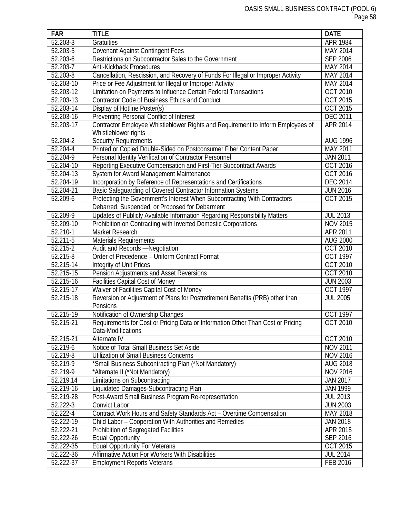| <b>FAR</b>              | <b>TITLE</b>                                                                     | <b>DATE</b>     |
|-------------------------|----------------------------------------------------------------------------------|-----------------|
| 52.203-3                | <b>Gratuities</b>                                                                | <b>APR 1984</b> |
| 52.203-5                | <b>Covenant Against Contingent Fees</b>                                          | <b>MAY 2014</b> |
| 52.203-6                | Restrictions on Subcontractor Sales to the Government                            | <b>SEP 2006</b> |
| 52.203-7                | Anti-Kickback Procedures                                                         | MAY 2014        |
| 52.203-8                | Cancellation, Rescission, and Recovery of Funds For Illegal or Improper Activity | <b>MAY 2014</b> |
| $52.203 - 10$           | Price or Fee Adjustment for Illegal or Improper Activity                         | MAY 2014        |
| 52.203-12               | Limitation on Payments to Influence Certain Federal Transactions                 | <b>OCT 2010</b> |
| 52.203-13               | <b>Contractor Code of Business Ethics and Conduct</b>                            | <b>OCT 2015</b> |
| 52.203-14               | Display of Hotline Poster(s)                                                     | <b>OCT 2015</b> |
| 52.203-16               | Preventing Personal Conflict of Interest                                         | <b>DEC 2011</b> |
| 52.203-17               | Contractor Employee Whistleblower Rights and Requirement to Inform Employees of  | <b>APR 2014</b> |
|                         | Whistleblower rights                                                             |                 |
| $\overline{5}$ 2.204-2  | <b>Security Requirements</b>                                                     | <b>AUG 1996</b> |
| 52.204-4                | Printed or Copied Double-Sided on Postconsumer Fiber Content Paper               | <b>MAY 2011</b> |
| 52.204-9                | Personal Identity Verification of Contractor Personnel                           | <b>JAN 2011</b> |
| 52.204-10               | Reporting Executive Compensation and First-Tier Subcontract Awards               | OCT 2016        |
| 52.204-13               | <b>System for Award Management Maintenance</b>                                   | OCT 2016        |
| 52.204-19               | Incorporation by Reference of Representations and Certifications                 | <b>DEC 2014</b> |
| 52.204-21               | Basic Safeguarding of Covered Contractor Information Systems                     | <b>JUN 2016</b> |
| 52.209-6                | Protecting the Government's Interest When Subcontracting With Contractors        | <b>OCT 2015</b> |
|                         | Debarred, Suspended, or Proposed for Debarment                                   |                 |
| 52.209-9                | Updates of Publicly Available Information Regarding Responsibility Matters       | <b>JUL 2013</b> |
| 52.209-10               | Prohibition on Contracting with Inverted Domestic Corporations                   | <b>NOV 2015</b> |
| 52.210-1                | Market Research                                                                  | APR 2011        |
| 52.211-5                | <b>Materials Requirements</b>                                                    | <b>AUG 2000</b> |
| $52.215 - 2$            | Audit and Records -Negotiation                                                   | <b>OCT 2010</b> |
| 52.215-8                | Order of Precedence - Uniform Contract Format                                    | <b>OCT 1997</b> |
| 52.215-14               | Integrity of Unit Prices                                                         | <b>OCT 2010</b> |
| $\overline{52.215}$ -15 | Pension Adjustments and Asset Reversions                                         | OCT 2010        |
| 52.215-16               | <b>Facilities Capital Cost of Money</b>                                          | <b>JUN 2003</b> |
| 52.215-17               | Waiver of Facilities Capital Cost of Money                                       | OCT 1997        |
| 52.215-18               | Reversion or Adjustment of Plans for Postretirement Benefits (PRB) other than    | <b>JUL 2005</b> |
|                         | Pensions                                                                         |                 |
| 52.215-19               | Notification of Ownership Changes                                                | <b>OCT 1997</b> |
| 52.215-21               | Requirements for Cost or Pricing Data or Information Other Than Cost or Pricing  | <b>OCT 2010</b> |
|                         | Data-Modifications                                                               |                 |
| 52.215-21               | Alternate IV                                                                     | <b>OCT 2010</b> |
| 52.219-6                | Notice of Total Small Business Set Aside                                         | <b>NOV 2011</b> |
| 52.219-8                | <b>Utilization of Small Business Concerns</b>                                    | <b>NOV 2016</b> |
| 52.219-9                | *Small Business Subcontracting Plan (*Not Mandatory)                             | <b>AUG 2018</b> |
| 52.219-9                | *Alternate II (*Not Mandatory)                                                   | <b>NOV 2016</b> |
| 52.219.14               | Limitations on Subcontracting                                                    | <b>JAN 2017</b> |
| 52.219-16               | Liquidated Damages-Subcontracting Plan                                           | <b>JAN 1999</b> |
| 52.219-28               | Post-Award Small Business Program Re-representation                              | <b>JUL 2013</b> |
| 52.222-3                | Convict Labor                                                                    | <b>JUN 2003</b> |
| 52.222-4                | Contract Work Hours and Safety Standards Act - Overtime Compensation             | MAY 2018        |
| 52.222-19               | Child Labor - Cooperation With Authorities and Remedies                          | <b>JAN 2018</b> |
| 52.222-21               | Prohibition of Segregated Facilities                                             | APR 2015        |
| 52.222-26               | <b>Equal Opportunity</b>                                                         | SEP 2016        |
| 52.222-35               | <b>Equal Opportunity For Veterans</b>                                            | OCT 2015        |
| 52.222-36               | Affirmative Action For Workers With Disabilities                                 | <b>JUL 2014</b> |
| 52.222-37               | <b>Employment Reports Veterans</b>                                               | <b>FEB 2016</b> |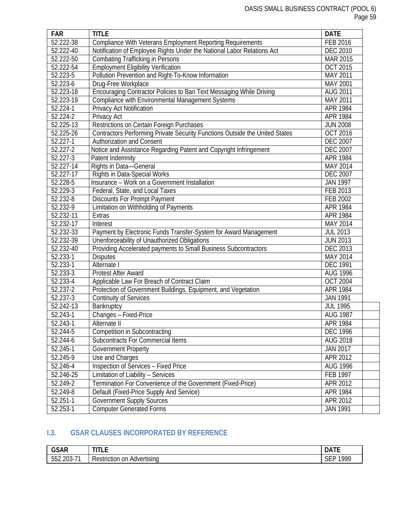| 52.222-38<br>Compliance With Veterans Employment Reporting Requirements<br><b>FEB 2016</b><br>Notification of Employee Rights Under the National Labor Relations Act<br>52.222-40<br><b>DEC 2010</b><br>52.222-50<br><b>Combating Trafficking in Persons</b><br><b>MAR 2015</b><br><b>Employment Eligibility Verification</b><br><b>OCT 2015</b><br>52.222-54<br>Pollution Prevention and Right-To-Know Information<br><b>MAY 2011</b><br>52.223-5<br>52.223-6<br>Drug-Free Workplace<br>MAY 2001<br>Encouraging Contractor Policies to Ban Text Messaging While Driving<br>52.223-18<br>AUG 2011<br>52.223-19<br><b>Compliance with Environmental Management Systems</b><br>MAY 2011<br>52.224-1<br>Privacy Act Notification<br><b>APR 1984</b><br>$52.224 - 2$<br><b>APR 1984</b><br>Privacy Act<br>52.225-13<br>Restrictions on Certain Foreign Purchases<br><b>JUN 2008</b><br>52.225-26<br>Contractors Performing Private Security Functions Outside the United States<br><b>OCT 2016</b><br><b>DEC 2007</b><br>Authorization and Consent<br>52.227-1<br><b>DEC 2007</b><br>$52.227 - 2$<br>Notice and Assistance Regarding Patent and Copyright Infringement<br>52.227-3<br><b>APR 1984</b><br>Patent Indemnity<br>52.227-14<br>Rights in Data-General<br>MAY 2014<br>52.227-17<br><b>Rights in Data-Special Works</b><br><b>DEC 2007</b><br>Insurance - Work on a Government Installation<br>52.228-5<br><b>JAN 1997</b><br>52.229-3<br>Federal, State, and Local Taxes<br>FEB 2013<br>52.232-8<br><b>Discounts For Prompt Payment</b><br><b>FEB 2002</b><br>Limitation on Withholding of Payments<br>52.232-9<br><b>APR 1984</b><br>52.232-11<br>Extras<br><b>APR 1984</b><br>52.232-17<br><b>MAY 2014</b><br>Interest<br>52.232-33<br>Payment by Electronic Funds Transfer-System for Award Management<br><b>JUL 2013</b><br>52.232-39<br>Unenforceability of Unauthorized Obligations<br><b>JUN 2013</b><br>Providing Accelerated payments to Small Business Subcontractors<br>52.232-40<br><b>DEC 2013</b><br>52.233-1<br><b>Disputes</b><br>MAY 2014<br>52.233-1<br>Alternate I<br><b>DEC 1991</b><br>52.233-3<br><b>Protest After Award</b><br><b>AUG 1996</b><br>52.233-4<br><b>OCT 2004</b><br>Applicable Law For Breach of Contract Claim<br>Protection of Government Buildings, Equipment, and Vegetation<br>52.237-2<br><b>APR 1984</b><br>52.237-3<br><b>Continuity of Services</b><br><b>JAN 1991</b><br>Bankruptcy<br>52.242-13<br><b>JUL 1995</b><br>Changes - Fixed-Price<br><b>AUG 1987</b><br>52.243-1<br>52.243-1<br>Alternate II<br>APR 1984<br>52.244-5<br><b>Competition in Subcontracting</b><br><b>DEC 1996</b><br><b>AUG 2018</b><br>52.244-6<br><b>Subcontracts For Commercial Items</b><br>$52.245 - 1$<br><b>JAN 2017</b><br><b>Government Property</b><br>52.245-9<br>Use and Charges<br>APR 2012<br><b>Inspection of Services - Fixed Price</b><br>52.246-4<br><b>AUG 1996</b><br>52.246-25<br>Limitation of Liability - Services<br>FEB 1997<br>Termination For Convenience of the Government (Fixed-Price)<br>52.249-2<br>APR 2012<br>Default (Fixed-Price Supply And Service)<br>52.249-8<br><b>APR 1984</b><br>52.251-1<br><b>Government Supply Sources</b><br><b>APR 2012</b><br><b>Computer Generated Forms</b><br>52.253-1<br><b>JAN 1991</b> | <b>FAR</b> | <b>TITLE</b> | <b>DATE</b> |
|-------------------------------------------------------------------------------------------------------------------------------------------------------------------------------------------------------------------------------------------------------------------------------------------------------------------------------------------------------------------------------------------------------------------------------------------------------------------------------------------------------------------------------------------------------------------------------------------------------------------------------------------------------------------------------------------------------------------------------------------------------------------------------------------------------------------------------------------------------------------------------------------------------------------------------------------------------------------------------------------------------------------------------------------------------------------------------------------------------------------------------------------------------------------------------------------------------------------------------------------------------------------------------------------------------------------------------------------------------------------------------------------------------------------------------------------------------------------------------------------------------------------------------------------------------------------------------------------------------------------------------------------------------------------------------------------------------------------------------------------------------------------------------------------------------------------------------------------------------------------------------------------------------------------------------------------------------------------------------------------------------------------------------------------------------------------------------------------------------------------------------------------------------------------------------------------------------------------------------------------------------------------------------------------------------------------------------------------------------------------------------------------------------------------------------------------------------------------------------------------------------------------------------------------------------------------------------------------------------------------------------------------------------------------------------------------------------------------------------------------------------------------------------------------------------------------------------------------------------------------------------------------------------------------------------------------------------------------------------------------------------------------------------------------------------------------------------------------------------------------------------------------------------------------------------------------------------------------------------------------------------------------------------------------|------------|--------------|-------------|
|                                                                                                                                                                                                                                                                                                                                                                                                                                                                                                                                                                                                                                                                                                                                                                                                                                                                                                                                                                                                                                                                                                                                                                                                                                                                                                                                                                                                                                                                                                                                                                                                                                                                                                                                                                                                                                                                                                                                                                                                                                                                                                                                                                                                                                                                                                                                                                                                                                                                                                                                                                                                                                                                                                                                                                                                                                                                                                                                                                                                                                                                                                                                                                                                                                                                                           |            |              |             |
|                                                                                                                                                                                                                                                                                                                                                                                                                                                                                                                                                                                                                                                                                                                                                                                                                                                                                                                                                                                                                                                                                                                                                                                                                                                                                                                                                                                                                                                                                                                                                                                                                                                                                                                                                                                                                                                                                                                                                                                                                                                                                                                                                                                                                                                                                                                                                                                                                                                                                                                                                                                                                                                                                                                                                                                                                                                                                                                                                                                                                                                                                                                                                                                                                                                                                           |            |              |             |
|                                                                                                                                                                                                                                                                                                                                                                                                                                                                                                                                                                                                                                                                                                                                                                                                                                                                                                                                                                                                                                                                                                                                                                                                                                                                                                                                                                                                                                                                                                                                                                                                                                                                                                                                                                                                                                                                                                                                                                                                                                                                                                                                                                                                                                                                                                                                                                                                                                                                                                                                                                                                                                                                                                                                                                                                                                                                                                                                                                                                                                                                                                                                                                                                                                                                                           |            |              |             |
|                                                                                                                                                                                                                                                                                                                                                                                                                                                                                                                                                                                                                                                                                                                                                                                                                                                                                                                                                                                                                                                                                                                                                                                                                                                                                                                                                                                                                                                                                                                                                                                                                                                                                                                                                                                                                                                                                                                                                                                                                                                                                                                                                                                                                                                                                                                                                                                                                                                                                                                                                                                                                                                                                                                                                                                                                                                                                                                                                                                                                                                                                                                                                                                                                                                                                           |            |              |             |
|                                                                                                                                                                                                                                                                                                                                                                                                                                                                                                                                                                                                                                                                                                                                                                                                                                                                                                                                                                                                                                                                                                                                                                                                                                                                                                                                                                                                                                                                                                                                                                                                                                                                                                                                                                                                                                                                                                                                                                                                                                                                                                                                                                                                                                                                                                                                                                                                                                                                                                                                                                                                                                                                                                                                                                                                                                                                                                                                                                                                                                                                                                                                                                                                                                                                                           |            |              |             |
|                                                                                                                                                                                                                                                                                                                                                                                                                                                                                                                                                                                                                                                                                                                                                                                                                                                                                                                                                                                                                                                                                                                                                                                                                                                                                                                                                                                                                                                                                                                                                                                                                                                                                                                                                                                                                                                                                                                                                                                                                                                                                                                                                                                                                                                                                                                                                                                                                                                                                                                                                                                                                                                                                                                                                                                                                                                                                                                                                                                                                                                                                                                                                                                                                                                                                           |            |              |             |
|                                                                                                                                                                                                                                                                                                                                                                                                                                                                                                                                                                                                                                                                                                                                                                                                                                                                                                                                                                                                                                                                                                                                                                                                                                                                                                                                                                                                                                                                                                                                                                                                                                                                                                                                                                                                                                                                                                                                                                                                                                                                                                                                                                                                                                                                                                                                                                                                                                                                                                                                                                                                                                                                                                                                                                                                                                                                                                                                                                                                                                                                                                                                                                                                                                                                                           |            |              |             |
|                                                                                                                                                                                                                                                                                                                                                                                                                                                                                                                                                                                                                                                                                                                                                                                                                                                                                                                                                                                                                                                                                                                                                                                                                                                                                                                                                                                                                                                                                                                                                                                                                                                                                                                                                                                                                                                                                                                                                                                                                                                                                                                                                                                                                                                                                                                                                                                                                                                                                                                                                                                                                                                                                                                                                                                                                                                                                                                                                                                                                                                                                                                                                                                                                                                                                           |            |              |             |
|                                                                                                                                                                                                                                                                                                                                                                                                                                                                                                                                                                                                                                                                                                                                                                                                                                                                                                                                                                                                                                                                                                                                                                                                                                                                                                                                                                                                                                                                                                                                                                                                                                                                                                                                                                                                                                                                                                                                                                                                                                                                                                                                                                                                                                                                                                                                                                                                                                                                                                                                                                                                                                                                                                                                                                                                                                                                                                                                                                                                                                                                                                                                                                                                                                                                                           |            |              |             |
|                                                                                                                                                                                                                                                                                                                                                                                                                                                                                                                                                                                                                                                                                                                                                                                                                                                                                                                                                                                                                                                                                                                                                                                                                                                                                                                                                                                                                                                                                                                                                                                                                                                                                                                                                                                                                                                                                                                                                                                                                                                                                                                                                                                                                                                                                                                                                                                                                                                                                                                                                                                                                                                                                                                                                                                                                                                                                                                                                                                                                                                                                                                                                                                                                                                                                           |            |              |             |
|                                                                                                                                                                                                                                                                                                                                                                                                                                                                                                                                                                                                                                                                                                                                                                                                                                                                                                                                                                                                                                                                                                                                                                                                                                                                                                                                                                                                                                                                                                                                                                                                                                                                                                                                                                                                                                                                                                                                                                                                                                                                                                                                                                                                                                                                                                                                                                                                                                                                                                                                                                                                                                                                                                                                                                                                                                                                                                                                                                                                                                                                                                                                                                                                                                                                                           |            |              |             |
|                                                                                                                                                                                                                                                                                                                                                                                                                                                                                                                                                                                                                                                                                                                                                                                                                                                                                                                                                                                                                                                                                                                                                                                                                                                                                                                                                                                                                                                                                                                                                                                                                                                                                                                                                                                                                                                                                                                                                                                                                                                                                                                                                                                                                                                                                                                                                                                                                                                                                                                                                                                                                                                                                                                                                                                                                                                                                                                                                                                                                                                                                                                                                                                                                                                                                           |            |              |             |
|                                                                                                                                                                                                                                                                                                                                                                                                                                                                                                                                                                                                                                                                                                                                                                                                                                                                                                                                                                                                                                                                                                                                                                                                                                                                                                                                                                                                                                                                                                                                                                                                                                                                                                                                                                                                                                                                                                                                                                                                                                                                                                                                                                                                                                                                                                                                                                                                                                                                                                                                                                                                                                                                                                                                                                                                                                                                                                                                                                                                                                                                                                                                                                                                                                                                                           |            |              |             |
|                                                                                                                                                                                                                                                                                                                                                                                                                                                                                                                                                                                                                                                                                                                                                                                                                                                                                                                                                                                                                                                                                                                                                                                                                                                                                                                                                                                                                                                                                                                                                                                                                                                                                                                                                                                                                                                                                                                                                                                                                                                                                                                                                                                                                                                                                                                                                                                                                                                                                                                                                                                                                                                                                                                                                                                                                                                                                                                                                                                                                                                                                                                                                                                                                                                                                           |            |              |             |
|                                                                                                                                                                                                                                                                                                                                                                                                                                                                                                                                                                                                                                                                                                                                                                                                                                                                                                                                                                                                                                                                                                                                                                                                                                                                                                                                                                                                                                                                                                                                                                                                                                                                                                                                                                                                                                                                                                                                                                                                                                                                                                                                                                                                                                                                                                                                                                                                                                                                                                                                                                                                                                                                                                                                                                                                                                                                                                                                                                                                                                                                                                                                                                                                                                                                                           |            |              |             |
|                                                                                                                                                                                                                                                                                                                                                                                                                                                                                                                                                                                                                                                                                                                                                                                                                                                                                                                                                                                                                                                                                                                                                                                                                                                                                                                                                                                                                                                                                                                                                                                                                                                                                                                                                                                                                                                                                                                                                                                                                                                                                                                                                                                                                                                                                                                                                                                                                                                                                                                                                                                                                                                                                                                                                                                                                                                                                                                                                                                                                                                                                                                                                                                                                                                                                           |            |              |             |
|                                                                                                                                                                                                                                                                                                                                                                                                                                                                                                                                                                                                                                                                                                                                                                                                                                                                                                                                                                                                                                                                                                                                                                                                                                                                                                                                                                                                                                                                                                                                                                                                                                                                                                                                                                                                                                                                                                                                                                                                                                                                                                                                                                                                                                                                                                                                                                                                                                                                                                                                                                                                                                                                                                                                                                                                                                                                                                                                                                                                                                                                                                                                                                                                                                                                                           |            |              |             |
|                                                                                                                                                                                                                                                                                                                                                                                                                                                                                                                                                                                                                                                                                                                                                                                                                                                                                                                                                                                                                                                                                                                                                                                                                                                                                                                                                                                                                                                                                                                                                                                                                                                                                                                                                                                                                                                                                                                                                                                                                                                                                                                                                                                                                                                                                                                                                                                                                                                                                                                                                                                                                                                                                                                                                                                                                                                                                                                                                                                                                                                                                                                                                                                                                                                                                           |            |              |             |
|                                                                                                                                                                                                                                                                                                                                                                                                                                                                                                                                                                                                                                                                                                                                                                                                                                                                                                                                                                                                                                                                                                                                                                                                                                                                                                                                                                                                                                                                                                                                                                                                                                                                                                                                                                                                                                                                                                                                                                                                                                                                                                                                                                                                                                                                                                                                                                                                                                                                                                                                                                                                                                                                                                                                                                                                                                                                                                                                                                                                                                                                                                                                                                                                                                                                                           |            |              |             |
|                                                                                                                                                                                                                                                                                                                                                                                                                                                                                                                                                                                                                                                                                                                                                                                                                                                                                                                                                                                                                                                                                                                                                                                                                                                                                                                                                                                                                                                                                                                                                                                                                                                                                                                                                                                                                                                                                                                                                                                                                                                                                                                                                                                                                                                                                                                                                                                                                                                                                                                                                                                                                                                                                                                                                                                                                                                                                                                                                                                                                                                                                                                                                                                                                                                                                           |            |              |             |
|                                                                                                                                                                                                                                                                                                                                                                                                                                                                                                                                                                                                                                                                                                                                                                                                                                                                                                                                                                                                                                                                                                                                                                                                                                                                                                                                                                                                                                                                                                                                                                                                                                                                                                                                                                                                                                                                                                                                                                                                                                                                                                                                                                                                                                                                                                                                                                                                                                                                                                                                                                                                                                                                                                                                                                                                                                                                                                                                                                                                                                                                                                                                                                                                                                                                                           |            |              |             |
|                                                                                                                                                                                                                                                                                                                                                                                                                                                                                                                                                                                                                                                                                                                                                                                                                                                                                                                                                                                                                                                                                                                                                                                                                                                                                                                                                                                                                                                                                                                                                                                                                                                                                                                                                                                                                                                                                                                                                                                                                                                                                                                                                                                                                                                                                                                                                                                                                                                                                                                                                                                                                                                                                                                                                                                                                                                                                                                                                                                                                                                                                                                                                                                                                                                                                           |            |              |             |
|                                                                                                                                                                                                                                                                                                                                                                                                                                                                                                                                                                                                                                                                                                                                                                                                                                                                                                                                                                                                                                                                                                                                                                                                                                                                                                                                                                                                                                                                                                                                                                                                                                                                                                                                                                                                                                                                                                                                                                                                                                                                                                                                                                                                                                                                                                                                                                                                                                                                                                                                                                                                                                                                                                                                                                                                                                                                                                                                                                                                                                                                                                                                                                                                                                                                                           |            |              |             |
|                                                                                                                                                                                                                                                                                                                                                                                                                                                                                                                                                                                                                                                                                                                                                                                                                                                                                                                                                                                                                                                                                                                                                                                                                                                                                                                                                                                                                                                                                                                                                                                                                                                                                                                                                                                                                                                                                                                                                                                                                                                                                                                                                                                                                                                                                                                                                                                                                                                                                                                                                                                                                                                                                                                                                                                                                                                                                                                                                                                                                                                                                                                                                                                                                                                                                           |            |              |             |
|                                                                                                                                                                                                                                                                                                                                                                                                                                                                                                                                                                                                                                                                                                                                                                                                                                                                                                                                                                                                                                                                                                                                                                                                                                                                                                                                                                                                                                                                                                                                                                                                                                                                                                                                                                                                                                                                                                                                                                                                                                                                                                                                                                                                                                                                                                                                                                                                                                                                                                                                                                                                                                                                                                                                                                                                                                                                                                                                                                                                                                                                                                                                                                                                                                                                                           |            |              |             |
|                                                                                                                                                                                                                                                                                                                                                                                                                                                                                                                                                                                                                                                                                                                                                                                                                                                                                                                                                                                                                                                                                                                                                                                                                                                                                                                                                                                                                                                                                                                                                                                                                                                                                                                                                                                                                                                                                                                                                                                                                                                                                                                                                                                                                                                                                                                                                                                                                                                                                                                                                                                                                                                                                                                                                                                                                                                                                                                                                                                                                                                                                                                                                                                                                                                                                           |            |              |             |
|                                                                                                                                                                                                                                                                                                                                                                                                                                                                                                                                                                                                                                                                                                                                                                                                                                                                                                                                                                                                                                                                                                                                                                                                                                                                                                                                                                                                                                                                                                                                                                                                                                                                                                                                                                                                                                                                                                                                                                                                                                                                                                                                                                                                                                                                                                                                                                                                                                                                                                                                                                                                                                                                                                                                                                                                                                                                                                                                                                                                                                                                                                                                                                                                                                                                                           |            |              |             |
|                                                                                                                                                                                                                                                                                                                                                                                                                                                                                                                                                                                                                                                                                                                                                                                                                                                                                                                                                                                                                                                                                                                                                                                                                                                                                                                                                                                                                                                                                                                                                                                                                                                                                                                                                                                                                                                                                                                                                                                                                                                                                                                                                                                                                                                                                                                                                                                                                                                                                                                                                                                                                                                                                                                                                                                                                                                                                                                                                                                                                                                                                                                                                                                                                                                                                           |            |              |             |
|                                                                                                                                                                                                                                                                                                                                                                                                                                                                                                                                                                                                                                                                                                                                                                                                                                                                                                                                                                                                                                                                                                                                                                                                                                                                                                                                                                                                                                                                                                                                                                                                                                                                                                                                                                                                                                                                                                                                                                                                                                                                                                                                                                                                                                                                                                                                                                                                                                                                                                                                                                                                                                                                                                                                                                                                                                                                                                                                                                                                                                                                                                                                                                                                                                                                                           |            |              |             |
|                                                                                                                                                                                                                                                                                                                                                                                                                                                                                                                                                                                                                                                                                                                                                                                                                                                                                                                                                                                                                                                                                                                                                                                                                                                                                                                                                                                                                                                                                                                                                                                                                                                                                                                                                                                                                                                                                                                                                                                                                                                                                                                                                                                                                                                                                                                                                                                                                                                                                                                                                                                                                                                                                                                                                                                                                                                                                                                                                                                                                                                                                                                                                                                                                                                                                           |            |              |             |
|                                                                                                                                                                                                                                                                                                                                                                                                                                                                                                                                                                                                                                                                                                                                                                                                                                                                                                                                                                                                                                                                                                                                                                                                                                                                                                                                                                                                                                                                                                                                                                                                                                                                                                                                                                                                                                                                                                                                                                                                                                                                                                                                                                                                                                                                                                                                                                                                                                                                                                                                                                                                                                                                                                                                                                                                                                                                                                                                                                                                                                                                                                                                                                                                                                                                                           |            |              |             |
|                                                                                                                                                                                                                                                                                                                                                                                                                                                                                                                                                                                                                                                                                                                                                                                                                                                                                                                                                                                                                                                                                                                                                                                                                                                                                                                                                                                                                                                                                                                                                                                                                                                                                                                                                                                                                                                                                                                                                                                                                                                                                                                                                                                                                                                                                                                                                                                                                                                                                                                                                                                                                                                                                                                                                                                                                                                                                                                                                                                                                                                                                                                                                                                                                                                                                           |            |              |             |
|                                                                                                                                                                                                                                                                                                                                                                                                                                                                                                                                                                                                                                                                                                                                                                                                                                                                                                                                                                                                                                                                                                                                                                                                                                                                                                                                                                                                                                                                                                                                                                                                                                                                                                                                                                                                                                                                                                                                                                                                                                                                                                                                                                                                                                                                                                                                                                                                                                                                                                                                                                                                                                                                                                                                                                                                                                                                                                                                                                                                                                                                                                                                                                                                                                                                                           |            |              |             |
|                                                                                                                                                                                                                                                                                                                                                                                                                                                                                                                                                                                                                                                                                                                                                                                                                                                                                                                                                                                                                                                                                                                                                                                                                                                                                                                                                                                                                                                                                                                                                                                                                                                                                                                                                                                                                                                                                                                                                                                                                                                                                                                                                                                                                                                                                                                                                                                                                                                                                                                                                                                                                                                                                                                                                                                                                                                                                                                                                                                                                                                                                                                                                                                                                                                                                           |            |              |             |
|                                                                                                                                                                                                                                                                                                                                                                                                                                                                                                                                                                                                                                                                                                                                                                                                                                                                                                                                                                                                                                                                                                                                                                                                                                                                                                                                                                                                                                                                                                                                                                                                                                                                                                                                                                                                                                                                                                                                                                                                                                                                                                                                                                                                                                                                                                                                                                                                                                                                                                                                                                                                                                                                                                                                                                                                                                                                                                                                                                                                                                                                                                                                                                                                                                                                                           |            |              |             |
|                                                                                                                                                                                                                                                                                                                                                                                                                                                                                                                                                                                                                                                                                                                                                                                                                                                                                                                                                                                                                                                                                                                                                                                                                                                                                                                                                                                                                                                                                                                                                                                                                                                                                                                                                                                                                                                                                                                                                                                                                                                                                                                                                                                                                                                                                                                                                                                                                                                                                                                                                                                                                                                                                                                                                                                                                                                                                                                                                                                                                                                                                                                                                                                                                                                                                           |            |              |             |
|                                                                                                                                                                                                                                                                                                                                                                                                                                                                                                                                                                                                                                                                                                                                                                                                                                                                                                                                                                                                                                                                                                                                                                                                                                                                                                                                                                                                                                                                                                                                                                                                                                                                                                                                                                                                                                                                                                                                                                                                                                                                                                                                                                                                                                                                                                                                                                                                                                                                                                                                                                                                                                                                                                                                                                                                                                                                                                                                                                                                                                                                                                                                                                                                                                                                                           |            |              |             |
|                                                                                                                                                                                                                                                                                                                                                                                                                                                                                                                                                                                                                                                                                                                                                                                                                                                                                                                                                                                                                                                                                                                                                                                                                                                                                                                                                                                                                                                                                                                                                                                                                                                                                                                                                                                                                                                                                                                                                                                                                                                                                                                                                                                                                                                                                                                                                                                                                                                                                                                                                                                                                                                                                                                                                                                                                                                                                                                                                                                                                                                                                                                                                                                                                                                                                           |            |              |             |
|                                                                                                                                                                                                                                                                                                                                                                                                                                                                                                                                                                                                                                                                                                                                                                                                                                                                                                                                                                                                                                                                                                                                                                                                                                                                                                                                                                                                                                                                                                                                                                                                                                                                                                                                                                                                                                                                                                                                                                                                                                                                                                                                                                                                                                                                                                                                                                                                                                                                                                                                                                                                                                                                                                                                                                                                                                                                                                                                                                                                                                                                                                                                                                                                                                                                                           |            |              |             |
|                                                                                                                                                                                                                                                                                                                                                                                                                                                                                                                                                                                                                                                                                                                                                                                                                                                                                                                                                                                                                                                                                                                                                                                                                                                                                                                                                                                                                                                                                                                                                                                                                                                                                                                                                                                                                                                                                                                                                                                                                                                                                                                                                                                                                                                                                                                                                                                                                                                                                                                                                                                                                                                                                                                                                                                                                                                                                                                                                                                                                                                                                                                                                                                                                                                                                           |            |              |             |
|                                                                                                                                                                                                                                                                                                                                                                                                                                                                                                                                                                                                                                                                                                                                                                                                                                                                                                                                                                                                                                                                                                                                                                                                                                                                                                                                                                                                                                                                                                                                                                                                                                                                                                                                                                                                                                                                                                                                                                                                                                                                                                                                                                                                                                                                                                                                                                                                                                                                                                                                                                                                                                                                                                                                                                                                                                                                                                                                                                                                                                                                                                                                                                                                                                                                                           |            |              |             |
|                                                                                                                                                                                                                                                                                                                                                                                                                                                                                                                                                                                                                                                                                                                                                                                                                                                                                                                                                                                                                                                                                                                                                                                                                                                                                                                                                                                                                                                                                                                                                                                                                                                                                                                                                                                                                                                                                                                                                                                                                                                                                                                                                                                                                                                                                                                                                                                                                                                                                                                                                                                                                                                                                                                                                                                                                                                                                                                                                                                                                                                                                                                                                                                                                                                                                           |            |              |             |
|                                                                                                                                                                                                                                                                                                                                                                                                                                                                                                                                                                                                                                                                                                                                                                                                                                                                                                                                                                                                                                                                                                                                                                                                                                                                                                                                                                                                                                                                                                                                                                                                                                                                                                                                                                                                                                                                                                                                                                                                                                                                                                                                                                                                                                                                                                                                                                                                                                                                                                                                                                                                                                                                                                                                                                                                                                                                                                                                                                                                                                                                                                                                                                                                                                                                                           |            |              |             |
|                                                                                                                                                                                                                                                                                                                                                                                                                                                                                                                                                                                                                                                                                                                                                                                                                                                                                                                                                                                                                                                                                                                                                                                                                                                                                                                                                                                                                                                                                                                                                                                                                                                                                                                                                                                                                                                                                                                                                                                                                                                                                                                                                                                                                                                                                                                                                                                                                                                                                                                                                                                                                                                                                                                                                                                                                                                                                                                                                                                                                                                                                                                                                                                                                                                                                           |            |              |             |
|                                                                                                                                                                                                                                                                                                                                                                                                                                                                                                                                                                                                                                                                                                                                                                                                                                                                                                                                                                                                                                                                                                                                                                                                                                                                                                                                                                                                                                                                                                                                                                                                                                                                                                                                                                                                                                                                                                                                                                                                                                                                                                                                                                                                                                                                                                                                                                                                                                                                                                                                                                                                                                                                                                                                                                                                                                                                                                                                                                                                                                                                                                                                                                                                                                                                                           |            |              |             |

# <span id="page-58-0"></span>**I.3. GSAR CLAUSES INCORPORATED BY REFERENCE**

| gsar                                                       | -<br>----<br>---                  | <b>DATF</b><br>レハー                        |
|------------------------------------------------------------|-----------------------------------|-------------------------------------------|
| $\overline{\phantom{a}}$<br>ำ∩ว<br>n n<br>ົ້າ –<br>JJZ.ZUJ | Advertising<br>.or<br>Restriction | $\sim$ $\sim$ $\sim$ $\sim$<br>1000<br>◡∟ |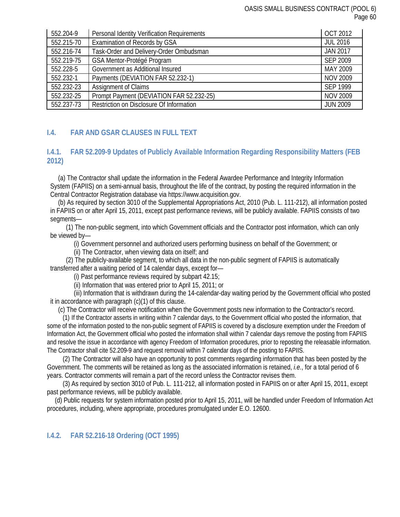| 552.204-9  | Personal Identity Verification Requirements | <b>OCT 2012</b> |
|------------|---------------------------------------------|-----------------|
| 552.215-70 | Examination of Records by GSA               | <b>JUL 2016</b> |
| 552.216-74 | Task-Order and Delivery-Order Ombudsman     | <b>JAN 2017</b> |
| 552.219-75 | GSA Mentor-Protégé Program                  | SEP 2009        |
| 552.228-5  | Government as Additional Insured            | MAY 2009        |
| 552.232-1  | Payments (DEVIATION FAR 52.232-1)           | <b>NOV 2009</b> |
| 552.232-23 | Assignment of Claims                        | <b>SEP 1999</b> |
| 552.232-25 | Prompt Payment (DEVIATION FAR 52.232-25)    | <b>NOV 2009</b> |
| 552.237-73 | Restriction on Disclosure Of Information    | <b>JUN 2009</b> |

# <span id="page-59-0"></span>**I.4. FAR AND GSAR CLAUSES IN FULL TEXT**

#### <span id="page-59-1"></span>**I.4.1. FAR 52.209-9 Updates of Publicly Available Information Regarding Responsibility Matters (FEB 2012)**

(a) The Contractor shall update the information in the Federal Awardee Performance and Integrity Information System (FAPIIS) on a semi-annual basis, throughout the life of the contract, by posting the required information in the Central Contractor Registration database via https://www.acquisition.gov.

(b) As required by section 3010 of the Supplemental Appropriations Act, 2010 (Pub. L. 111-212), all information posted in FAPIIS on or after April 15, 2011, except past performance reviews, will be publicly available. FAPIIS consists of two segments—

(1) The non-public segment, into which Government officials and the Contractor post information, which can only be viewed by—

(i) Government personnel and authorized users performing business on behalf of the Government; or

(ii) The Contractor, when viewing data on itself; and

(2) The publicly-available segment, to which all data in the non-public segment of FAPIIS is automatically transferred after a waiting period of 14 calendar days, except for—

(i) Past performance reviews required by subpart [42.15;](https://www.acquisition.gov/far/current/html/Subpart%2042_15.html#wp1075411)

(ii) Information that was entered prior to April 15, 2011; or

(iii) Information that is withdrawn during the 14-calendar-day waiting period by the Government official who posted it in accordance with paragraph (c)(1) of this clause.

(c) The Contractor will receive notification when the Government posts new information to the Contractor's record.

(1) If the Contractor asserts in writing within 7 calendar days, to the Government official who posted the information, that some of the information posted to the non-public segment of FAPIIS is covered by a disclosure exemption under the Freedom of Information Act, the Government official who posted the information shall within 7 calendar days remove the posting from FAPIIS and resolve the issue in accordance with agency Freedom of Information procedures, prior to reposting the releasable information. The Contractor shall cit[e 52.209-9 a](https://www.acquisition.gov/far/current/html/52_207_211.html#wp1145644)nd request removal within 7 calendar days of the posting to FAPIIS.

(2) The Contractor will also have an opportunity to post comments regarding information that has been posted by the Government. The comments will be retained as long as the associated information is retained, *i.e.*, for a total period of 6 years. Contractor comments will remain a part of the record unless the Contractor revises them.

(3) As required by section 3010 of Pub. L. 111-212, all information posted in FAPIIS on or after April 15, 2011, except past performance reviews, will be publicly available.

(d) Public requests for system information posted prior to April 15, 2011, will be handled under Freedom of Information Act procedures, including, where appropriate, procedures promulgated under E.O. 12600.

# <span id="page-59-2"></span>**I.4.2. FAR 52.216-18 Ordering (OCT 1995)**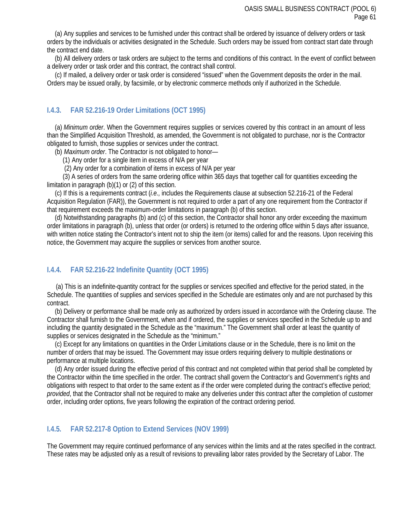(a) Any supplies and services to be furnished under this contract shall be ordered by issuance of delivery orders or task orders by the individuals or activities designated in the Schedule. Such orders may be issued from contract start date through the contract end date.

(b) All delivery orders or task orders are subject to the terms and conditions of this contract. In the event of conflict between a delivery order or task order and this contract, the contract shall control.

(c) If mailed, a delivery order or task order is considered "issued" when the Government deposits the order in the mail. Orders may be issued orally, by facsimile, or by electronic commerce methods only if authorized in the Schedule.

#### <span id="page-60-0"></span>**I.4.3. FAR 52.216-19 Order Limitations (OCT 1995)**

(a) *Minimum order*. When the Government requires supplies or services covered by this contract in an amount of less than the Simplified Acquisition Threshold, as amended, the Government is not obligated to purchase, nor is the Contractor obligated to furnish, those supplies or services under the contract.

(b) *Maximum order*. The Contractor is not obligated to honor—

(1) Any order for a single item in excess of N/A per year

(2) Any order for a combination of items in excess of N/A per year

(3) A series of orders from the same ordering office within 365 days that together call for quantities exceeding the limitation in paragraph (b)(1) or (2) of this section.

(c) If this is a requirements contract (*i.e.,* includes the Requirements clause at subsection [52.216-21 o](https://www.acquisition.gov/far/current/html/52_216.html#wp1115057)f the Federal Acquisition Regulation (FAR)), the Government is not required to order a part of any one requirement from the Contractor if that requirement exceeds the maximum-order limitations in paragraph (b) of this section.

(d) Notwithstanding paragraphs (b) and (c) of this section, the Contractor shall honor any order exceeding the maximum order limitations in paragraph (b), unless that order (or orders) is returned to the ordering office within 5 days after issuance, with written notice stating the Contractor's intent not to ship the item (or items) called for and the reasons. Upon receiving this notice, the Government may acquire the supplies or services from another source.

#### <span id="page-60-1"></span>**I.4.4. FAR 52.216-22 Indefinite Quantity (OCT 1995)**

(a) This is an indefinite-quantity contract for the supplies or services specified and effective for the period stated, in the Schedule. The quantities of supplies and services specified in the Schedule are estimates only and are not purchased by this contract.

(b) Delivery or performance shall be made only as authorized by orders issued in accordance with the Ordering clause. The Contractor shall furnish to the Government, when and if ordered, the supplies or services specified in the Schedule up to and including the quantity designated in the Schedule as the "maximum." The Government shall order at least the quantity of supplies or services designated in the Schedule as the "minimum."

(c) Except for any limitations on quantities in the Order Limitations clause or in the Schedule, there is no limit on the number of orders that may be issued. The Government may issue orders requiring delivery to multiple destinations or performance at multiple locations.

(d) Any order issued during the effective period of this contract and not completed within that period shall be completed by the Contractor within the time specified in the order. The contract shall govern the Contractor's and Government's rights and obligations with respect to that order to the same extent as if the order were completed during the contract's effective period; *provided*, that the Contractor shall not be required to make any deliveries under this contract after the completion of customer order, including order options, five years following the expiration of the contract ordering period.

#### <span id="page-60-2"></span>**I.4.5. FAR 52.217-8 Option to Extend Services (NOV 1999)**

The Government may require continued performance of any services within the limits and at the rates specified in the contract. These rates may be adjusted only as a result of revisions to prevailing labor rates provided by the Secretary of Labor. The